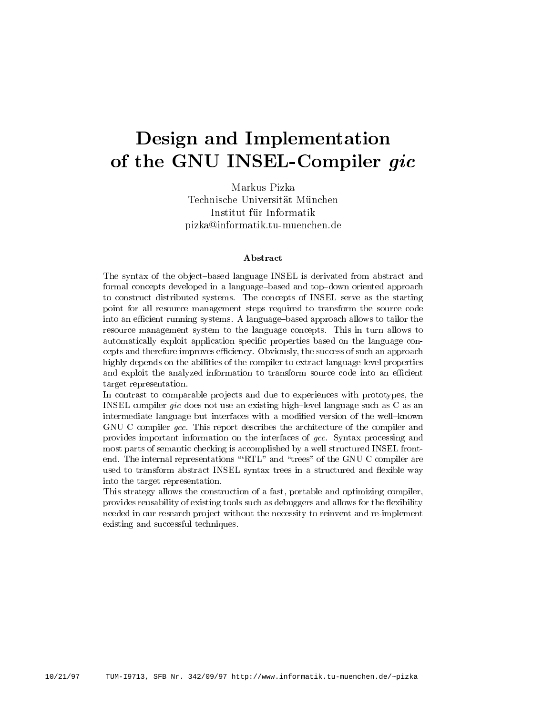# Design and Implementation of the GNU INSEL-Compiler gic

Markus Pizka Institut fur Informatik piezkant met de beskende de beskende de beskende met de beskende

### Abstract

The syntax of the object-based language INSEL is derivated from abstract and formal concepts developed in a language-based and top-down oriented approach to construct distributed systems The concepts of INSEL serve as the starting point for all resource management steps required to transform the source code into an e-cient running systems A languagebased approach allows to tailor the resource management system to the language concepts This in turn allows to automatically exploit application specific properties based on the language concepts and therefore improves the success, Obviously the success of such an approximate  $\alpha$ highly depends on the abilities of the compiler to extract language-level properties and exploit the analyzed information to transformation to the source  $\sim$ target representation

In contrast to comparable projects and due to experiences with prototypes, the INSEL compiler gic does not use an existing high-level language such as  $C$  as an intermediate language but interfaces with a modified version of the well-known GNU C compiler gcc. This report describes the architecture of the compiler and provides important information on the interfaces of gcc Syntax processing and most parts of semantic checking is accomplished byawell structured INSEL front end. The internal representations "RTL" and "trees" of the GNU C compiler are used to transform abstract INSEL syntax trees in a structured and flexible way into the target representation

This strategy allows the construction of a fast, portable and optimizing compiler, provides reusability of existing tools such as debuggers and allows for the flexibility needed in our research project without the necessity to reinvent and re-implement existing and successful techniques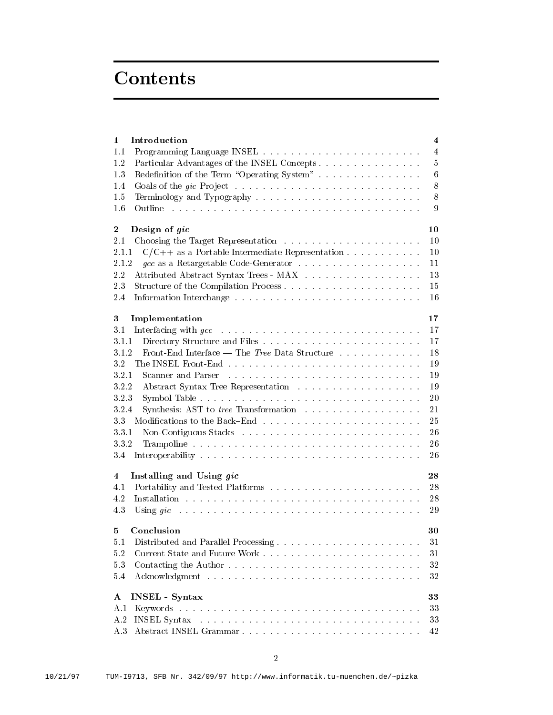# **Contents**

| 1                       | Introduction                                                                                                                                                                                                                   | 4              |
|-------------------------|--------------------------------------------------------------------------------------------------------------------------------------------------------------------------------------------------------------------------------|----------------|
| 1.1                     |                                                                                                                                                                                                                                | $\overline{4}$ |
| 1.2                     | Particular Advantages of the INSEL Concepts.                                                                                                                                                                                   | 5              |
| 1.3                     | Redefinition of the Term "Operating System"                                                                                                                                                                                    | 6              |
| 1.4                     |                                                                                                                                                                                                                                | 8              |
| 1.5                     |                                                                                                                                                                                                                                | 8              |
| 1.6                     | .<br>The model is a complete that the model is a complete that the model is a complete that the model is a complete<br>Outline                                                                                                 | 9              |
| $\boldsymbol{2}$        | Design of gic                                                                                                                                                                                                                  | 10             |
| 2.1                     |                                                                                                                                                                                                                                | 10             |
| 2.1.1                   | $C/C++$ as a Portable Intermediate Representation                                                                                                                                                                              | 10             |
| 2.1.2                   |                                                                                                                                                                                                                                | 11             |
| 2.2                     | Attributed Abstract Syntax Trees - MAX                                                                                                                                                                                         | 13             |
| 2.3                     |                                                                                                                                                                                                                                |                |
|                         | Structure of the Compilation Process                                                                                                                                                                                           | 15             |
| 2.4                     |                                                                                                                                                                                                                                | 16             |
| $\boldsymbol{3}$        | Implementation                                                                                                                                                                                                                 | 17             |
| 3.1                     | .<br>The contract of the contract of the contract of the contract of the contract of the contract of the contract of<br>Interfacing with $\emph{gcc}$                                                                          | 17             |
| 3.1.1                   |                                                                                                                                                                                                                                | 17             |
| 3.1.2                   | Front-End Interface — The Tree Data Structure $\ldots \ldots \ldots \ldots$                                                                                                                                                    | 18             |
| 3.2                     |                                                                                                                                                                                                                                | 19             |
| 3.2.1                   | Scanner and Parser<br>.<br>The contract of the contract of the contract of the contract of the contract of the contract of the contract of                                                                                     | 19             |
| 322                     |                                                                                                                                                                                                                                | 19             |
| 323                     |                                                                                                                                                                                                                                | 20             |
| 3.2.4                   | Synthesis: AST to <i>tree</i> Transformation                                                                                                                                                                                   | 21             |
| 33                      |                                                                                                                                                                                                                                | 25             |
| 3.3.1                   |                                                                                                                                                                                                                                | 26             |
| 332                     |                                                                                                                                                                                                                                | 26             |
| 3.4                     |                                                                                                                                                                                                                                | 26             |
|                         |                                                                                                                                                                                                                                |                |
| $\overline{\mathbf{4}}$ | Installing and Using gic                                                                                                                                                                                                       | 28             |
| 4.1                     |                                                                                                                                                                                                                                | 28             |
| 4.2                     |                                                                                                                                                                                                                                | 28             |
| 4.3                     | Using gic decreased and a contract of the contract of the contract of the contract of the contract of the contract of the contract of the contract of the contract of the contract of the contract of the contract of the cont | 29             |
| 5                       | Conclusion                                                                                                                                                                                                                     | 30             |
| $5.1\,$                 | Distributed and Parallel Processing                                                                                                                                                                                            | 31             |
| 5.2                     |                                                                                                                                                                                                                                | 31             |
| 5.3                     |                                                                                                                                                                                                                                | 32             |
| 5.4                     |                                                                                                                                                                                                                                | 32             |
|                         |                                                                                                                                                                                                                                |                |
| $\mathbf{A}$            | <b>INSEL</b> - Syntax                                                                                                                                                                                                          | 33             |
| A.1                     |                                                                                                                                                                                                                                | 33             |
| A.2                     |                                                                                                                                                                                                                                | 33             |
|                         | A.3 Abstract INSEL Grammar                                                                                                                                                                                                     | 42             |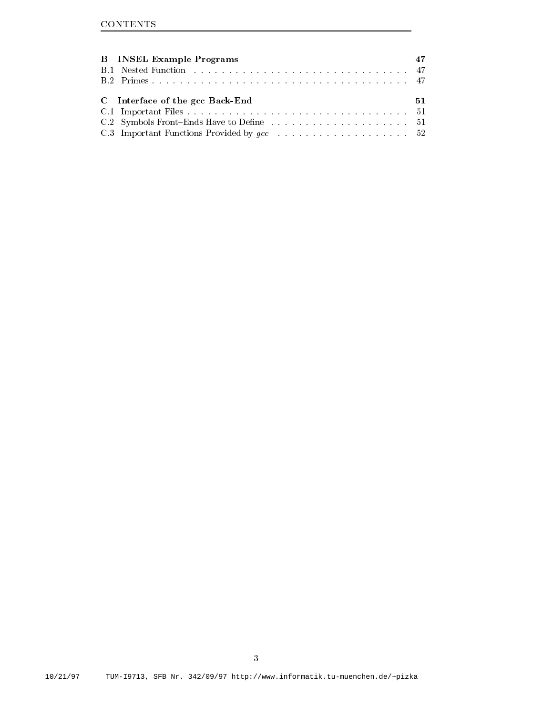| <b>B</b> INSEL Example Programs |    |
|---------------------------------|----|
|                                 |    |
|                                 |    |
|                                 |    |
| C Interface of the gcc Back-End | 51 |
|                                 |    |
|                                 |    |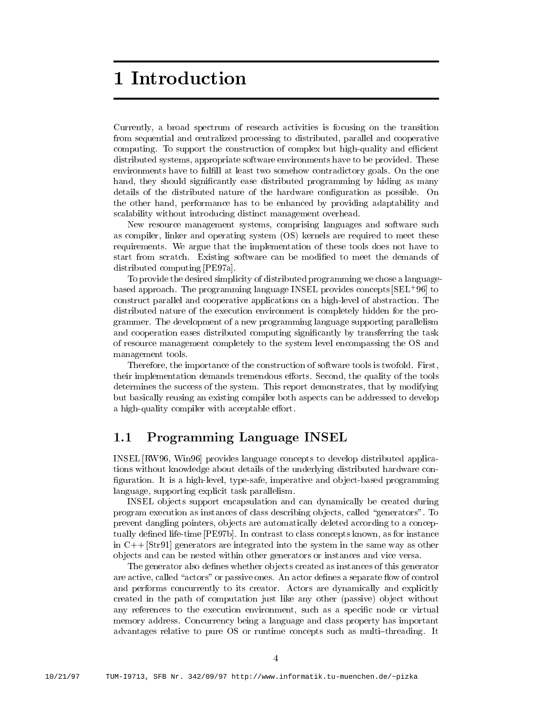## 1 Introduction

Currently a broad spectrum of research activities is focusing on the transition from sequential and centralized processing to distributed, parallel and cooperative computing To support the construction of complex but highquality and e-cient distributed systems, appropriate software environments have to be provided. These environments have to fulfill at least two somehow contradictory goals. On the one hand, they should significantly ease distributed programming by hiding as many details of the distributed nature of the hardware configuration as possible. On the other hand, performance has to be enhanced by providing adaptability and scalability without introducing distinct management overhead

New resource management systems, comprising languages and software such as compiler, linker and operating system (OS) kernels are required to meet these requirements We argue that the implementation of these tools does not have to start from scratch Existing software can be modied to meet the demands of distributed computing [PE97a].

To provide the desired simplicity of distributed programming we chose a language pased approach. The programming language INSEL provides concepts  $\beta$ EL '90| to construct parallel and cooperative applications on a high-level of abstraction. The distributed nature of the execution environment is completely hidden for the pro grammer. The development of a new programming language supporting parallelism and cooperation eases distributed computing significantly by transferring the task of resource management completely to the system level encompassing the OS and management tools

Therefore, the importance of the construction of software tools is twofold. First, their implementation demands tremendous efforts. Second, the quality of the tools determines the success of the system. This report demonstrates, that by modifying but basically reusing an existing compiler both aspects can be addressed to develop a high-quality compiler with acceptable effort.

#### Programming Language INSEL  $1.1$

INSEL RW96, Win 96 provides language concepts to develop distributed applications without knowledge about details of the underlying distributed hardware con figuration. It is a high-level, type-safe, imperative and object-based programming language, supporting explicit task parallelism.

INSEL ob jects support encapsulation and can dynamically be created during program execution as instances of class describing objects, called "generators". To prevent dangling pointers ob jects are automatically deleted according to a concep tually defined life-time PE97b. In contrast to class concepts known, as for instance in C Str generators are integrated into the system in the same way as other ob jects and can be nested within other generators or instances and vice versa

The generator also defines whether objects created as instances of this generator are active, called "actors" or passive ones. An actor defines a separate flow of control and performs concurrently to its creator. Actors are dynamically and explicitly created in the path of computation just like any other (passive) object without any references to the execution environment, such as a specific node or virtual memory address Concurrency being a language and class property has important advantages relative to pure OS or runtime concepts such as multi-threading. It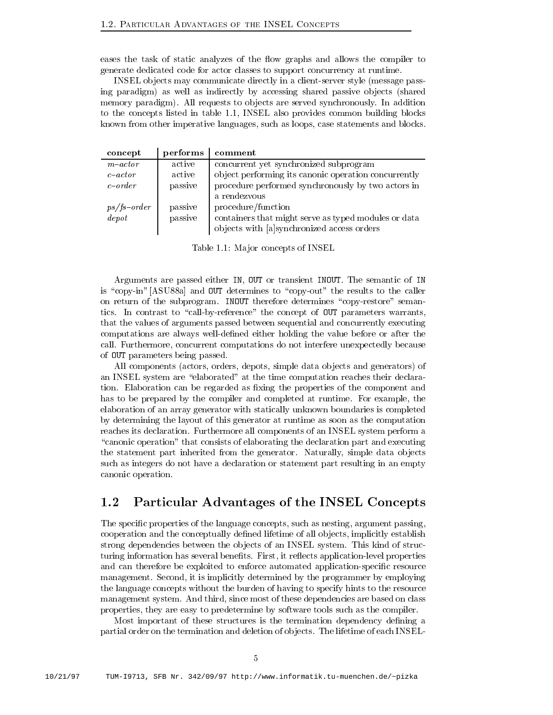eases the task of static analyzes of the flow graphs and allows the compiler to generate dedicated code for actor classes to support concurrency at runtime

INSEL objects may communicate directly in a client-server style (message passing paradigm as well as indirectly by accessing shared passive objects (shared memory paradigm). All requests to objects are served synchronously. In addition to the concepts listed in table  $\mathbb{I}$ known from other imperative languages, such as loops, case statements and blocks.

| concept       | performs | comment                                              |
|---------------|----------|------------------------------------------------------|
| $m$ -actor    | active   | concurrent yet synchronized subprogram               |
| $c$ -actor    | active   | object performing its canonic operation concurrently |
| $c$ -order    | passive  | procedure performed synchronously by two actors in   |
|               |          | a rendezvous                                         |
| $ps/fs-order$ | passive  | procedure/function                                   |
| depot         | passive  | containers that might serve as typed modules or data |
|               |          | objects with [a]synchronized access orders           |

Table in the second concepts of INSELECTION and the INSELECTION of INSELECTION of INSELECTION of INSELECTION and

Arguments are passed either IN, OUT or transient INOUT. The semantic of IN is "copy-in" [ASU88a] and OUT determines to "copy-out" the results to the caller on return of the subprogram. INOUT therefore determines "copy-restore" semantics. In contrast to "call-by-reference" the concept of OUT parameters warrants, that the values of arguments passed between sequential and concurrently executing computations are always well-defined either holding the value before or after the call. Furthermore, concurrent computations do not interfere unexpectedly because of OUT parameters being passed

All components (actors, orders, depots, simple data objects and generators) of an INSEL system are "elaborated" at the time computation reaches their declaration. Elaboration can be regarded as fixing the properties of the component and has to be prepared by the compiler and completed at runtime. For example, the elaboration of an array generator with statically unknown boundaries is completed by determining the layout of this generator at runtime as soon as the computation reaches its declaration Furthermore all components of an INSEL system perform a "canonic operation" that consists of elaborating the declaration part and executing the statement part inherited from the generator. Naturally, simple data objects such as integers do not have a declaration or statement part resulting in an empty canonic operation

#### $1.2$ Particular Advantages of the INSEL Concepts

The specific properties of the language concepts, such as nesting, argument passing, cooperation and the conceptually dened lifetime of all ob jects implicitly establish strong dependencies between the objects of an INSEL system. This kind of structuring information has several benefits. First, it reflects application-level properties and can therefore be exploited to enforce automated application-specific resource management. Second, it is implicitly determined by the programmer by employing the language concepts without the burden of having to specify hints to the resource management system. And third, since most of these dependencies are based on class properties they are easy to predetermine by software tools such as the compiler

Most important of these structures is the termination dependency defining a partial order on the termination and deletion of objects. The lifetime of each INSEL-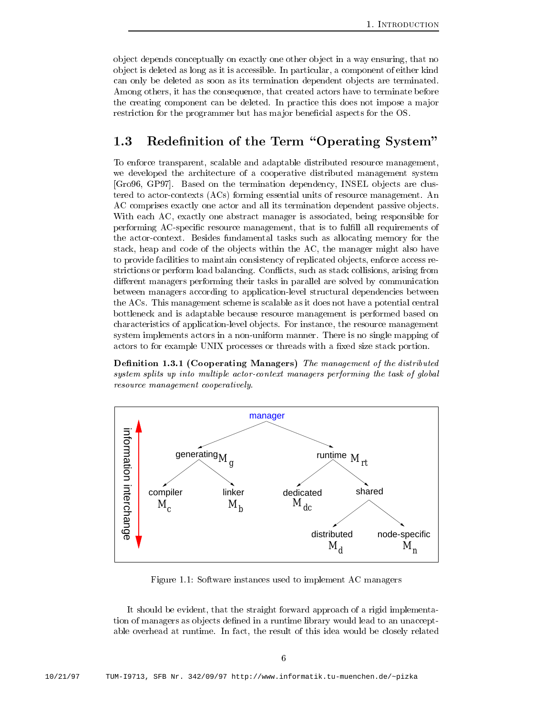ob ject depends conceptually on exactly one other ob ject in a way ensuring that no ob ject is deleted as long as it is accessible In particular a component of either kind can only be deleted as soon as its termination dependent ob jects are terminated Among others, it has the consequence, that created actors have to terminate before the creating component can be deleted. In practice this does not impose a major restriction for the programmer but has major beneficial aspects for the OS.

#### Redefinition of the Term "Operating System"  $1.3$

To enforce transparent, scalable and adaptable distributed resource management, we developed the architecture of a cooperative distributed management system [Gro96, GP97]. Based on the termination dependency, INSEL objects are clustered to actor-contexts  $(ACs)$  forming essential units of resource management. An AC comprises exactly one actor and all its termination dependent passive objects. With each AC, exactly one abstract manager is associated, being responsible for performing AC-specific resource management, that is to fulfill all requirements of the actor-context. Besides fundamental tasks such as allocating memory for the stack, heap and code of the objects within the AC, the manager might also have to provide facilities to maintain consistency of replicated objects, enforce access restrictions or perform load balancing. Conflicts, such as stack collisions, arising from different managers performing their tasks in parallel are solved by communication between managers according to application-level structural dependencies between the ACs This management scheme is scalable as it does not have a potential central bottleneck and is adaptable because resource management is performed based on characteristics of application-level objects. For instance, the resource management system implements actors in a non-uniform manner. There is no single mapping of actors to for example UNIX processes or threads with a fixed size stack portion.

 $\mathbf{C}$  and  $\mathbf{C}$  and  $\mathbf{C}$  and  $\mathbf{C}$  and distributed of the distribution of the distribution of the distribution of the distribution of the distribution of the distribution of the distribution of the distributi system splits up into multiple actor-context managers performing the task of global resource management cooperatively



Figure Software instances used to implement AC managers

It should be evident, that the straight forward approach of a rigid implementation of managers as objects defined in a runtime library would lead to an unacceptable overhead at runtime. In fact, the result of this idea would be closely related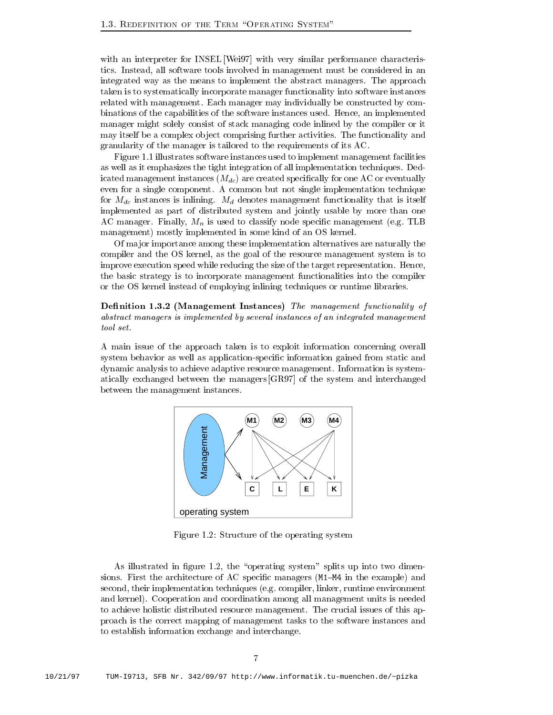with an interpreter for INSEL Wei 97 with very similar performance characteristics. Instead, all software tools involved in management must be considered in an integrated way as the means to implement the abstract managers. The approach taken is to systematically incorporate manager functionality into software instances related with management. Each manager may individually be constructed by combinations of the capabilities of the software instances used. Hence, an implemented manager might solely consist of stack managing code inlined by the compiler or it may itself be a complex object comprising further activities. The functionality and granularity of the manager is tailored to the requirements of its AC

Figure illustrates software instances used to implement management facilities as well as it emphasizes the tight integration of all implementation techniques. Dedicated management instances  $(M_{dc})$  are created specifically for one AC or eventually even for a single component. A common but not single implementation technique for  $M_{dc}$  instances is inlining.  $M_d$  denotes management functionality that is itself implemented as part of distributed system and jointly usable by more than one AC manager. Finally,  $M_n$  is used to classify node specific management (e.g. TLB management) mostly implemented in some kind of an OS kernel.

Of ma jor importance among these implementation alternatives are naturally the compiler and the OS kernel, as the goal of the resource management system is to improve execution speed while reducing the size of the target representation. Hence, the basic strategy is to incorporate management functionalities into the compiler or the OS kernel instead of employing inlining techniques or runtime libraries

De nition - Management Instances The management functionality of abstract managers is implemented by several instances of an integrated management tool set

A main issue of the approach taken isto exploit information concerning overall system behavior as well as application-specific information gained from static and dynamic analysis to achieve adaptive resource management Information is system atically exchanged between the managers [GR97] of the system and interchanged between the management instances



Figure  Structure of the operating system

 $\mathbf{A}$ s illustrated in gure system splits up into two dimensions up into two dimensions up in two dimensions of  $\mathbf{A}$ sions. First the architecture of AC specific managers  $(M1-M4)$  in the example) and second, their implementation techniques (e.g. compiler, linker, runtime environment and kernel). Cooperation and coordination among all management units is needed to achieve holistic distributed resource management. The crucial issues of this approach is the correct mapping of management tasks to the software instances and to establish information exchange and interchange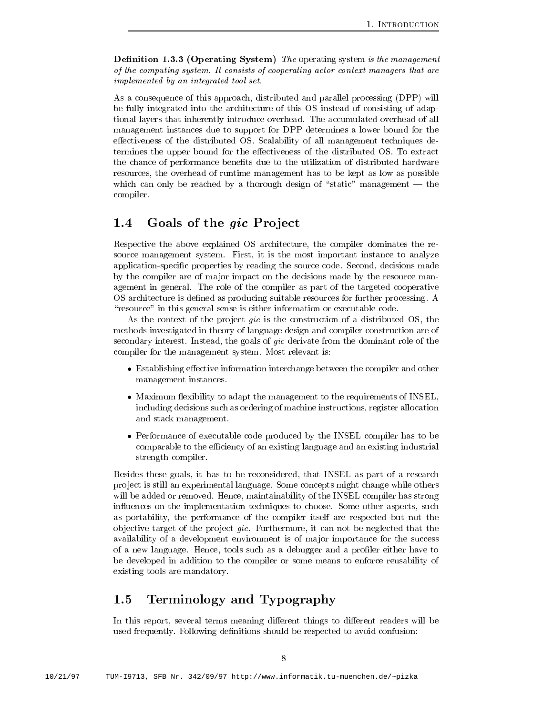$\blacksquare$  . See The operation system is the management of the management of  $\blacksquare$ of the computing system It consists of cooperating actor context managers that are implemented by an integrated tool set

As a consequence of this approach, distributed and parallel processing (DPP) will be fully integrated into the architecture of this OS instead of consisting of adap tional layers that inherently introduce overhead The accumulated overhead of all management instances due to support for DPP determines a lower bound for the effectiveness of the distributed OS. Scalability of all management techniques determines the upper bound for the effectiveness of the distributed OS. To extract the chance of performance benefits due to the utilization of distributed hardware resources the overhead of runtime management has to be kept as low as possible which can only be reached by a thorough design of "static" management  $-$  the compiler

## 1.4 Goals of the gic Project

Respective the above explained OS architecture, the compiler dominates the resource management system. First, it is the most important instance to analyze application-specific properties by reading the source code. Second, decisions made by the compiler are of ma jor impact on the decisions made by the resource man agement in general. The role of the compiler as part of the targeted cooperative OS architecture is defined as producing suitable resources for further processing. A "resource" in this general sense is either information or executable code.

As the context of the project *gic* is the construction of a distributed  $OS$ , the methods investigated in theory of language design and compiler construction are of secondary interest. Instead, the goals of *gic* derivate from the dominant role of the compiler for the management system. Most relevant is:

- Establishing eective information interchange between the compiler and other management instances
- maximum is the management the management to the requirement of INSEL is the management of INSEL in  $\sim$ including decisions such as ordering of machine instructions, register allocation and stack management
- Performance of executable code produced by the INSEL compiler has to be comparable to the e-ciency of an existing language and an existing industrial strength compiler

Besides these goals, it has to be reconsidered, that INSEL as part of a research pro ject is still an experimental language Some concepts might change while others will be added or removed. Hence, maintainability of the INSEL compiler has strong influences on the implementation techniques to choose. Some other aspects, such as portability the performance of the compiler itself are respected but not the objective target of the project *gic*. Furthermore, it can not be neglected that the availability of a development environment is of ma jor importance for the success of a new language. Hence, tools such as a debugger and a profiler either have to be developed in addition to the compiler or some means to enforce reusability of existing tools are mandatory

## 1.5 Terminology and Typography

In this report, several terms meaning different things to different readers will be used frequently. Following definitions should be respected to avoid confusion: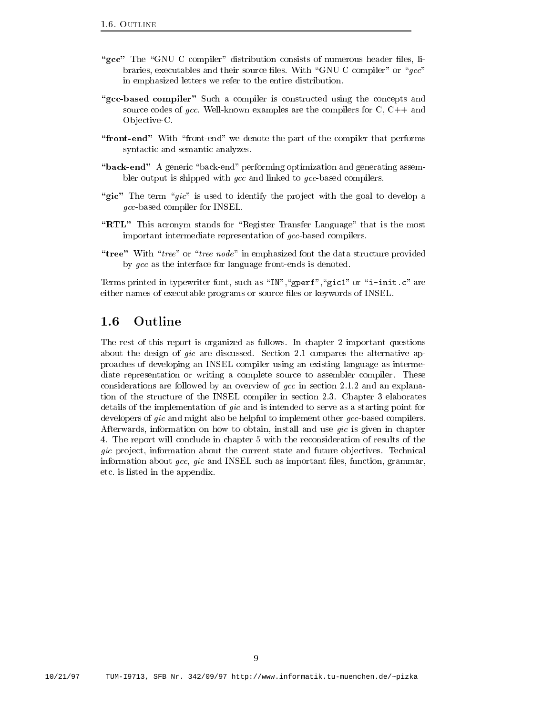- "gcc" The "GNU C compiler" distribution consists of numerous header files, libraries, executables and their source files. With "GNU C compiler" or " $\frac{acc}{s}$ " in emphasized letters we refer to the entire distribution
- "gcc-based compiler" Such a compiler is constructed using the concepts and source codes of gcc. Well-known examples are the compilers for C,  $C_{++}$  and Objective-C.
- "front-end" With "front-end" we denote the part of the compiler that performs syntactic and semantic analyzes
- "back-end" A generic "back-end" performing optimization and generating assembler output is shipped with  $\emph{gcc}$  and linked to  $\emph{gcc}$ -based compilers.
- "gic" The term "gic" is used to identify the project with the goal to develop a  $qcc$ -based compiler for INSEL.
- "RTL" This acronym stands for "Register Transfer Language" that is the most important intermediate representation of gcc-based compilers.
- "tree" With "tree" or "tree node" in emphasized font the data structure provided by  $qcc$  as the interface for language front-ends is denoted.

Terms printed in typewriter font such as INgperfgic or i-initc are either names of executable programs or source files or keywords of INSEL.

#### $1.6$ Outline

The rest of this report is organized as follows. In chapter 2 important questions about the design of gic are discussed Section and the alternative approximation of the alternative approximatio proaches of developing an INSEL compiler using an existing language as interme diate representation or writing a complete source to assembler compiler. These considerations are followed by an overview of gcc in section  $\mathbb{R}^n$ tion of the structure of the INSEL compiler in section 2.3. Chapter 3 elaborates details of the implementation of gic and is intended to serve as a starting point for developers of *gic* and might also be helpful to implement other  $qcc$ -based compilers. Afterwards, information on how to obtain, install and use  $\dot{qc}$  is given in chapter 4. The report will conclude in chapter 5 with the reconsideration of results of the gic project, information about the current state and future objectives. Technical information about  $\emph{gcc, gic}$  and INSEL such as important files, function, grammar, etc is listed in the appendix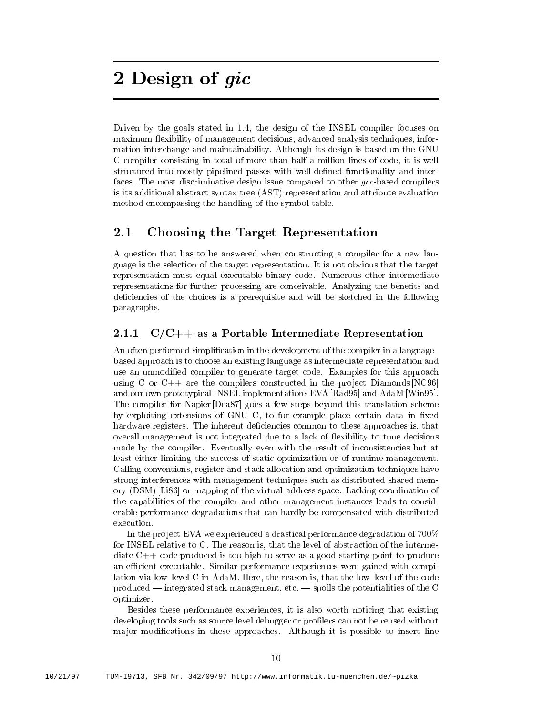# - Design of gic

Driven by the goals stated in the design of the INSEL compiler focuses on maximum flexibility of management decisions, advanced analysis techniques, information interchange and maintainability Although its design is based on the GNU C compiler consisting in total of more than half a million lines of code it is well structured into mostly pipelined passes with well-defined functionality and interfaces. The most discriminative design issue compared to other  $\emph{gcc-based}$  compilers is its additional abstract syntax tree (AST) representation and attribute evaluation method encompassing the handling of the symbol table

#### $2.1$ Choosing the Target Representation

A question that has to be answered when constructing a compiler for a new lan guage is the selection of the target representation It is not obvious that the target representation must equal executable binary code Numerous other intermediate representations for further processing are conceivable. Analyzing the benefits and deficiencies of the choices is a prerequisite and will be sketched in the following paragraphs

#### $C/C++$  as a Portable Intermediate Representation  $2.1.1$

An often performed simplification in the development of the compiler in a languagebased approach is to choose an existing language as intermediate representation and use an unmodified compiler to generate target code. Examples for this approach using C or  $C_{++}$  are the compilers constructed in the project Diamonds  $NCS_0$ and our own prototypical INSEL implementations EVA [Rad95] and AdaM [Win95]. The compiler for Napier Dea<sub>87</sub> goes a few steps beyond this translation scheme by exploiting extensions of GNU C, to for example place certain data in fixed hardware registers. The inherent deficiencies common to these approaches is, that overall management is not integrated due to a lack of flexibility to tune decisions made by the compiler. Eventually even with the result of inconsistencies but at least either limiting the success of static optimization or of runtime management Calling conventions register and stack allocation and optimization techniques have strong interferences with management techniques such as distributed shared mem ory (DSM) [Li86] or mapping of the virtual address space. Lacking coordination of the capabilities of the compiler and other management instances leads to consid erable performance degradations that can hardly be compensated with distributed execution.

In the project EVA we experienced a drastical performance degradation of  $700\%$ for INSEL relative to C. The reason is, that the level of abstraction of the intermediate  $C++$  code produced is too high to serve as a good starting point to produce and executive similar performance performances with complete with gained with compile lation via low-level C in AdaM. Here, the reason is, that the low-level of the code produced  $\sim$  integrated stack management, etc.  $\sim$  spoils the potentialities of the C optimizer

Besides these performance experiences it is also worth noticing that existing developing tools such as source level debugger or profilers can not be reused without major modifications in these approaches. Although it is possible to insert line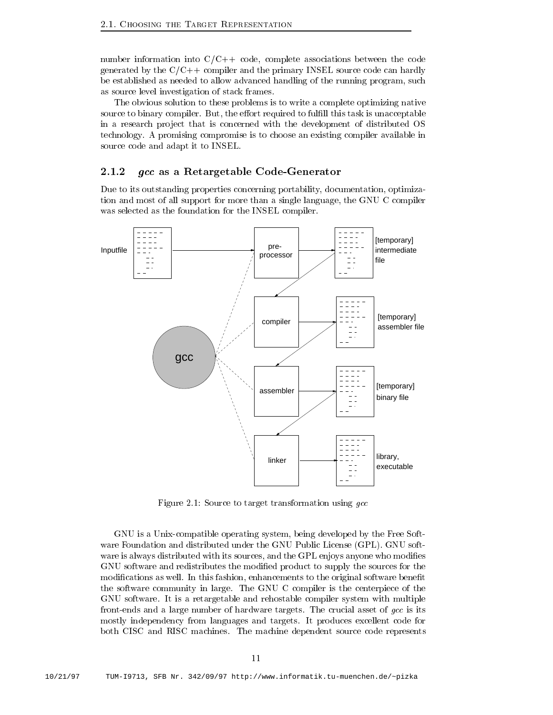number information into  $C/C++$  code, complete associations between the code generated by the  $C/C++$  compiler and the primary INSEL source code can hardly be established as needed to allow advanced handling of the running program such as source level investigation of stack frames

The obvious solution to these problems is to write a complete optimizing native source to binary compiler. But, the effort required to fulfill this task is unacceptable in a research project that is concerned with the development of distributed OS technology A promising compromise is to choose an existing compiler available in source code and adapt it to INSEL

### 2.1.2  $\int$  *gcc* as a Retargetable Code-Generator

Due to its outstanding properties concerning portability, documentation, optimization and most of all support for more than a single language, the GNU C compiler was selected as the foundation for the INSEL compiler



Figure  Source to target transformation using gcc

GNU is a Unix-compatible operating system, being developed by the Free Software Foundation and distributed under the GNU Public License (GPL). GNU software is always distributed with its sources, and the GPL enjoys anyone who modifies GNU software and redistributes the modified product to supply the sources for the modifications as well. In this fashion, enhancements to the original software benefit the software community in large The GNU C compiler is the centerpiece of the GNU software It is a retargetable and rehostable compiler system with multiple front-ends and a large number of hardware targets. The crucial asset of gcc is its mostly independency from languages and targets. It produces excellent code for both CISC and RISC machines The machine dependent source code represents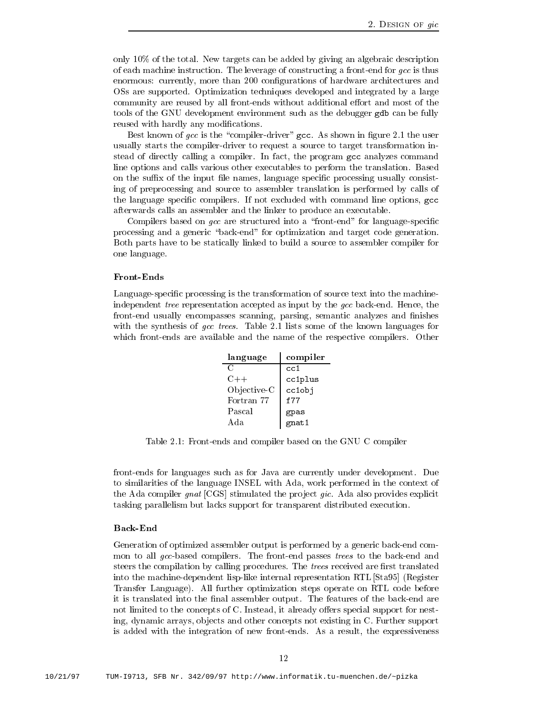only a system to the total new targets can be added by giving and algebraic descriptions. of each machine instruction. The leverage of constructing a front-end for  $\textit{gcc}$  is thus enormous: currently, more than 200 configurations of hardware architectures and OSs are supported Optimization techniques developed and integrated by a large community are reused by all front-ends without additional effort and most of the tools of the GNU development environment such as the debugger gdb can be fully reused with hardly any modifications.

 $\mathbf{B}$  the compiler galaxy is the compiler galaxy in gure graphs in gure graphs in gure graphs in gure graphs in gure graphs in graphs in graphs in graphs in graphs in graphs in graphs in graphs in graphs in graphs in g usually starts the compiler-driver to request a source to target transformation instead of directly calling a compiler. In fact, the program gcc analyzes command line options and calls various other executables to perform the translation Based on the su-x of the input le names language specic processing usually consist ing of preprocessing and source to assembler translation is performed by calls of the language specific compilers. If not excluded with command line options, gcc afterwards calls an assembler and the linker to produce an executable

Compilers based on  $qcc$  are structured into a "front-end" for language-specific processing and a generic "back-end" for optimization and target code generation. Both parts have to be statically linked to build a source to assembler compiler for one language

Language-specific processing is the transformation of source text into the machineindependent tree representation accepted as input by the  $qcc$  back-end. Hence, the front-end usually encompasses scanning, parsing, semantic analyzes and finishes with the synthesis of gcc trees Table synthesis of the known languages  $\mathbf{I}$ which front-ends are available and the name of the respective compilers. Other

| language                   | compiler             |
|----------------------------|----------------------|
| $\mathcal{C}_{\mathbb{C}}$ | cc1                  |
| $C++$                      | cc1plus              |
| Objective-C                | cclobj               |
| Fortran 77                 | f77                  |
| Pascal                     | gpas                 |
| Ada                        | <sub>g</sub><br>ant1 |

Table  Frontends and compiler based on the GNU C compiler

front-ends for languages such as for Java are currently under development. Due to similarities of the language INSEL with Ada work performed in the context of the Ada compiler gnat  $[CGS]$  stimulated the project gic. Ada also provides explicit tasking parallelism but lacks support for transparent distributed execution

### Back-End

Generation of optimized assembler output is performed by a generic back-end common to all gcc-based compilers. The front-end passes trees to the back-end and steers the compilation by calling procedures. The *trees* received are first translated into the machine-dependent lisp-like internal representation RTL [Sta95] (Register Transfer Language). All further optimization steps operate on RTL code before it is translated into the final assembler output. The features of the back-end are not limited to the concepts of C. Instead, it already offers special support for nesting, dynamic arrays, objects and other concepts not existing in C. Further support is added with the integration of new front-ends. As a result, the expressiveness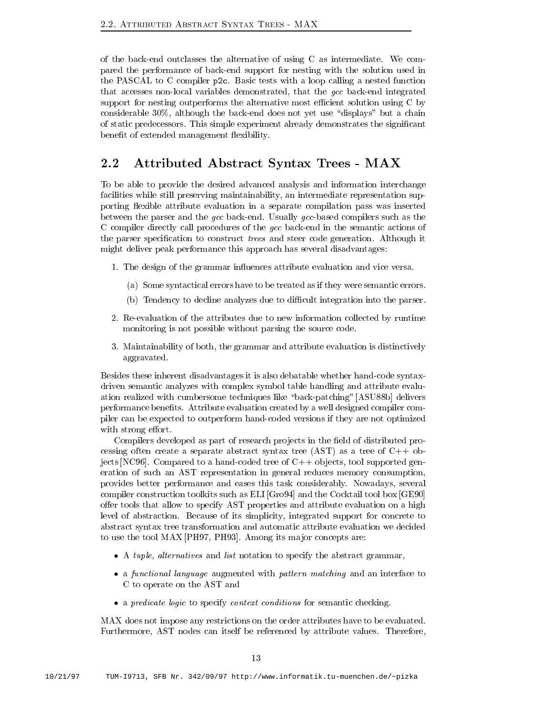of the back-end outclasses the alternative of using  $C$  as intermediate. We compared the performance of backend support for nesting with the solution used in the PASCAL to C compiler  $p2c$ . Basic tests with a loop calling a nested function that accesses non-local variables demonstrated, that the gcc back-end integrated support for nesting outperforms the alternative most e-cient solution using C by considerable  $30\%$ , although the back-end does not yet use "displays" but a chain of static predecessors This simple experiment already demonstrates the signicant benefit of extended management flexibility.

## $A_{\rm{max}}$  and  $A_{\rm{max}}$  are set of the syntax Trees  $\alpha$

To be able to provide the desired advanced analysis and information interchange facilities while still preserving maintainability an intermediate representation sup porting flexible attribute evaluation in a separate compilation pass was inserted between the parser and the gcc back-end. Usually gcc-based compilers such as the C compiler directly call procedures of the gcc back-end in the semantic actions of the parser specification to construct *trees* and steer code generation. Although it might deliver peak performance this approach has several disadvantages

- The design of the grammar inducences at the grammar inducences at the grammar inducence versa. The vice versa  $\mathcal{L}(\mathbf{A})$ 
	- (a) Some syntactical errors have to be treated as if they were semantic errors.
	- b Tendency to decline analyzes due to di-cult integration into the parser
- 2. Re-evaluation of the attributes due to new information collected by runtime monitoring is not possible without parsing the source code
- 3. Maintainability of both, the grammar and attribute evaluation is distinctively aggravated

Besides these inherent disadvantages it is also debatable whether hand-code syntaxdriven semantic analyzes with complex symbol table handling and attribute evalu ation realized with cumbersome techniques like "back-patching" [ASU88b] delivers performance benets Attribute evaluation created byawell designed compiler com piler can be expected to outperform handcoded versions if they are not optimized with strong effort.

Compilers developed as part of research projects in the field of distributed processing often create a separate abstract syntax tree (AST) as a tree of  $C++$  objects [NC96]. Compared to a hand-coded tree of  $C++$  objects, tool supported generation of such an AST representation in general reduces memory consumption provides better performance and eases this task considerably Nowadays several compiler construction toolkits such as  $ELI$   $[Gro94]$  and the Cocktail tool box  $[GE90]$ offer tools that allow to specify AST properties and attribute evaluation on a high level of abstraction. Because of its simplicity, integrated support for concrete to abstract syntax tree transformation and automatic attribute evaluation we decided to use the tool MAX [PH97, PH93]. Among its major concepts are:

- A tuple alternatives and listnotation to specify the abstract grammar
- a functional language augmented with pattern matching and an interface to C to operate on the AST and
- a predicate logic to specify context context context communications for semantic  $\alpha$

MAX does not impose any restrictions on the order attributes have to be evaluated Furthermore, AST nodes can itself be referenced by attribute values. Therefore,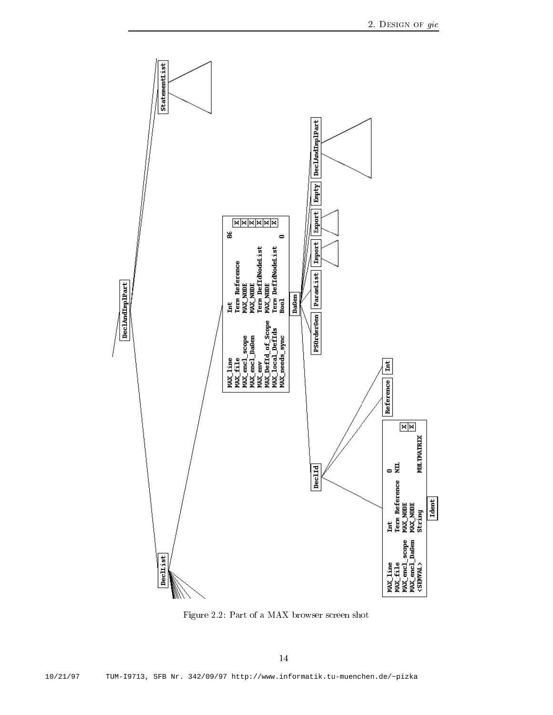

Figure 2.2: Part of a MAX browser screen shot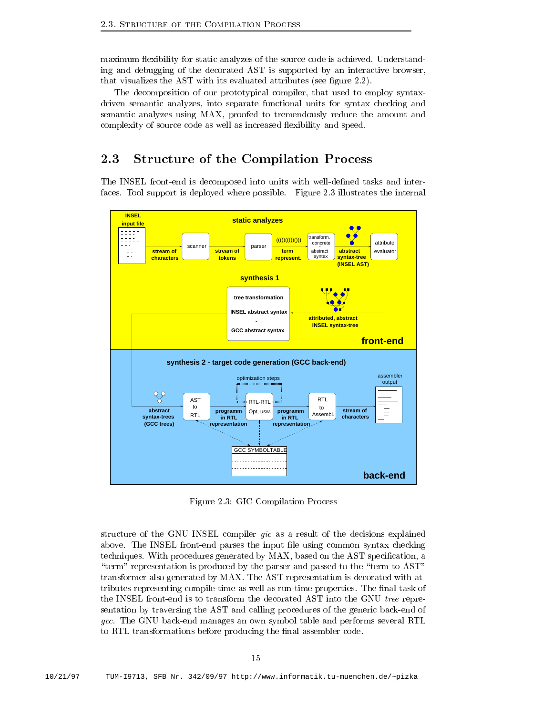maximum flexibility for static analyzes of the source code is achieved. Understanding and debugging of the decorated AST is supported by an interactive browser that visualizes the AST with its evaluated attributes (see figure  $2.2$ ).

The decomposition of our prototypical compiler, that used to employ syntaxdriven semantic analyzes, into separate functional units for syntax checking and semantic analyzes using MAX proofed to tremendously reduce the amount and complexity of source code as well as increased flexibility and speed.

## 2.3 Structure of the Compilation Process

The INSEL front-end is decomposed into units with well-defined tasks and interfaces. Tool support is deployed where possible. Figure 2.3 illustrates the internal



Figure 2.3: GIC Compilation Process

structure of the GNU INSEL compiler gic as a result of the decisions explained above. The INSEL front-end parses the input file using common syntax checking techniques. With procedures generated by MAX, based on the AST specification, a "term" representation is produced by the parser and passed to the "term to  $AST"$ transformer also generated by MAX The AST representation is decorated with at tributes representing compile-time as well as run-time properties. The final task of the INSEL front-end is to transform the decorated AST into the GNU tree representation by traversing the AST and calling procedures of the generic back-end of gcc. The GNU back-end manages an own symbol table and performs several RTL to RTL transformations before producing the final assembler code.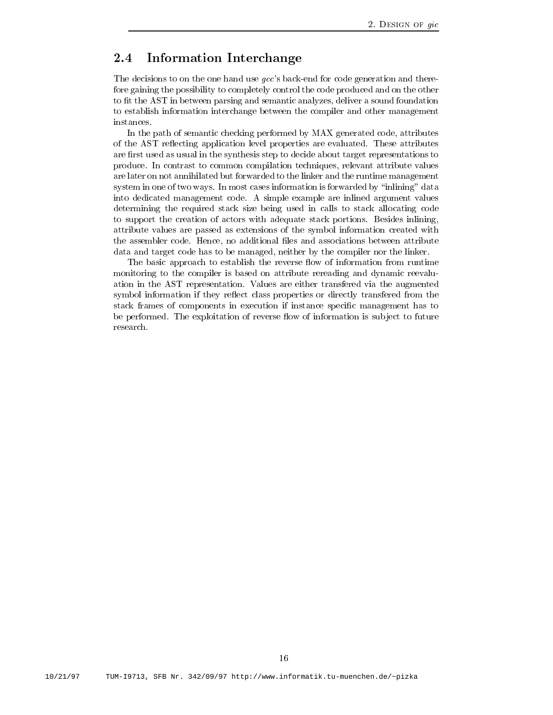## 2.4 Information Interchange

The decisions to on the one hand use  $\textit{gcc's}$  back-end for code generation and therefore gaining the possibility to completely control the code produced and on the other to fit the AST in between parsing and semantic analyzes, deliver a sound foundation to establish information interchange between the compiler and other management

In the path of semantic checking performed by MAX generated code, attributes of the AST reflecting application level properties are evaluated. These attributes are first used as usual in the synthesis step to decide about target representations to produce In contrast to common compilation techniques relevant attribute values are later on not annihilated but forwarded to the linker and the runtime management system in one of two ways. In most cases information is forwarded by "inlining" data into dedicated management code A simple example are inlined argument values determining the required stack size being used in calls to stack allocating code to support the creation of actors with adequate stack portions. Besides inlining, attribute values are passed as extensions of the symbol information created with the assembler code. Hence, no additional files and associations between attribute data and target code has to be managed, neither by the compiler nor the linker.

The basic approach to establish the reverse flow of information from runtime monitoring to the compiler is based on attribute rereading and dynamic reevalu ation in the AST representation Values are either transfered via the augmented symbol information if they reflect class properties or directly transfered from the stack frames of components in execution if instance specific management has to be performed. The exploitation of reverse flow of information is subject to future research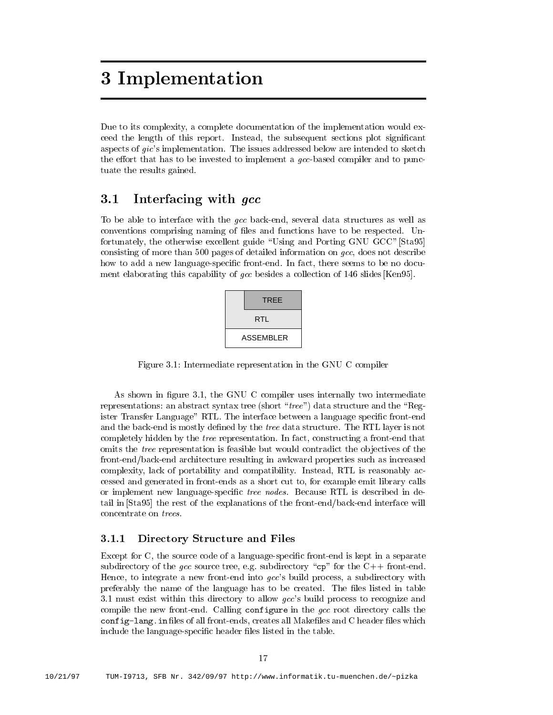## 3 Implementation

Due to its complexity, a complete documentation of the implementation would exceed the length of this report. Instead, the subsequent sections plot significant aspects of  $gic$ 's implementation. The issues addressed below are intended to sketch the effort that has to be invested to implement a  $qcc$ -based compiler and to punctuate the results gained

## 3.1 Interfacing with *acc*

To be able to interface with the  $\mathfrak{gcc}$  back-end, several data structures as well as conventions comprising naming of files and functions have to be respected. Unfortunately, the otherwise excellent guide "Using and Porting GNU GCC" [Sta95] consisting of more than 500 pages of detailed information on  $qcc$ , does not describe how to add a new language-specific front-end. In fact, there seems to be no document elaborating this capability of gcc besides a collection of slides Ken

| TREE             |
|------------------|
| RTL              |
| <b>ASSEMBLER</b> |

Figure Intermediate representation in the GNU C compiler

as shown in agree was very computed interest intermediately two intermediately the components of representations: an abstract syntax tree (short "tree") data structure and the "Register Transfer Language" RTL. The interface between a language specific front-end and the back-end is mostly defined by the *tree* data structure. The RTL layer is not completely hidden by the *tree* representation. In fact, constructing a front-end that omits the *tree* representation is feasible but would contradict the objectives of the front-end/back-end architecture resulting in awkward properties such as increased complexity, lack of portability and compatibility. Instead, RTL is reasonably accessed and generated in front-ends as a short cut to, for example emit library calls or implement new language-specific tree nodes. Because RTL is described in detail in [Sta95] the rest of the explanations of the front-end/back-end interface will concentrate on trees

### Directory Structure and Files

Except for C, the source code of a language-specific front-end is kept in a separate subdirectory of the gcc source tree, e.g. subdirectory " $cp$ " for the C++ front-end. Hence, to integrate a new front-end into  $gcc$ 's build process, a subdirectory with preferably the name of the language has to be created. The files listed in table must exist within this directory to allow gccs build process to recognize and compile the new front-end. Calling configure in the  $qcc$  root directory calls the configuration is on the configuration of all frontends continuous creates and continuous continuous continuous include the language-specific header files listed in the table.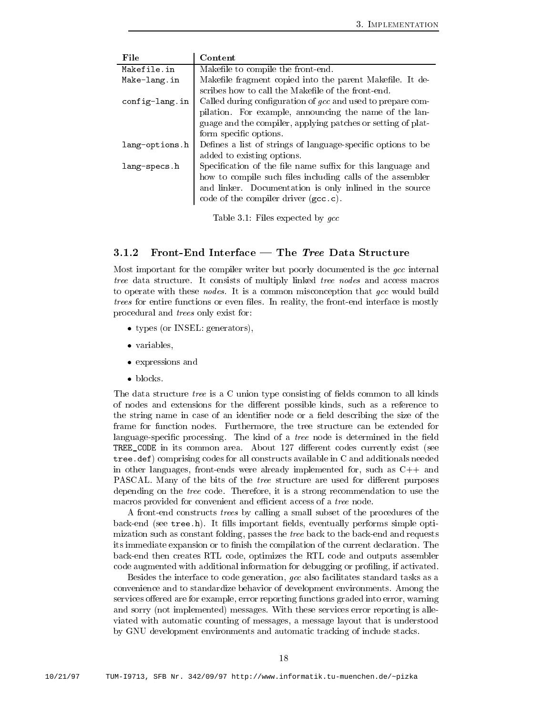| File           | Content                                                      |
|----------------|--------------------------------------------------------------|
| Makefile.in    | Makefile to compile the front-end.                           |
| Make-lang.in   | Makefile fragment copied into the parent Makefile. It de-    |
|                | scribes how to call the Makefile of the front-end.           |
| config-lang.in | Called during configuration of gcc and used to prepare com-  |
|                | pilation. For example, announcing the name of the lan-       |
|                | guage and the compiler, applying patches or setting of plat- |
|                | form specific options.                                       |
| lang-options.h | Defines a list of strings of language-specific options to be |
|                | added to existing options.                                   |
| lang-specs.h   | Specification of the file name suffix for this language and  |
|                | how to compile such files including calls of the assembler   |
|                | and linker. Documentation is only inlined in the source      |
|                | code of the compiler driver (gcc.c).                         |

Table 1988 and 1988 and 1988 and 1988 and 1988 and 1988 and 1988 and 1988 and 1988 and 1988 and 1988 and 1988

### 3.1.2 Front-End Interface — The Tree Data Structure

Most important for the compiler writer but poorly documented is the gcc internal tree data structure. It consists of multiply linked tree nodes and access macros to operate with these *nodes*. It is a common misconception that gcc would build trees for entire functions or even files. In reality, the front-end interface is mostly procedural and trees only exist for

- types or Insel generators and the Insel generators are in the Insel generators and the Insel generators are in
- variables
- experiences and considered and considered and considered and considered and considered and considered and considered and considered and considered and considered and considered and considered and considered and considered
- 

The data structure *tree* is a C union type consisting of fields common to all kinds of nodes and extensions for the different possible kinds, such as a reference to the string name in case of an identifier node or a field describing the size of the frame for function nodes. Furthermore, the tree structure can be extended for language-specific processing. The kind of a tree node is determined in the field trees in in its common area area are and the common area about the common the seed of the codes of the codes o tree.  $\texttt{def})$  comprising codes for all constructs available in C and additionals needed in other languages, front-ends were already implemented for, such as  $C_{++}$  and PASCAL. Many of the bits of the *tree* structure are used for different purposes depending on the tree code. Therefore, it is a strong recommendation to use the macros provided for convenient and e-cient access of a tree node

A front-end constructs *trees* by calling a small subset of the procedures of the back-end (see  $tree.h$ ). It fills important fields, eventually performs simple optimization such as constant folding, passes the *tree* back to the back-end and requests its immediate expansion or to finish the compilation of the current declaration. The backend then creates RTL code optimizes the RTL code and outputs assembler code augmented with additional information for debugging or profiling, if activated.

Besides the interface to code generation, gcc also facilitates standard tasks as a convenience and to standardize behavior of development environments Among the services offered are for example, error reporting functions graded into error, warning and sorry (not implemented) messages. With these services error reporting is alleviated with automatic counting of messages, a message layout that is understood by GNU development environments and automatic tracking of include stacks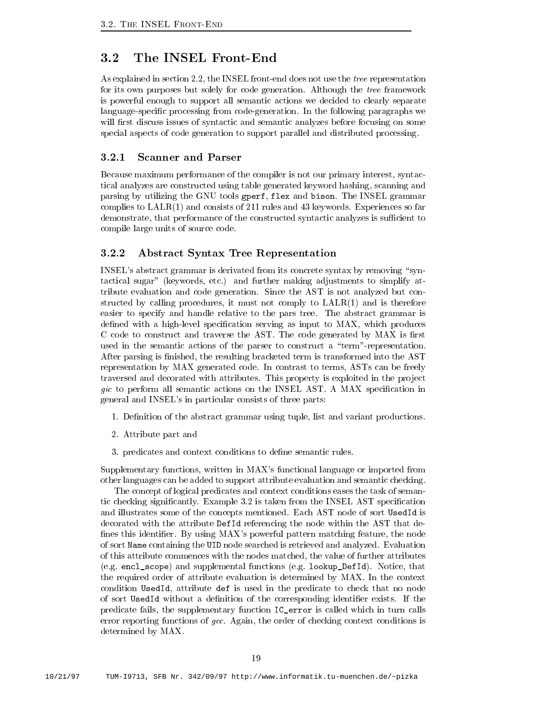As explained in section  $2.2$ , the INSEL front-end does not use the tree representation for its own purposes but solely for code generation Although the tree framework is powerful enough to support all semantic actions we decided to clearly separate language-specific processing from code-generation. In the following paragraphs we will first discuss issues of syntactic and semantic analyzes before focusing on some special aspects of code generation to support parallel and distributed processing

#### $3.2.1$ Scanner and Parser

Because maximum performance of the compiler is not our primary interest, syntactical analyzes are constructed using table generated keyword hashing scanning and parsing by utilizing the GNU tools gperf, flex and bison. The INSEL grammar complies to interestingly different consists of and consists of the proposition and provided and all the const demonstrate that performance of the constructed system systems is sub-constructed synthesis is supported to the compile large units of source code

### Abstract Syntax Tree Representation

INSEL's abstract grammar is derivated from its concrete syntax by removing "syntactical sugar" (keywords, etc.) and further making adjustments to simplify attribute evaluation and code generation Since the AST is not analyzed but con structed by calling procedures it must not comply to LALR and istherefore easier to specify and handle relative to the pars tree The abstract grammar is defined with a high-level specification serving as input to MAX, which produces C code to construct and traverse the AST. The code generated by  $MAX$  is first used in the semantic actions of the parser to construct a "term"-representation. After parsing is finished, the resulting bracketed term is transformed into the AST representation by MAX generated code In contrast to terms ASTs can be freely traversed and decorated with attributes. This property is exploited in the project  $\eta$ ic to perform all semantic actions on the INSEL AST. A MAX specification in general and INSEL's in particular consists of three parts:

- Denition of the abstract grammar using tuple list and variant productions
- Attribute part and
- 3. predicates and context conditions to define semantic rules.

Supplementary functions, written in MAX's functional language or imported from other languages can be added to support attribute evaluation and semantic checking

The concept of logical predicates and context conditions eases the task of seman tic checking significantly. Example 3.2 is taken from the INSEL AST specification and illustrates some of the concepts mentioned Each AST node of sort UsedId is decorated with the attribute DefId referencing the node within the AST that de fines this identifier. By using  $MAX$ 's powerful pattern matching feature, the node of sort Name containing the UID node searched is retrieved and analyzed Evaluation of this attribute commences with the nodes matched, the value of further attributes (e.g. encl\_scope) and supplemental functions (e.g. lookup\_DefId). Notice, that the required order of attribute evaluation is determined by MAX In the context condition UsedId attribute def is used in the predicate to check that no node of sort UsedId without a definition of the corresponding identifier exists. If the predicate fails, the supplementary function IC error is called which in turn calls error reporting functions of gcc. Again, the order of checking context conditions is determined by MAX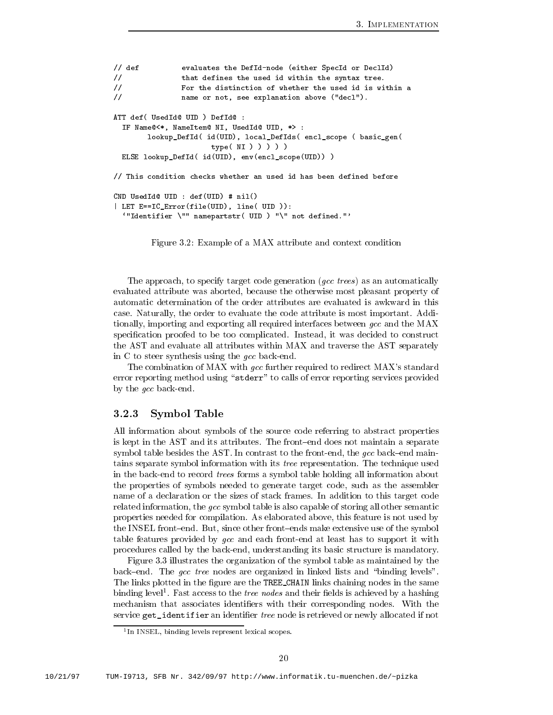```
definitions are defined the Definition of Definition or Definition or Definition or Definition or Definition o
// that defines the used id within the syntax tree.
 For the distinction of whether the used id is within a
name or not see the component of the seeds of the seeds of the seeds of the seeds of the seeds of the seeds of
ATT def ( UsedId@ UID ) DefId@ :
ATT def-
            Used Ideal and the contract of the contract of the contract of the contract of the contract of the contract of
   If Name Item Ni Usedid Uide United United United United United United United United United United United United
           lookupDefId-
 id-
UID localDefIds-
 enclscope -
 basicgen-
                                type-
 NI     
   else en en en en van de verweer van de verwys van de verwys van de verwys van de verwys van de verwys van de v
// This condition checks whether an used id has been defined before
CND UsedId UID  def-
UID 
 nil-

 LET EICError-
file-
UID line-
 UID 
   Identifier  nameparts the control of the control of the control of the control of the control of the control of
```
Figure 3.2: Example of a MAX attribute and context condition

The approach, to specify target code generation  $(gcc \; trees)$  as an automatically evaluated attribute was aborted, because the otherwise most pleasant property of automatic determination of the order attributes are evaluated is awkward in this case. Naturally, the order to evaluate the code attribute is most important. Additionally, importing and exporting all required interfaces between gcc and the MAX specification proofed to be too complicated. Instead, it was decided to construct the AST and evaluate all attributes within MAX and traverse the AST separately in C to steer synthesis using the  $\emph{gcc}$  back-end.

The combination of MAX with  $\emph{gcc}$  further required to redirect MAX's standard error reporting method using "stderr" to calls of error reporting services provided by the *gcc* back-end.

#### Symbol Table 3.2.3

All information about symbols of the source code referring to abstract properties is kept in the AST and its attributes. The front-end does not maintain a separate symbol table besides the AST. In contrast to the front-end, the gcc back-end maintains separate symbol information with its tree representation The technique used in the back-end to record *trees* forms a symbol table holding all information about the properties of symbols needed to generate target code, such as the assembler name of a declaration or the sizes of stack frames In addition to this target code related information, the gcc symbol table is also capable of storing all other semantic properties needed for compilation As elaborated above this feature is not used by the INSEL front-end. But, since other front-ends make extensive use of the symbol table features provided by gcc and each front-end at least has to support it with procedures called by the back-end, understanding its basic structure is mandatory.

Figure 3.3 illustrates the organization of the symbol table as maintained by the back–end. The gcc tree nodes are organized in linked lists and "binding levels". The links plotted in the figure are the TREE\_CHAIN links chaining nodes in the same binding level". Fast access to the *tree nodes* and their helds is achieved by a hashing mechanism that associates identifiers with their corresponding nodes. With the service get\_identifier an identifier tree node is retrieved or newly allocated if not

In INSEL binding levels represent lexical scopes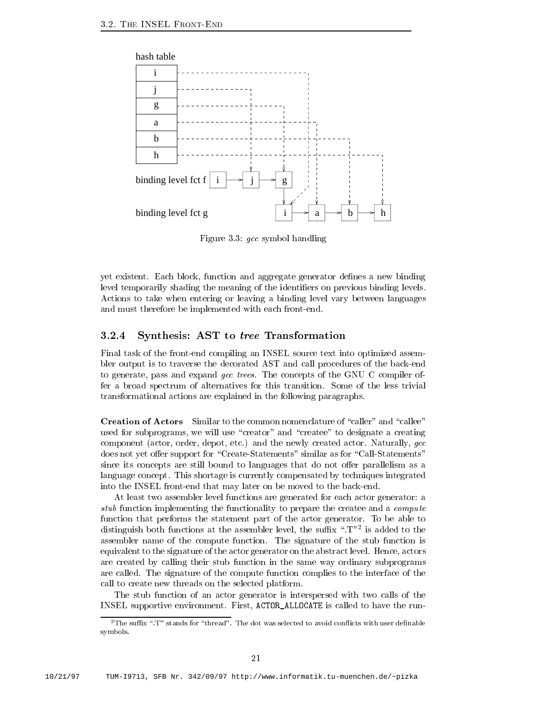

Figure 3.3:  $\rm{gcc}$  symbol handling

yet existent. Each block, function and aggregate generator defines a new binding level temporarily shading the meaning of the identifiers on previous binding levels. Actions to take when entering or leaving a binding level vary between languages and must therefore be implemented with each front-end.

### 3.2.4 Synthesis: AST to tree Transformation

Final task of the front-end compiling an INSEL source text into optimized assembler output is to traverse the decorated AST and call procedures of the back-end to generate, pass and expand gcc trees. The concepts of the GNU C compiler offer a broad spectrum of alternatives for this transition Some of the less trivial transformational actions are explained in the following paragraphs

Creation of Actors Similar to the common nomenclature of "caller" and "callee" used for subprograms, we will use "creator" and "createe" to designate a creating component (actor, order, depot, etc.) and the newly created actor. Naturally,  $qcc$ does not yet offer support for "Create-Statements" similar as for "Call-Statements" since its concepts are still bound to languages that do not offer parallelism as a language concept. This shortage is currently compensated by techniques integrated into the INSEL front-end that may later on be moved to the back-end.

At least two assembler level functions are generated for each actor generator: a stub function implementing the functionality to prepare the createe and a *compute* function that performs the statement part of the actor generator. To be able to distinguish both functions at the assembler level, the sumx  $\,$  ,  $\,$   $\,$   $\,$   $\,$   $\,$   $\,$  is added to the assembler name of the compute function The signature of the stub function is equivalent to the signature of the actor generator on the abstract level. Hence, actors are created by calling their stub function in the same way ordinary subprograms are called. The signature of the compute function complies to the interface of the call to create new threads on the selected platform

The stub function of an actor generator is interspersed with two calls of the INSEL supportive environment. First, ACTOR\_ALLOCATE is called to have the run-

 $\overline{\ }$  the suid  $\overline{x}$  to stands for thread the dot was selected to avoid confidence with user dennable symbols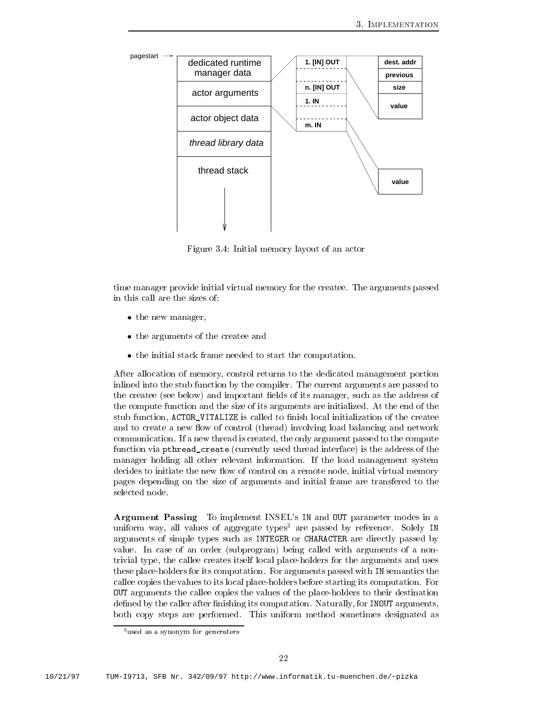

Figure 3.4: Initial memory layout of an actor

time manager provide initial virtual memory for the createe The arguments passed in this call are the sizes of

- the new managers of  $\sim$
- the arguments of the arguments of the create and  $\alpha$
- the initial stack frame needed to start the initial state frame needed to start the computation of  $\mathbb{R}^n$

After allocation of memory control returns to the dedicated management portion inlined into the stub function by the compiler. The current arguments are passed to the createe (see below) and important fields of its manager, such as the address of the compute function and the size of its arguments are initialized. At the end of the stub function, ACTOR\_VITALIZE is called to finish local initialization of the createe and to create a new flow of control (thread) involving load balancing and network communication. If a new thread is created, the only argument passed to the compute function via pthread create (currently used thread interface) is the address of the manager holding all other relevant information If the load management system decides to initiate the new flow of control on a remote node, initial virtual memory pages depending on the size of arguments and initial frame are transfered to the selected node

Argument Passing To implement INSEL's IN and OUT parameter modes in a uniform way, all values of aggregate types<sup>3</sup> are passed by reference. Solely IN arguments of simple types such as INTEGER or CHARACTER are directly passed by value. In case of an order (subprogram) being called with arguments of a nontrivial type, the callee creates itself local place-holders for the arguments and uses these place-holders for its computation. For arguments passed with IN semantics the callee copies the values to its local place-holders before starting its computation. For OUT arguments the callee copies the values of the placeholders to their destination defined by the caller after finishing its computation. Naturally, for INOUT arguments, both copy steps are performed. This uniform method sometimes designated as

<sup>-</sup>used as a synonym for generators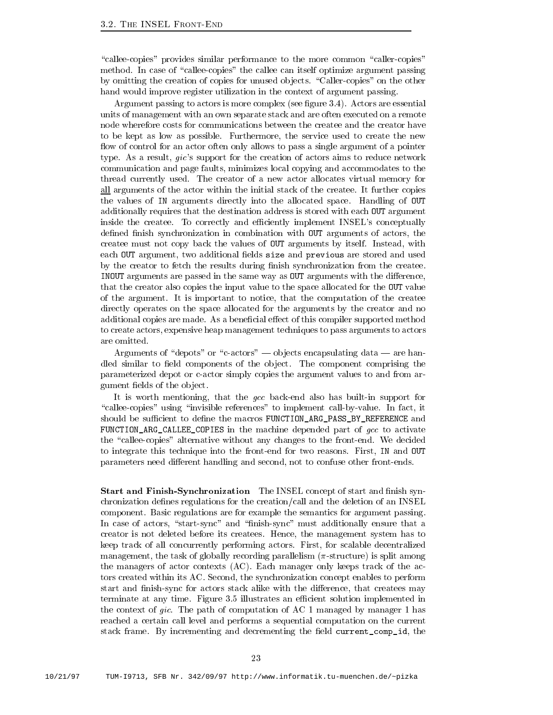"callee-copies" provides similar performance to the more common "caller-copies" method. In case of "callee-copies" the callee can itself optimize argument passing by omitting the creation of copies for unused objects. "Caller-copies" on the other hand would improve register utilization in the context of argument passing

Argument passing to actors is more complex (see figure  $3.4$ ). Actors are essential units of management with an own separate stack and are often executed on a remote node wherefore costs for communications between the createe and the creator have to be kept as low as possible Furthermore the service used to create the new flow of control for an actor often only allows to pass a single argument of a pointer type. As a result,  $\textit{gic's}$  support for the creation of actors aims to reduce network communication and page faults, minimizes local copying and accommodates to the thread currently used. The creator of a new actor allocates virtual memory for all arguments of the actor within the initial stack of the createe It further copies the values of IN arguments directly into the allocated space Handling of OUT additionally requires that the destination address is stored with each OUT argument inside the createe To correctly and e-ciently implement INSELs conceptually defined finish synchronization in combination with OUT arguments of actors, the createe must not copy back the values of OUT arguments by itself. Instead, with each OUT argument, two additional fields size and previous are stored and used by the creator to fetch the results during finish synchronization from the createe. INOUT arguments are passed in the same way as OUT arguments with the difference, that the creator also copies the input value to the space allocated for the OUT value of the argument. It is important to notice, that the computation of the createe directly operates on the space allocated for the arguments by the creator and no additional copies are made. As a beneficial effect of this compiler supported method to create actors expensive heap management techniques to pass arguments to actors

Arguments of "depots" or "c-actors"  $\rightarrow$  objects encapsulating data  $\rightarrow$  are handled similar to field components of the object. The component comprising the parameterized depot or cactor simply copies the argument values to and from ar gument fields of the object.

It is worth mentioning, that the gcc back-end also has built-in support for "callee-copies" using "invisible references" to implement call-by-value. In fact, it showled be superfected by denetheir functionarge functionargement and macroscopic and macroscopic and macroscopic FUNCTION\_ARG\_CALLEE\_COPIES in the machine depended part of  $gcc$  to activate the "callee-copies" alternative without any changes to the front-end. We decided to integrate this technique into the front-end for two reasons. First, IN and OUT parameters need different handling and second, not to confuse other front-ends.

Start and Finish-Synchronization The INSEL concept of start and finish synchronization defines regulations for the creation/call and the deletion of an INSEL component. Basic regulations are for example the semantics for argument passing. In case of actors, "start-sync" and "finish-sync" must additionally ensure that a creator is not deleted before its createes Hence the management system has to keep track of all concurrently performing actors. First, for scalable decentralized management, the task of globally recording parallelism  $(\pi\text{-structure})$  is split among the managers of actor contexts  $(AC)$ . Each manager only keeps track of the actors created within its AC. Second, the synchronization concept enables to perform start and finish-sync for actors stack alike with the difference, that createes may terminate at any time Figure 
 illustrates an e-cient solution implemented in  $\cdots$  context of give The paths of computation of  $\cdots$  and  $\cdots$  and  $\cdots$  is manager  $\cdots$ reached a certain call level and performs a sequential computation on the current stack frame. By incrementing and decrementing the field current\_comp\_id, the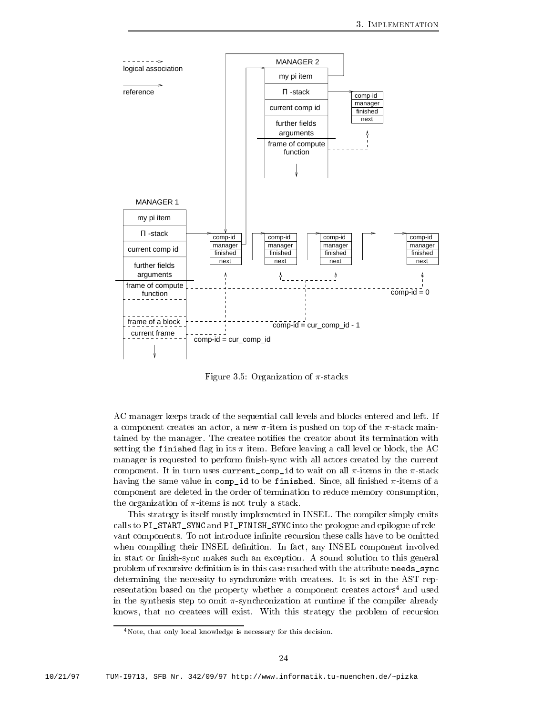

Figure 3.5: Organization of  $\pi$ -stacks

AC manager keeps track of the sequential call levels and blocks entered and left. If a component creates an actor, a new  $\pi$ -item is pushed on top of the  $\pi$ -stack maintained by the manager. The createe notifies the creator about its termination with setting the finished flag in its  $\pi$  item. Before leaving a call level or block, the AC manager is requested to perform finish-sync with all actors created by the current component. It in turn uses current\_comp\_id to wait on all  $\pi$ -items in the  $\pi$ -stack having the same value in compid to be finished. Since, all finished  $\pi$ -items of a component are deleted in the order of termination to reduce memory consumption the organization of  $\pi$ -items is not truly a stack.

This strategy is itself mostly implemented in INSEL The compiler simply emits calls to PI\_START\_SYNC and PI\_FINISH\_SYNC into the prologue and epilogue of relevant components. To not introduce infinite recursion these calls have to be omitted when compiling their INSEL definition. In fact, any INSEL component involved in start or finish-sync makes such an exception. A sound solution to this general problem of recursive definition is in this case reached with the attribute needs\_sync determining the necessity to synchronize with createes It is set in the AST rep resentation based on the property whether a component creates  $\arccos^4$  and used in the synthesis step to omit  $\pi$ -synchronization at runtime if the compiler already knows that no createes will exist With this strategy the problem of recursion

 $4$  Note, that only local knowledge is necessary for this decision.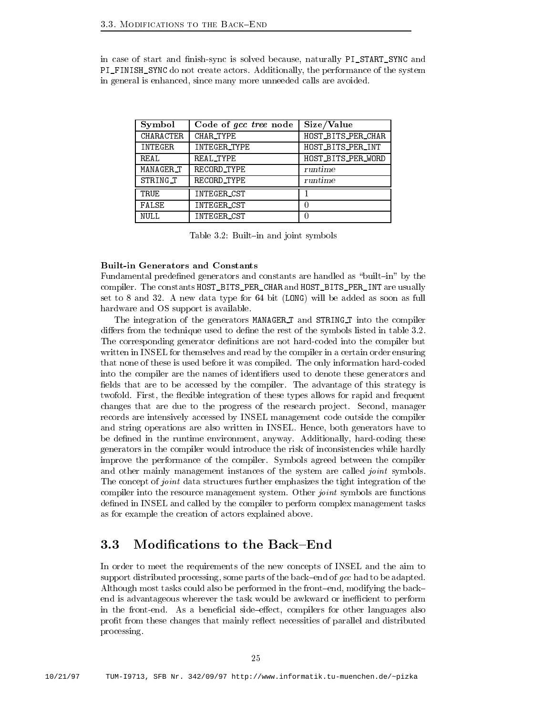in case of start and finish-sync is solved because, naturally PI\_START\_SYNC and PI\_FINISH\_SYNC do not create actors. Additionally, the performance of the system in general is enhanced, since many more unneeded calls are avoided.

| Symbol    | Code of gcc tree node | Size/Value         |
|-----------|-----------------------|--------------------|
| CHARACTER | CHAR TYPE             | HOST_BITS_PER_CHAR |
| INTEGER   | INTEGER_TYPE          | HOST BITS PER INT  |
| RFAL.     | REAL_TYPE             | HOST BITS PER WORD |
| MANAGER_T | RECORD TYPE           | runtime            |
| STRING_T  | RECORD TYPE           | runtime            |
| TRUE      | INTEGER_CST           |                    |
| FALSE     | INTEGER_CST           |                    |
| NULL.     | INTEGER_CST           |                    |

Table 3.2: Built-in and joint symbols

### Built-in Generators and Constants

Fundamental predefined generators and constants are handled as "built-in" by the compiler. The constants HOST\_BITS\_PER\_CHAR and HOST\_BITS\_PER\_INT are usually set to 8 and 32. A new data type for  $64$  bit (LONG) will be added as soon as full hardware and OS support is available

The integration of the generators MANAGER T and STRING T into the compiler differs from the technique used to define the rest of the symbols listed in table  $3.2$ . The corresponding generator definitions are not hard-coded into the compiler but written in INSEL for themselves and read by the compiler in a certain order ensuring that none of these is used before it was compiled. The only information hard-coded into the compiler are the names of identifiers used to denote these generators and fields that are to be accessed by the compiler. The advantage of this strategy is twofold. First, the flexible integration of these types allows for rapid and frequent changes that are due to the progress of the research project. Second, manager records are intensively accessed by INSEL management code outside the compiler and string operations are also written in INSEL Hence both generators have to be defined in the runtime environment, anyway. Additionally, hard-coding these generators in the compiler would introduce the risk of inconsistencies while hardly improve the performance of the compiler. Symbols agreed between the compiler and other mainly management instances of the system are called *joint* symbols. The concept of *joint* data structures further emphasizes the tight integration of the compiler into the resource management system. Other *joint* symbols are functions defined in INSEL and called by the compiler to perform complex management tasks as for example the creation of actors explained above

### 3.3 Modifications to the Back–End

In order to meet the requirements of the new concepts of INSEL and the aim to support distributed processing, some parts of the back-end of  $\emph{gcc}$  had to be adapted. Although most tasks could also be performed in the front-end, modifying the backend is advantageous wherever the task would be awkward or ine-cient to perform in the front-end. As a beneficial side-effect, compilers for other languages also profit from these changes that mainly reflect necessities of parallel and distributed processing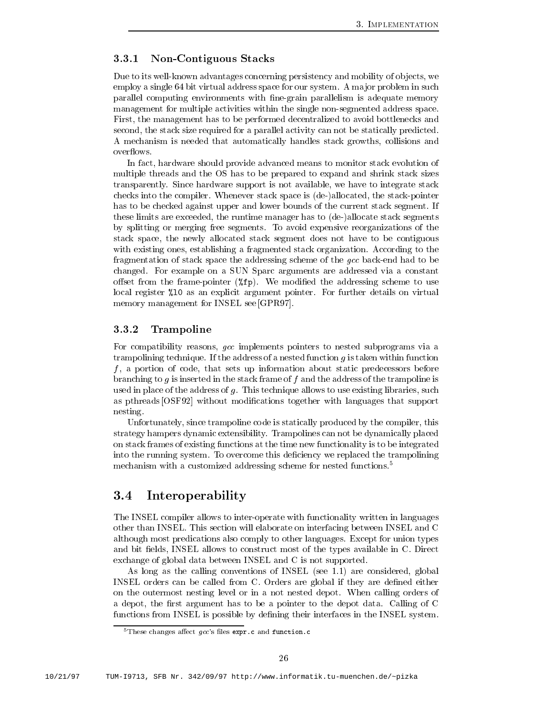#### 3.3.1 Non-Contiguous Stacks

Due to its well-known advantages concerning persistency and mobility of objects, we employ a single 64 bit virtual address space for our system. A major problem in such parallel computing environments with negrain parallelism is adequate memory management for multiple activities within the single non-segmented address space. First, the management has to be performed decentralized to avoid bottlenecks and second, the stack size required for a parallel activity can not be statically predicted. A mechanism is needed that automatically handles stack growths collisions and overflows.

In fact, hardware should provide advanced means to monitor stack evolution of multiple threads and the OS has to be prepared to expand and shrink stack sizes transparently Since hardware support is not available we have to integrate stack checks into the compiler. Whenever stack space is (de-)allocated, the stack-pointer has to be checked against upper and lower bounds of the current stack segment. If these limits are exceeded, the runtime manager has to (de-)allocate stack segments by splitting or merging free segments To avoid expensive reorganizations of the stack space the newly allocated stack segment does not have to be contiguous with existing ones, establishing a fragmented stack organization. According to the fragmentation of stack space the addressing scheme of the gcc back-end had to be changed For example on a SUN Sparc arguments are addressed via a constant offset from the frame-pointer  $(\n% f\mathbf{p})$ . We modified the addressing scheme to use local register %10 as an explicit argument pointer. For further details on virtual memory management for INSEL see [GPR97].

#### 3.3.2 Trampoline

For compatibility reasons, gcc implements pointers to nested subprograms via a trampolining technique. If the address of a nested function  $g$  is taken within function f a portion of code that sets up information about static predecessors before branching to g is inserted in the stack frame of f and the address of the trampoline is used in place of the address of  $g$ . This technique allows to use existing libraries, such as pthreads [OSF92] without modifications together with languages that support nesting

Unfortunately, since trampoline code is statically produced by the compiler, this strategy hampers dynamic extensibility Trampolines can not be dynamically placed on stack frames of existing functions at the time new functionality is to be integrated into the running system. To overcome this deficiency we replaced the trampolining mechanism with a customized addressing scheme for nested functions.<sup>5</sup>

#### 3.4 Interoperability

The INSEL compiler allows to inter-operate with functionality written in languages other than INSEL This section will elaborate on interfacing between INSEL and C although most predications also comply to other languages Except for union types and bit fields, INSEL allows to construct most of the types available in C. Direct exchange of global data between INSEL and C is not supported

As long as the calling conventions of INSEL see are considered global INSEL orders can be called from C Orders are global if they are dened either on the outermost nesting level or in a not nested depot When calling orders of a depot, the first argument has to be a pointer to the depot data. Calling of C functions from INSEL is possible by defining their interfaces in the INSEL system.

 $\,$  - I nese changes ahect *ucc* sines expric and function c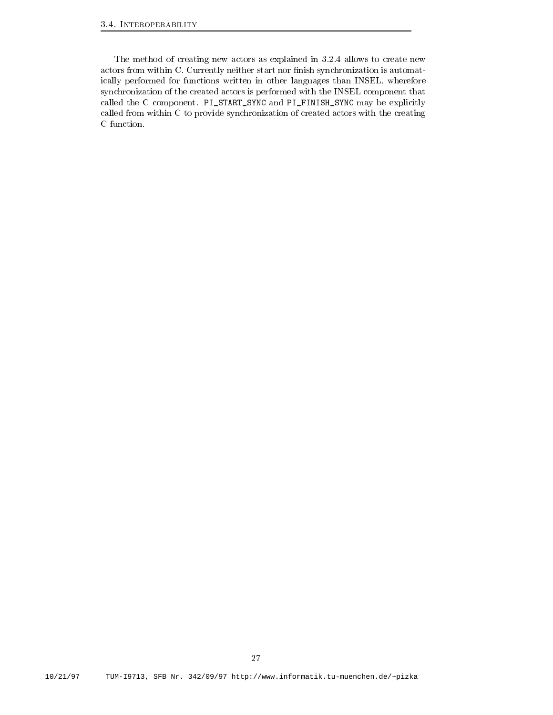The method of creating new actors as explained in 3.2.4 allows to create new actors from within C. Currently neither start nor finish synchronization is automatically performed for functions written in other languages than INSEL, wherefore synchronization of the created actors is performed with the INSEL component that called the C component. PI\_START\_SYNC and PI\_FINISH\_SYNC may be explicitly called from within C to provide synchronization of created actors with the creating C function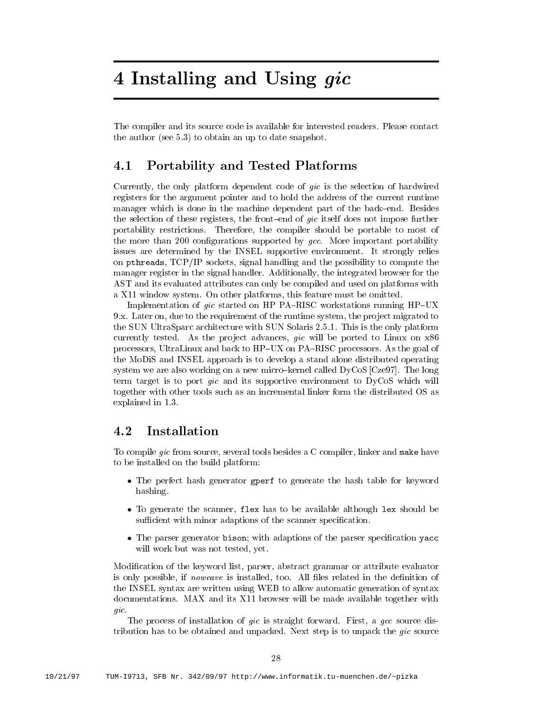# 4 Installing and Using gic

The compiler and its source code is available for interested readers. Please contact the author (see  $5.3$ ) to obtain an up to date snapshot.

## Portability and Tested Platforms

Currently the only platform dependent code of gic is the selection of hardwired registers for the argument pointer and to hold the address of the current runtime manager which is done in the machine dependent part of the back-end. Besides the selection of these registers, the front-end of  $\textit{gic}$  itself does not impose further portability restrictions. Therefore, the compiler should be portable to most of the more than 200 configurations supported by  $qcc$ . More important portability issues are determined by the INSEL supportive environment. It strongly relies on pthreads,  $TCP/IP$  sockets, signal handling and the possibility to compute the manager register in the signal handler. Additionally, the integrated browser for the AST and its evaluated attributes can only be compiled and used on platforms with a xaad oo dhaan oo jaraadda waa aaddan platformaan this feature must be omitted must be omitted and the omitte

Implementation of  $\text{gic started on HP PA}-RISC$  workstations running  $HP-UX$ 9.x. Later on, due to the requirement of the runtime system, the project migrated to . The SUN ULTRASPART are the substitution of the only platform in Sun Solaris and Sun Solaris platform in the o currently tested. As the project advances,  $gic$  will be ported to Linux on  $x86$ processors, UltraLinux and back to HP-UX on PA-RISC processors. As the goal of the MoDiS and INSEL approach is to develop a stand alone distributed operating system we are also working on a new micro-kernel called  $DyCoS$  [Cze97]. The long term target is to port *qic* and its supportive environment to  $DyCoS$  which will together with other tools such as an incremental linker form the distributed OS as explained in the second intervals of the second intervals of the second intervals of the second intervals of the second intervals of the second intervals of the second intervals of the second intervals of the second interv

## 4.2

To compile gic from source, several tools besides a C compiler, linker and make have to be installed on the build platform

- The perfect hash generator gperf to generate the hash table for keyword hashing
- To generate the scanner flex has to be available although lex should be sum cient with minor adaptions of the special special special special special special special special special
- The parser generator bison with adaptions of the parser specication yacc will work but was not tested, yet.

Modification of the keyword list, parser, abstract grammar or attribute evaluator is only possible, if *noweave* is installed, too. All files related in the definition of the INSEL syntax are written using WEB to allow automatic generation of syntax documentations MAX and its X-rowser will be made available to X-rowser with the made available together with the made available together with the made available together with the made available together with the made avail gic.<br>The process of installation of gic is straight forward. First, a gcc source dis-

tribution has to be obtained and unpacked. Next step is to unpack the  $\textit{gic}$  source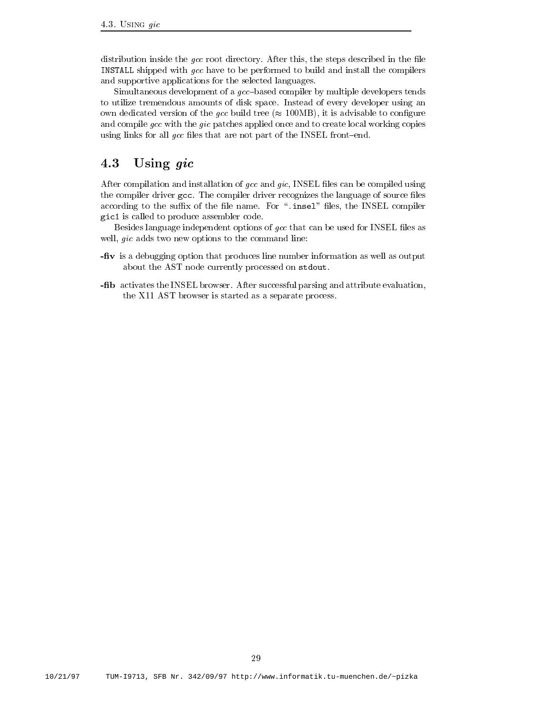distribution inside the  $\emph{gcc}$  root directory. After this, the steps described in the file INSTALL shipped with gcc have to be performed to build and install the compilers and supportive applications for the selected languages

Simultaneous development of a  $\textit{gcc}-\textit{based compiler}$  by multiple developers tends to utilize tremendous amounts of disk space Instead of every developer using an own dedicated version of the gcc build tree MB it is advisable to congure and compile gcc with the gic patches applied once and to create local working copies using links for all  $\gcd$  files that are not part of the INSEL front-end.

## 4.3 Using  $\emph{gic}$

After compilation and installation of  $\mathfrak{gcc}$  and  $\mathfrak{gic}$ . INSEL files can be compiled using the compiler driver gcc. The compiler driver recognizes the language of source files according to the summer in the model lessence in the INSEL compiler the INSEL compiler the INSEL compiler the gic1 is called to produce assembler code.

Besides language independent options of  $\emph{gcc}$  that can be used for INSEL files as well,  $gic$  adds two new options to the command line:

- **-fiv** is a debugging option that produces line number information as well as output about the AST node currently processed on stdout
- -fib activates the INSEL browser. After successful parsing and attribute evaluation, the X ast browser is started as a separate processes in the X ast browser is started as a separate processes i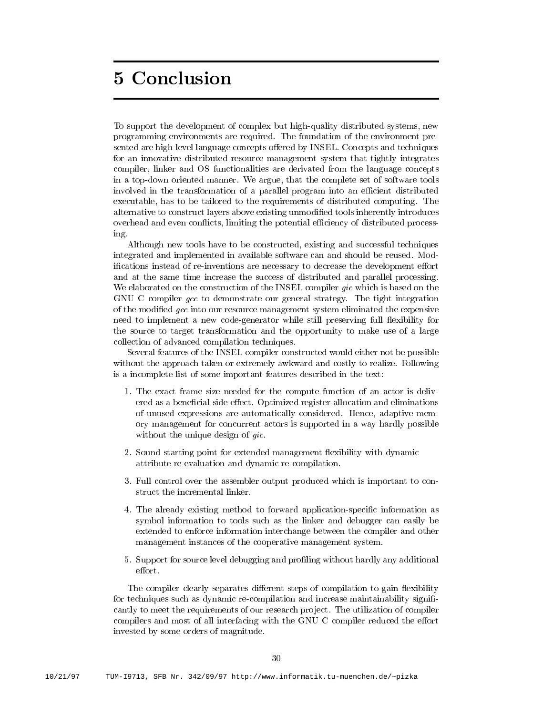# **5 Conclusion**

To support the development of complex but high-quality distributed systems, new programming environments are required. The foundation of the environment presented are high-level language concepts offered by INSEL. Concepts and techniques for an innovative distributed resource management system that tightly integrates compiler, linker and OS functionalities are derivated from the language concepts in a top-down oriented manner. We argue, that the complete set of software tools involved in the transformation of a parallel program into an e-cient distributed executable, has to be tailored to the requirements of distributed computing. The alternative to construct layers above existing unmodified tools inherently introduces overhead and even con icts limiting the potential e-ciency of distributed process ing

Although new tools have to be constructed, existing and successful techniques integrated and implemented in available software can and should be reused. Modifications instead of re-inventions are necessary to decrease the development effort and atthe same time increase the success of distributed and parallel processing We elaborated on the construction of the INSEL compiler gic which is based on the GNU C compiler gcc to demonstrate our general strategy. The tight integration of the modified gcc into our resource management system eliminated the expensive need to implement a new code-generator while still preserving full flexibility for the source to target transformation and the opportunity to make use of a large collection of advanced compilation techniques

Several features of the INSEL compiler constructed would either not be possible without the approach taken or extremely awkward and costly to realize. Following is a incomplete list of some important features described in the text

- The exact frame size needed for the compute function of an actor is deliv ered as a beneficial side-effect. Optimized register allocation and eliminations of unused expressions are automatically considered Hence adaptive mem ory management for concurrent actors is supported in a way hardly possible without the unique design of gic.
- 2. Sound starting point for extended management flexibility with dynamic attribute re-evaluation and dynamic re-compilation.
- Full control over the assembler output produced which is important to con struct the incremental linker
- 4. The already existing method to forward application-specific information as symbol information to tools such as the linker and debugger can easily be extended to enforce information interchange between the compiler and other management instances of the cooperative management system
- 5. Support for source level debugging and profiling without hardly any additional effort.

The compiler clearly separates different steps of compilation to gain flexibility for techniques such as dynamic recompilation and increase maintainability signi cantly to meet the requirements of our research project. The utilization of compiler compilers and most of all interfacing with the GNU C compiler reduced the effort invested by some orders of magnitude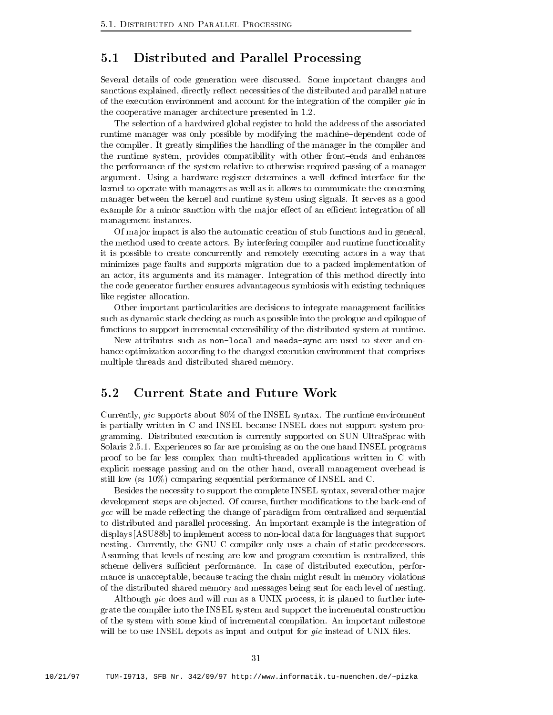## 5.1 Distributed and Parallel Processing

Several details of code generation were discussed. Some important changes and sanctions explained, directly reflect necessities of the distributed and parallel nature of the execution environment and account for the integration of the compiler gic in the cooperative manager architecture presented in 

The selection of a hardwired global register to hold the address of the associated runtime manager was only possible by modifying the machinedependent code of the compiler. It greatly simplifies the handling of the manager in the compiler and the runtime system, provides compatibility with other front-ends and enhances the performance of the system relative to otherwise required passing of a manager argument. Using a hardware register determines a well-defined interface for the kernel to operate with managers as well as it allows to communicate the concerning manager between the kernel and runtime system using signals It serves as a good example for a minor sanction with the ma jor eect of an e-cient integration of all management instances

Of major impact is also the automatic creation of stub functions and in general, the method used to create actors By interfering compiler and runtime functionality it is possible to create concurrently and remotely executing actors in a way that minimizes page faults and supports migration due to a packed implementation of an actor, its arguments and its manager. Integration of this method directly into the code generator further ensures advantageous symbiosis with existing techniques like register allocation

Other important particularities are decisions to integrate management facilities such as dynamic stack checking as much as possible into the prologue and epilogue of functions to support incremental extensibility of the distributed system at runtime

New attributes such as non-local and needs-sync are used to steer and en hance optimization according to the changed execution environment that comprises multiple threads and distributed shared memory

#### $5.2$ Current State and Future Work

Currently, gic supports about  $80\%$  of the INSEL syntax. The runtime environment is partially written in C and INSEL because INSEL does not support system pro gramming. Distributed execution is currently supported on SUN UltraSprac with Solaris  Experiences so far are promising as on the one hand INSEL programs proof to be far less complex than multi-threaded applications written in C with explicit message passing and on the other hand, overall management overhead is still in a comparing sequential performance of  $\sim$   $\sim$ 

Besides the necessity to support the complete INSEL syntax, several other major development steps are objected. Of course, further modifications to the back-end of gcc will be made reflecting the change of paradigm from centralized and sequential to distributed and parallel processing An important example is the integration of displays  $[ASU88b]$  to implement access to non-local data for languages that support nesting. Currently, the GNU C compiler only uses a chain of static predecessors. Assuming that levels of nesting are low and program execution is centralized, this scheme delivers su-cient performance In case of distributed execution perfor mance is unacceptable, because tracing the chain might result in memory violations of the distributed shared memory and messages being sent for each level of nesting

Although gic does and will run as a UNIX process, it is planed to further integrate the compiler into the INSEL system and support the incremental construction of the system with some kind of incremental compilation An important milestone will be to use INSEL depots as input and output for gic instead of UNIX files.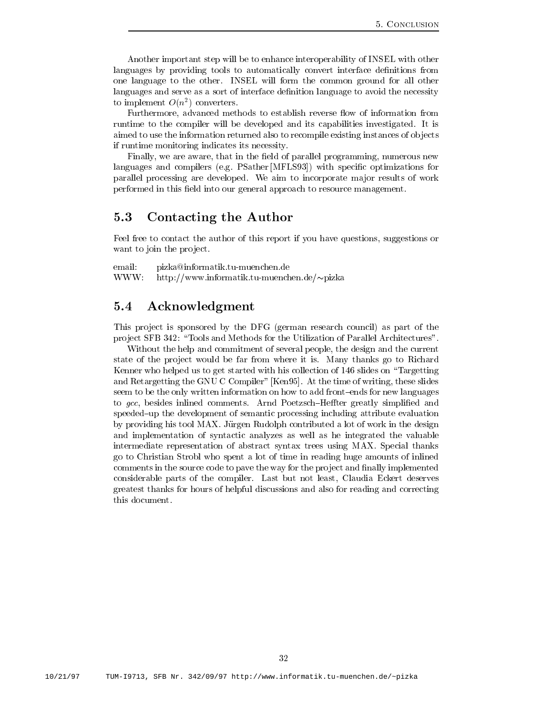Another important step will be to enhance interoperability of INSEL with other languages by providing tools to automatically convert interface definitions from one language to the other. INSEL will form the common ground for all other languages and serve as a sort of interface definition language to avoid the necessity to implement  $O(n^-)$  converters.

Furthermore, advanced methods to establish reverse flow of information from runtime to the compiler will be developed and its capabilities investigated. It is aimed to use the information returned also to recompile existing instances of ob jects if runtime monitoring indicates its necessity

Finally, we are aware, that in the field of parallel programming, numerous new languages and compilers (e.g. PSather [MFLS93]) with specific optimizations for parallel processing are developed. We aim to incorporate major results of work performed in this field into our general approach to resource management.

#### $5.3$ Contacting the Author

Feel free to contact the author of this report if you have questions suggestions or want to join the project.

email: pizka@informatik.tu-muenchen.de ww.com/http://www.com/https//www.com/https//www.com/https//www.com/https//www.com/

### 5.4 Acknowledgment

This project is sponsored by the DFG (german research council) as part of the project SFB 342: "Tools and Methods for the Utilization of Parallel Architectures".

Without the help and commitment of several people, the design and the current state of the project would be far from where it is. Many thanks go to Richard Kenner who helped us to get started with his collection of slides on Targetting and Retargetting the GNU C Compiler" [Ken95]. At the time of writing, these slides seem to be the only written information on how to add front-ends for new languages to gcc, besides inlined comments. Arnd Poetzsch-Heffter greatly simplified and speeded-up the development of semantic processing including attribute evaluation by providing his tool MAX. Jürgen Rudolph contributed a lot of work in the design and implementation of syntactic analyzes as well as he integrated the valuable intermediate representation of abstract syntax trees using MAX Special thanks go to Christian Strobl who spent a lot of time in reading huge amounts of inlined comments in the source code to pave the way for the project and finally implemented considerable parts of the compiler. Last but not least, Claudia Eckert deserves greatest thanks for hours of helpful discussions and also for reading and correcting this document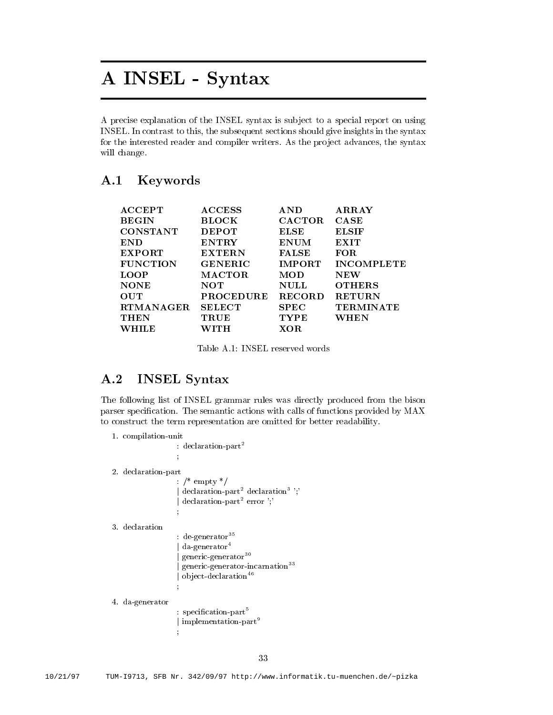# A INSEL - Syntax

A precise explanation of the INSEL syntax is sub ject to a special report on using INSEL. In contrast to this, the subsequent sections should give insights in the syntax for the interested reader and compiler writers. As the project advances, the syntax will change.

#### **Keywords**  $A.1$

| <b>ACCEPT</b>    | <b>ACCESS</b>    | <b>AND</b>    | <b>ARRAY</b>      |
|------------------|------------------|---------------|-------------------|
| <b>BEGIN</b>     | <b>BLOCK</b>     | <b>CACTOR</b> | CASE              |
| <b>CONSTANT</b>  | <b>DEPOT</b>     | ELSE          | <b>ELSIF</b>      |
| <b>END</b>       | <b>ENTRY</b>     | <b>ENUM</b>   | EXIT              |
| <b>EXPORT</b>    | <b>EXTERN</b>    | <b>FALSE</b>  | FOR.              |
| <b>FUNCTION</b>  | <b>GENERIC</b>   | <b>IMPORT</b> | <b>INCOMPLETE</b> |
| <b>LOOP</b>      | <b>MACTOR</b>    | MOD           | NEW               |
| <b>NONE</b>      | NOT              | <b>NULL</b>   | <b>OTHERS</b>     |
| <b>OUT</b>       | <b>PROCEDURE</b> | <b>RECORD</b> | <b>RETURN</b>     |
| <b>RTMANAGER</b> | <b>SELECT</b>    | <b>SPEC</b>   | <b>TERMINATE</b>  |
| <b>THEN</b>      | TRUE             | <b>TYPE</b>   | WHEN              |
| WHILE            | WITH             | XOR.          |                   |
|                  |                  |               |                   |

#### $A.2$ INSEL Syntax

The following list of INSEL grammar rules was directly produced from the bison parser specification. The semantic actions with calls of functions provided by MAX to construct the term representation are omitted for better readability

```
compilation-between the compilation-between the compilation-between the compilation-between the compilation-between the compilation-between the compilation-between the compilation-between the compilation-between the compil
                                      declaration-
part
                                     The Community of the Community
 declaration-between the control of the control of the control of the control of the control of the control of the control of the control of the control of the control of the control of the control of the control of the con
                                       \gamma<sup>*</sup> empty <sup>*</sup>/
                                     j declaration-
part declaration-

                                     j declaration-
part error 
	 declaration
                                      de-
generator-

                                     j da-
generator
                                     j generic-
generator-

                                     j generic-
generator-
incarnation-
-
                                     j ob ject-
declaration
 \alpha-generator \alpha: specification-part
                                     j implementation-
part
                                    ÷
```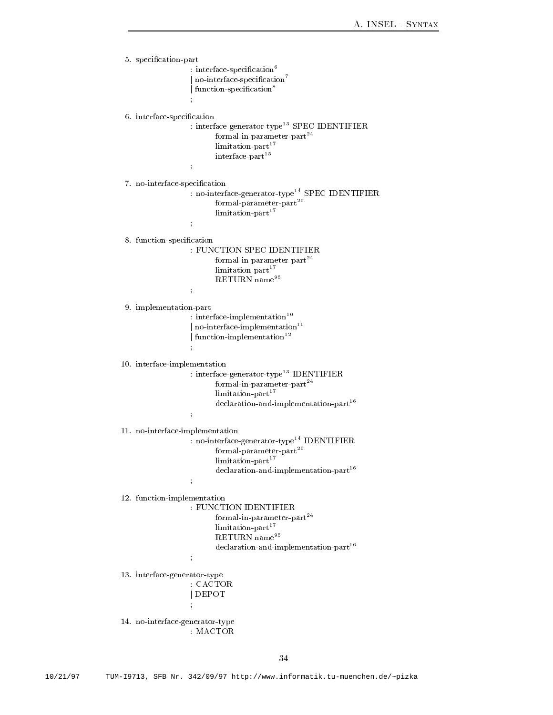```
species to the contract of the contract of the contract of the contract of the contract of the contract of the contract of the contract of the contract of the contract of the contract of the contract of the contract of the
                            : \; interface-specification \cdot\parallel no-interface-specification \parallel\parallel function-specification \bar{\parallel}The Community of the Community
 interface-term interface-term in the contraction of the contraction of the contraction of the contraction of the contraction of the contraction of the contraction of the contraction of the contraction of the contraction of
                            : interface-generator-type-SPEC IDENTIFIER
                                       formal-
in-
parameter-
part
                                       limitation-
part
                                       interface-
part
                           \frac{1}{3} no-
interface-
specication
                            : no-interface-generator-type SPEC IDENIIFIER
                                       formal-
parameter-
part
                                       limitation-
part
                            and the contract of the contract of the
 specialized the continuum of the special continuum of the second continuum of the second continuum of the second continuum of the second continuum of the second continuum of the second continuum of the second continuum of 
                            FUNCTION SPEC IDENTIFIER
                                       formal-
in-
parameter-
part
                                       limitation-
part RETURN name<sup>95</sup>
  implementation-
part
                            : interface-implementation--
                            j no-
interface-
implementation
                            j function-
implementation
interface-implementation-
                             interface-
generator-
type-
 IDENTIFIER
                                       formal-
in-
parameter-
part
                                       limitation-
part declaration-
and-
implementation-
part
                           \frac{1}{3}no-interface-implementation-interface-implementation-interface-implementation-interface-implementation-interface-
                             no-
interface-
generator-
type IDENTIFIER
                                       formal-
parameter-
part
                                       limitation-
part declaration-
and-
implementation-
part
                           \frac{1}{3} function-
implementation
                            FUNCTION IDENTIFIER
                                       formal-
in-
parameter-
part
                                       limitation-
part \mathrm{RETURN} \mathrm{name}^{95}declaration-
and-
implementation-
part
                           \frac{1}{3}interface-type and the contract of the contract of the contract of the contract of the contract of the contract of the contract of the contract of the contract of the contract of the contract of the contract of the contrac
                            CACTOR
                           j DEPOT
                           \frac{1}{2}
 no-
interface-
generator-
type
                            MACTOR
```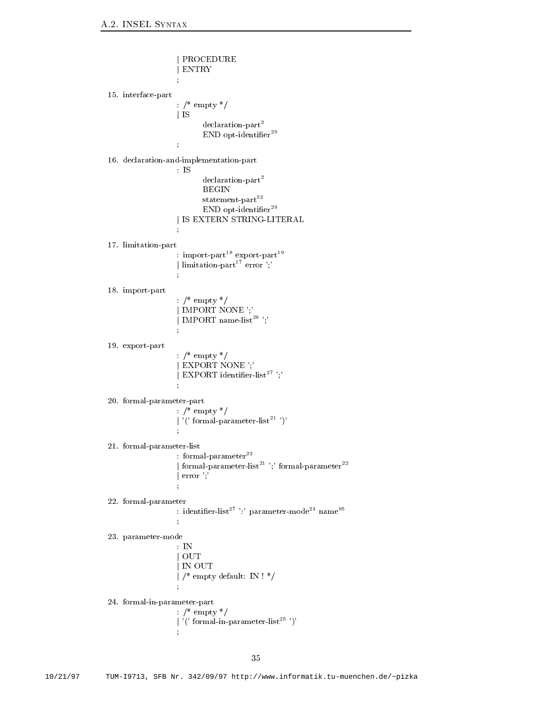```
j PROCEDURE
                            j ENTRY
                            and the contract of the contract of the
interface-between the particles of the particles of the particles of the particles of the particles of the particles of the particles of the particles of the particles of the particles of the particles of the particles of 
                            : \frac{*}{*} empty \frac{*}{*}j IS
                                       declaration-
part END opt-
identier
                            The Community of the Community

 declaration-
and-
implementation-
part
                            IS
                                       declaration-
part BEGIN
                                       statement-
part END opt-
identier
                            j <del>IS External String-String-Adv</del>ertising-
                            ÷
 limitation-
part
                            : import-part export-part the state of \simj limitation-
part error 
 import-
part
                            : /* empty */
                            | IMPORT NONE ';'
                            j IMPORT name-
list	 
                            The Community of the Community
export- export- particle and particle and particle and particle and particle and particle and particle and particle and particle and particle and particle and particle and particle and particle and particle and particle an
                            : /* empty */
                            | EXPORT NONE ";`j EXPORT identier-
list 
 formal-
parameter-
part
                           : \frac{*}{*} empty \frac{*}{*}\parallel (formal-parameter-list \parallel ) \parallel formal-
parameter-
list
                            : formal-parameter<sup>--</sup>
                            j formal-
parameter-
list  formal-
parameter
                            | error ';
                            The Community of the Community
 formal-
parameter
                             identier-
list  parameter-
mode-
 name
parameter-model in the control of the control of the control of the control of the control of the control of the
                            \therefore IN
                            j OUT
                            j IN OUT
                            \frac{1}{k} empty default: IN ! */

 formal-
in-
parameter-
part
                           : \frac{*}{*} empty \frac{*}{*}j  formal-
in-
parameter-
list 
                            \ddot{ }
```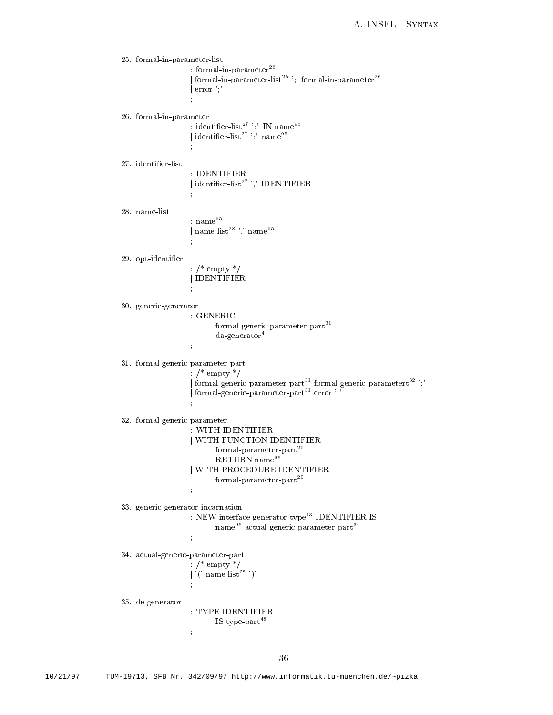```
 formal-
in-
parameter-
list
                       : formal-in-parameter \overline{\phantom{a}}j formal-
in-
parameter-
list  formal-
in-
parameter
                      | error ";The Community of the Community

 formal-
in-
parameter
                       : identifier-list  IN name
                       j identier-
list  name
                       and the contract of the contract of the
                        IDENTIFIER
                       j identier-
list  IDENTIFIER
                      : {\rm name}^{95}j name-
list	  name
 opt-
identier
                       \frac{1}{2} /* empty */
                      j IDENTIFIER
                       ÷
	 generic-
generator
                       GENERIC
                                formal-
generic-
parameter-
part-
 da-
generator
                       The Community of the Community
	 formal-
generic-
parameter-
part
                      : /* empty */_1 formal-generic-parameter-part ^{\circ} formal-generic-parametert ^{\circ} , ^{\circ}j formal-
generic-
parameter-
part-
 error 
	 formal-
generic-
parameter
                       WITH IDENTIFIER
                      j WITH FUNCTION IDENTIFIER
                                formal-
parameter-
part RETURN name
                       j WITH PROCEDURE IDENTIFIER
                                formal-
parameter-
part
eric in the complete state of the complete state of the complete state of the complete state of the complete s
                        NEW interface-
generator-
type-
 IDENTIFIER IS
                                name actual-generic-parameter-part-
                       \ddot{ }actual-particle particle particle particle particle particle particle particle particle particle particle particle particle particle particle particle particle particle particle particle particle particle particle particle
                       empt to the contract of the contract of the contract of the contract of the contract of the contract of the con
                       \parallel (name-\text{list}-)
	 de-
generator
                        TYPE IDENTIFIER
                                IS type-
part	
                       ÷
```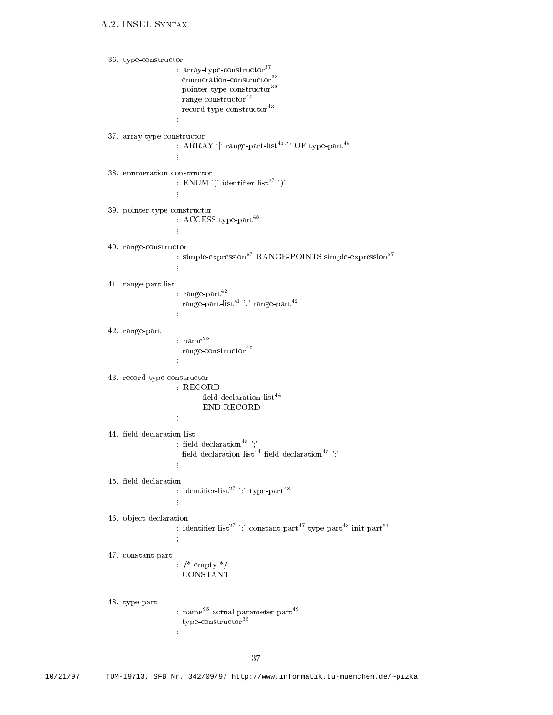```
	
 type-
constructor
                       array-
type-
constructor-

                      j enumeration-
constructor-

                      j pointer-
type-
constructor-

                      j range-
constructor
                      j record-
type-
constructor-
	 array-
type-
constructor
                      : ARRAY Tange-part-list T CF type-part
                      \overline{\phantom{a}}: ENUM (* identifier-list * *)*
                      \frac{1}{3}	 pointer-
type-
constructor
                      : ACCESS type-part
                      \ddot{\phantom{a}}
 range-
constructor
                      : simple-expression RANGE-POINTS simple-expression

 range-
part-
list
                       range-
part
                      j range-
part-
list  range-
part

 range-
part
                      : {\rm name}^{95}j range-
constructor
                      and the contract of the contract of the

	 record-
type-
constructor
                      RECORD
                              nela-aeclaration-list T
                              END RECORD
                      : neig-geclaration with
                      | neld-declaration-list eld-declaration elder
                      and the contract of the contract of the
                      : identifier-list type-part t

 ob ject-
declaration
                      : identifier-list constant-part type-part init-part \cdotsThe Community of the Community
constant-parties and parties are also assumed to the constant of the constant of the constant of the constant of the constant of the constant of the constant of the constant of the constant of the constant of the constant 
                      : /* empty */j CONSTANT

 type-
part
                      : name actual-parameter-part and actual-part and some \alphaj type-
constructor-

                     \frac{1}{3}
```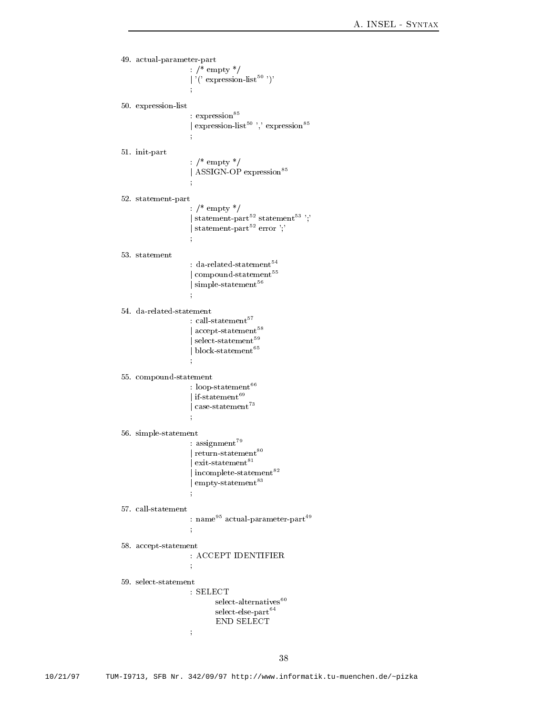```
actual-mark parameters parts
                                empt to the contract of the contract of the contract of the contract of the contract of the contract of the con
                                \vert ( \vert expression-list \vert )
expression- and the state of the state of the state of the state of the state of the state of the state of the
                               : \rm{expression}^{85}| expression-list control expression
                               \ddot{\phantom{a}}and the contract of the contract of the
in the particle of the particle of the particle of the particle of the particle of the particle of the particle of the particle of the particle of the particle of the particle of the particle of the particle of the particl
                               : /* empty */j ASSIGN-
OP expression	
statement of the particle of the particle of the particle of the particle of the particle of the particle of the particle of the particle of the particle of the particle of the particle of the particle of the particle of t
                                  \gamma<sup>*</sup> empty <sup>*</sup>/
                                j statement-
part statement
-

                                j statement-
part error 
53. statement
                                 da-
related-
statement

                                j compound-
statement

                                j simple-
statement

                                 call-
statement

                                j accept-
statement

                                j select-
statement

                                j block-
statement

                                and the contract of the contract of the
compounded and compound-
                                 loop-
statement

                                j if-
statement

                                j case-
statement
-
                                The Community of the Community
simple-statement and state states and state states and state states and state states and states are stated and
                                 assignment

                                j return-
statement

                                j exit-
statement

                                j incomplete-
statement

                                \parallel empty-statement \sim name actual-
parameter-
part
                               ċ
                                The Community of the Community
accept-neuron-ment
                                ACCEPT IDENTIFIER
                                SELECT
                                            select-
alternatives
                                            select-
else-
part END SELECT
                               \frac{1}{2}
```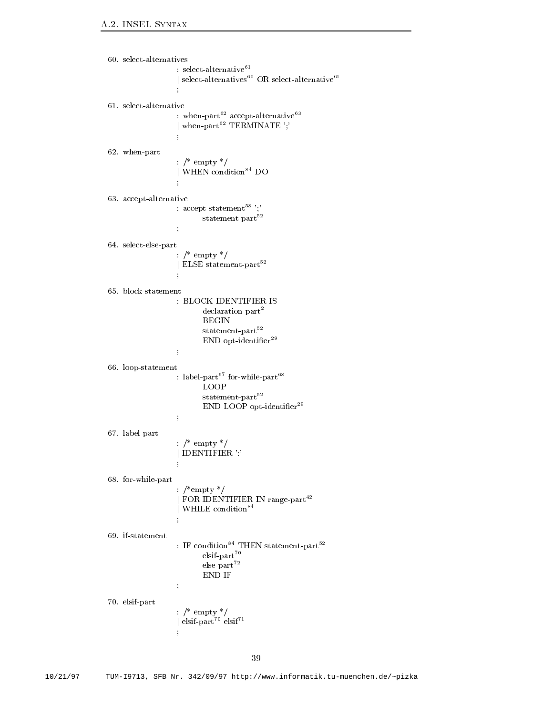```
 select-
alternative

                               | select-alternatives OR select-alternative =
                               : when-part accept-alternative are some as a second term of \simj when-
part TERMINATE 
                               ÷
                               and the contract of the contract of the
when-beam particles are the contract of the contract of the contract of the contract of the contract of the contract of the contract of the contract of the contract of the contract of the contract of the contract of the co
                              : /* empty */| WHEN condition<sup>84</sup> DO
actes and alternative control of the control of the control of the control of the control of the control of the control of the control of the control of the control of the control of the control of the control of the contr
                                accept-
statement

                                           statement-
part

 select-
else-
part
                               : /* empty */j ELSE statement-
part
                               The Community of the Community
                               BLOCK IDENTIFIER IS
                                           declaration-
part statement-
part END opt-
identier
                              \frac{1}{3}

 loop-
statement
                               : label-part for-while-part \overline{\phantom{a}}LOOP
                                           statement-
part END LOOP opt-
identier
                              \frac{1}{3}
 label-
part
                              : /* empty */j IDENTIFIER 
                              \frac{1}{2}
 for-
while-
part
                               \therefore /*empty */
                               j FOR IDENTIFIER IN range-
part
                               j WHILE condition	
                               \pm IF condition \pm THEN statement-part \pmelsif-
part else-
part END IF
                               \ddot{\phantom{1}}elsification in the partners of the partners of the partners of the partners of the partners of the partners of the partners of the partners of the partners of the partners of the partners of the partners of the partners o
                              \therefore /* empty */
                               j elsif-
part elsif
                              \frac{1}{3}
```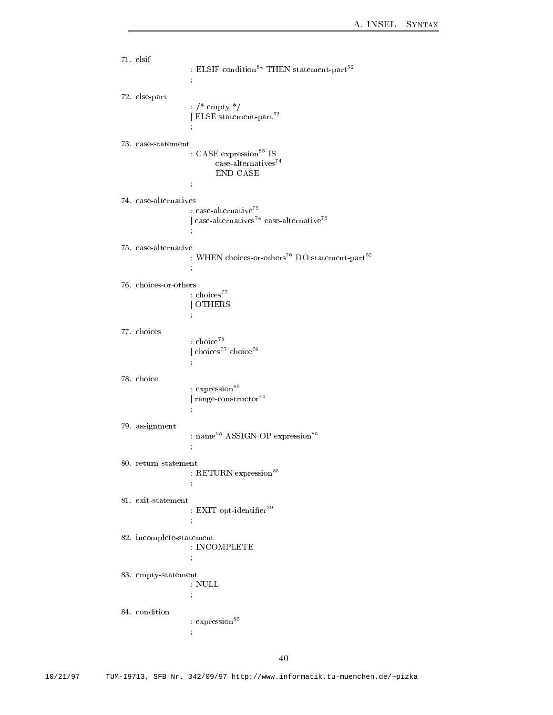```
71. elsif
                      : ELSIF condition THEN statement-part T
                     \frac{1}{3} else-
part
                     : /* empty */j ELSE statement-
part
                     : CASE expression ^{85} IS
                              case-
alternatives END CASE
                       case-
alternative

                      j case-
alternatives case-
alternative

                      and the contract of the contract of the
                      : WHEN choices-or-others DO statement-part -
                     \frac{1}{2}: choices<sup>77</sup>
                     j OTHERS
77. choices
                      : choice<sup>78</sup>
                     | choice<sup>77</sup> choice<sup>78</sup>
                      \ddot{\phantom{1}}78. choice
                     : expression<sup>85</sup>
                      j range-
constructor
79. assignment
                      : name ASSIGN-OP expression
                      ċ
                      The Community of the Community
                     : RETURN expression<sup>85</sup>
                      The Community of the Community
                      : EAII opt-ndentiner
                     \frac{1}{3} incomplete-
statement
                     : INCOMPLETE\frac{1}{3}	 empty-
statement
                      NULL
                     \frac{1}{2}: \rm{expression}^{85}\frac{1}{3}
```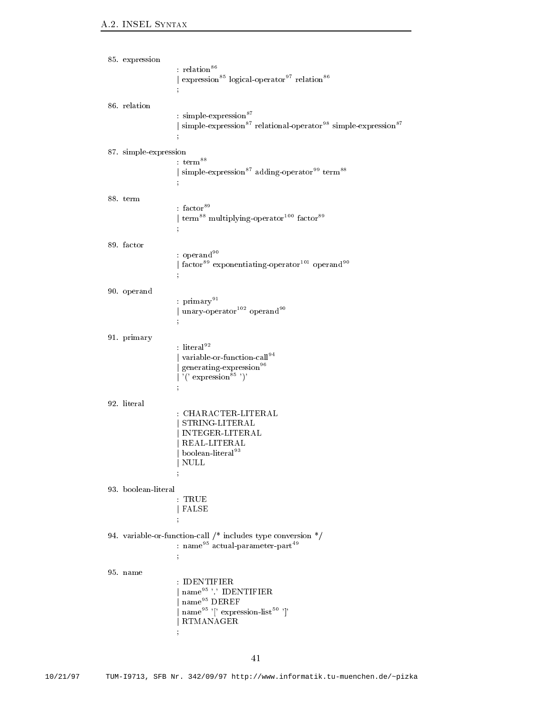```
85. expression
                        : relation<sup>86</sup>
                         \,l expression\, logical-operator relation\,86. relation
                          simple-
expression	
                         | simple-expression relational-operator simple-expression b
                         and the contract of the contract of the
 simple-
expression
                        : {\rm term}^{88}j simple-
expression	 adding-
operator term		
88. term
                         : {\rm factor}^{89}iterm multiplying-operator factor f
                         \frac{1}{2}89. factor
                        : operand<sup>90</sup>
                         j factor	 exponentiating-
operator operand
                         The Community of the Community
90. operand
                         : \text{primary}^{91}j unary-
operator operand
91. primary
                        : literal^{92}j variable-
or-
function-
call
                         j generating-
expression
                         | '(' expression<sup>85</sup>')'
                         The Community of the Community
92. literal
                         j STRING-STRING-STRING-STRING-STRING-STRING-STRING-STRING-STRING-STRING-STRING-STRING-STRING-STRING-STRING-STRING-
                         j Internet Entertainment in de la provincia de la provincia de la provincia de la provincia de la provincia de
                         j REAL-
LITERAL
                         j boolean-
literal-
                         j NULL
                         The Community of the Community
                          TRUE
                        j FALSE
variable-call includes the processes type converses the conversion of \mathcal{L}_{\mathcal{A}}: name actual-parameter-part and actual-part and some \alpha\frac{1}{3}95. name
                         \frac{1}{2} name \frac{95}{1}, IDENTIFIER
                         | name<sup>95</sup> DEREF
                         j name  expression-
list 
                         j RTMANAGER
                         ÷
```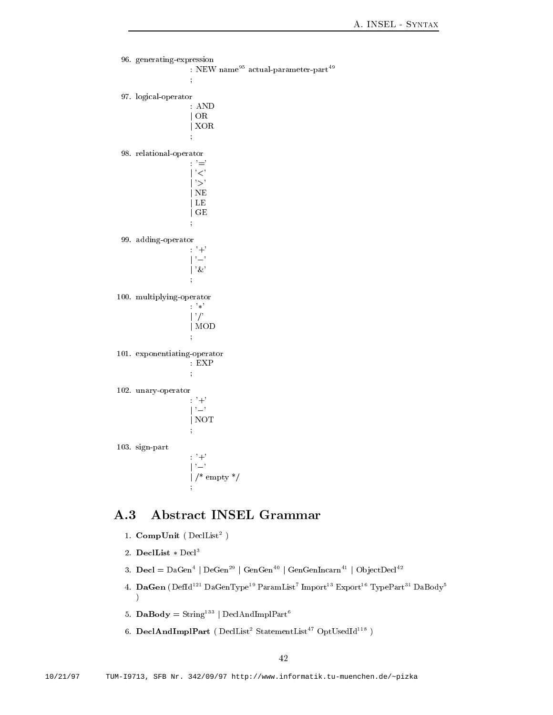```
96. generating-expression
                                \cdot NEW name<sup>95</sup> actual-parameter-part<sup>49</sup>
                                       and the contract of the contract of the
   logical-
operator
                                       AND
                                       j OR
                                      j XOR
   relational-
operator
                                      \cdot \prime =
                                        \mathcal{C}\geqj NE
                                       j LE
                                      j GE
   adding-
operator

                                       the contract of the contract of the contract of the contract of the contract of
                                      |\, '&'
                                      \ddot{ } multiplying-
operator
                                      \longrightarrow \mathbb{R}^3j -

                                      j MOD
                                      ÷
 exponentiating-
operator
                                       EXP
                                      \frac{1}{2}unary-term and the contract of the contract of the contract of the contract of the contract of the contract of
                                      \cdot '+'
                                      \mathfrak{f}^{\mathfrak{g}} j
                                      j NOT
                                      ÷
	 sign-
part
                                      : 7 + 7je poznata u objavljanje u objavljanje u objavljanje u objavljanje u objavljanje u objavljanje u objavljanje u
                                       j je emperent je biografije domini i postavanje koji se objavlja s objavlja s objavlja s objavlja s objavlja s
```
#### A Abstract INSEL Grammar  $A.3$

- 1. CompUnit ( DeciList )
- 2. DeclList  $\ast$  Decl<sup>3</sup>

 $\mathbf{r}$  and  $\mathbf{r}$  and  $\mathbf{r}$ 

- Decl DaGen <sup>j</sup> DeGen <sup>j</sup> GenGen <sup>j</sup> GenGenIncarn <sup>j</sup> Ob jectDecl
- 4. DaGen (Defid DaGenType ParamList Import Export TypePart DaBody - $\lambda$
- $\mathfrak{d}$ . DaBody =  $\mathfrak{string}^{-1}$  | DeclAndImplPart
- 6. DeclAndImplPart ( $DeclList<sup>2</sup> StatementList<sup>47</sup> OptUsedId<sup>118</sup>$ )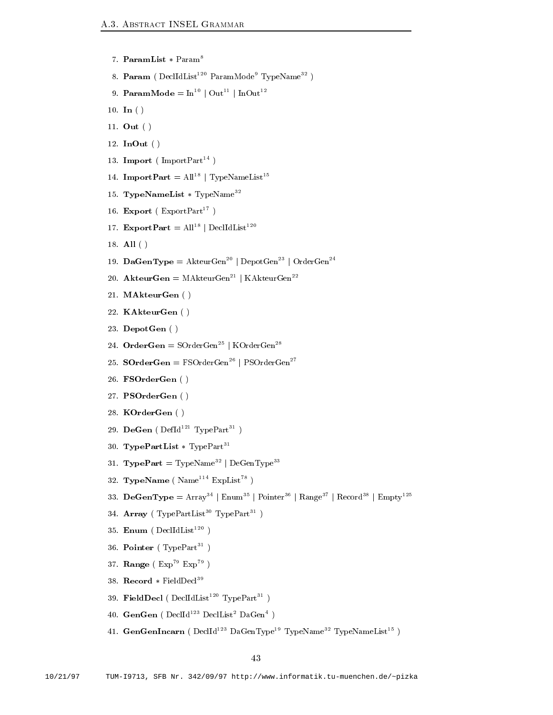```
7. ParamList * Param<sup>8</sup>
```
- 8. Param ( DeclidList <sup>--</sup> ParamMode TypeName<sup>--</sup> )
- 9. **ParamMode** =  $\text{In}^{10}$  | Out<sup>11</sup> | InOut<sup>12</sup>
- 10. In  $( )$
- 11. Out  $( )$
- 12. InOut  $( )$
- 13. **Import** ( $\text{ImportPart}^{14}$ )
- 14. Import $Part = All^+$  | TypeNameList $\top$
- TypeNameList TypeName-
- 16. Export ( $\text{ExpertPart}^{17}$ )
- 17. ExportPart =  $\text{All}^{18}$  | DeclIdList<sup>120</sup>
- 18. All  $( )$
- 19. DaGenType = AkteurGen<sup>--</sup> | DepotGen<sup>--</sup> | OrderGen<sup>--</sup>
- 20. Akteur $Gen = M$ Akteur $Gen^{21}$  | KAkteur $Gen^{22}$
- 21. MAkteurGen ()
- 22. KAkteurGen ()
- 23. DepotGen ()
- 24. OrderGen = SOrderGen | KOrderGen j
- 25.  $\mathbf{SOrderGen} = \mathrm{FSOrderGen}^{26} \mid \mathrm{PSOrderGen}^{27}$
- 26. FSOrderGen ()
- 27. PSOrderGen ()
- 28. KOrderGen ()
- 29. DeGen ( DefId TypePart T )
- $50.$  IVDePartList  $*$  IVDePart-times
- 31. TypePart = TypeName<sup>--</sup> | DeGenType<sup>--</sup>
- 32. TypeName ( $\text{Name}^{114}$   $\text{ExpList}^{78}$ )
- 33. DeGenType =  $Array^+$  | Enum- | Pointer- | Range- | Record- | Empty--
- 34. Array (TypePartList-TypePart-T)
- 35. Enum ( $DeclIdList<sup>120</sup>$ )
- 30. Pointer (TypePartic)  $\overline{\phantom{a}}$
- 37. Range  $(Exp<sup>79</sup> Exp<sup>79</sup>)$
- Record FieldDecl-
- 59. FieldDecl (DeclidList TypePart )  $\overline{\phantom{a}}$
- 40. GenGen (Declid<sup>---</sup> Declist<sup>-</sup> DaGen<sup>-</sup> )  $\mathbf{r}$  and  $\mathbf{r}$  and  $\mathbf{r}$
- 41. GenGenincarn ( Declid<sup>---</sup> DaGenType<sup>--</sup> TypeName-- TypeNameList-- )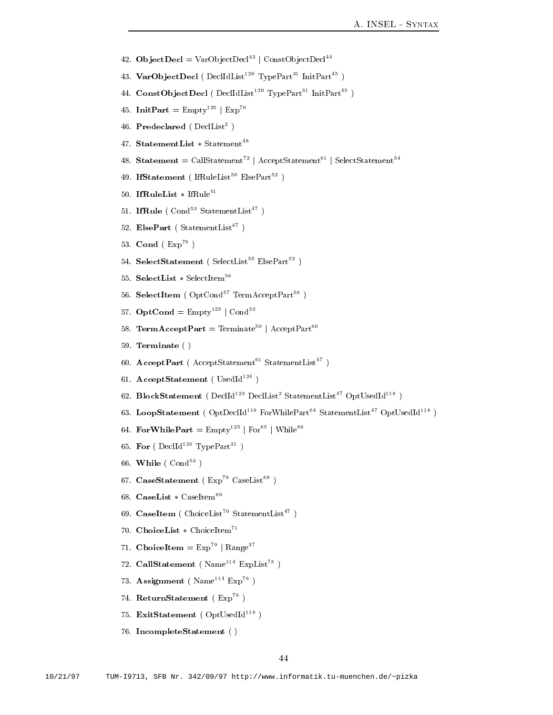- 42. ObjectDecl  $=$  varObjectDecl $\cdot$  | ConstObjectDecl $\cdot$
- 43. VarObjectDecl (DeclidList<sup>--</sup> TypePart<sup>--</sup> InitPart<sup>--</sup> )
- 44. ConstObjectDecl (DeclidList<sup>--</sup> TypePart<sup>--</sup> InitPart<sup>--</sup> )
- 40. Init $Part =$  Empty  $\Box$  | Exp
- 40. Predeclared (DeciList )  $\mathbf{r}$  and  $\mathbf{r}$  and  $\mathbf{r}$
- 47. StatementList \* Statement T
- Statement CallStatement <sup>j</sup> AcceptStatement <sup>j</sup> SelectStatement
- 49. IfStatement (IfRuleList ElsePart )
- 50. IfRuleList  $*$  IfRule<sup>51</sup>
- 51. **IfRule** (Cond<sup>-</sup> StatementList )
- 52. ElsePart ( $StatementList^{47}$ )
- 53. Cond  $(Exp<sup>79</sup>)$
- 54. SelectStatement ( SelectList ElsePart = )
- 55. SelectList  $\ast$  SelectItem<sup>56</sup>
- 56. SelectItem ( $OptCond<sup>57</sup> TermAcceptPart<sup>58</sup>$ )
- $\mathfrak{d}_i$ . OptCond = Empty  $\lceil \cdot \rceil$  Cond
- 58. TermAcceptPart = Terminate<sup>59</sup> | AcceptPart<sup>60</sup>
- 59. Terminate $( )$
- bu. AcceptPart (AcceptStatement StatementList )
- 61. AcceptStatement ( $\text{UsedId}^{124}$ )
- 02. BlockStatement ( Declid<sup>---</sup> DeclList StatementList OptUsedId<sup>---</sup> )
- 63. LoopStatement ( $OptDecId<sup>119</sup> For WhitePart<sup>64</sup> StatementList<sup>47</sup> OptUsedId<sup>118</sup>$ )
- $64.$  For WhilePart  $=$  Empty  $\lceil$  | For  $\lceil$  | While  $\lceil$
- bb. **For** ( Declid<sup>---</sup> TypePart<sup>--</sup> )  $\mathbf{r}$  and  $\mathbf{r}$
- 66. While  $(\text{Cond}^{53})$  $\mathbf{r}$  and  $\mathbf{r}$
- 67. CaseStatement ( $Exp<sup>79</sup> CaseList<sup>68</sup>$ )
- 68. CaseList  $*$  CaseItem<sup>69</sup>
- 69. CaseItem (ChoiceList<sup>70</sup> StatementList<sup>47</sup>)
- 70. ChoiceList  $*$  ChoiceItem<sup>71</sup>
- $(1.$  ChoiceItem  $=$  Exp  $\parallel$  Range-
- 72. CallStatement ( $\text{Name}^{114}$  ExpList<sup>78</sup>)
- 73. Assignment ( $\text{Name}^{114}$   $\text{Exp}^{79}$ )
- (4. ReturnStatement (Exp. )
- 75. ExitStatement ( $OptUsedld^{118}$ )
- 76. IncompleteStatement ()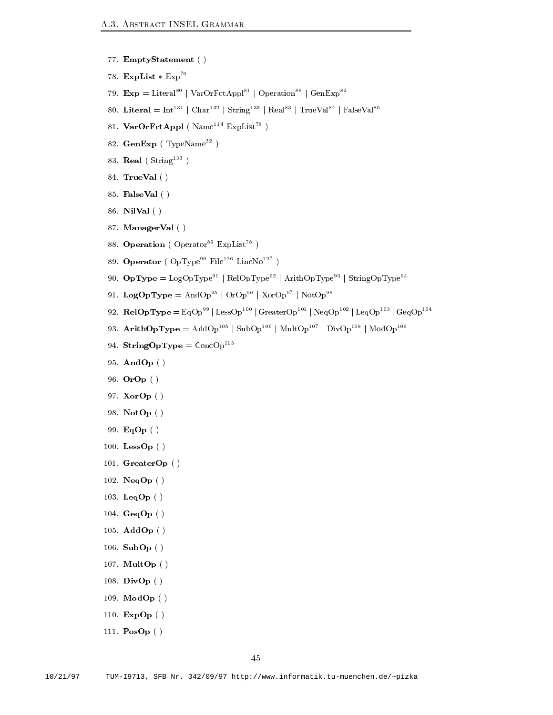- 77. EmptyStatement ()
- 78. ExpList  $*$   $Exp<sup>79</sup>$
- 79.  $\text{Exp} = \text{Literal}^{80}$  | VarOrFctAppl<sup>81</sup> | Operation<sup>88</sup> | GenExp<sup>82</sup>
- $\delta U$ . Literal  $\equiv$  1nt  $\Gamma$  | Char- $\Gamma$  | String- $\Gamma$  | Real $\Gamma$  | TrueVal $\Gamma$  | FalseVal
- 81. Var $\text{OrFctAppl}$  (Name<sup>114</sup> ExpList<sup>78</sup>)
- 82. GenExp ( TypeName )
- 83. Real (String<sup>---</sup>  $\overline{\phantom{a}}$
- TrueVal
- 85. FalseVal ()
- 86. NilVal ()
- 87. ManagerVal ()
- 88. Operation ( $Operator<sup>89</sup>$  ExpList<sup>78</sup>)
- 89. Operator ( $OpType<sup>90</sup> File<sup>126</sup> LineNo<sup>127</sup>$ )
- 90. **OpType =** LogOpType<sup>--</sup> | RelOpType<sup>--</sup> | ArithOpType<sup>--</sup> | StringOpType<sup>--</sup>
- 91. LogOpType =  $\text{AndOp}^{95}$  |  $\text{OrOp}^{96}$  |  $\text{XorOp}^{97}$  |  $\text{NotOp}^{98}$
- 92.  $\textbf{ReIOpType} = \text{EqUp}^{\cdots} \mid \text{LessOp}^{\cdots} \mid \text{GreatestOp}^{\cdots} \mid \text{NeqOp}^{\cdots} \mid \text{GeqUp}^{\cdots} \mid \text{GeqUp}^{\cdots}$
- 93. **ArithOpType** = AddOp<sup>105</sup> | SubOp<sup>106</sup> | MultOp<sup>107</sup> | DivOp<sup>108</sup> | ModOp<sup>109</sup>
- 94. String Up I ype  $=$  ConcUperture
- 95. AndOp ()
- 96.  $\textbf{OrOp}$  ()
- 97. **XorOp** ()
- 98. NotOp ()
- 99. EqOp()
- 100. LessOp $()$
- 101.  $GreatestOp()$
- 102.  $NeqOp()$
- 103. LeqOp $()$
- GeqOp
- 105.  $\mathbf{AddOp}$  ( )
- 106.  $\text{SubOp}$  ()
- 107. MultOp $( )$
- 108. DivOp $()$
- 109.  $ModOp()$
- 110.  $\mathbf{ExpOp}$  ()
- 111.  $\text{PosOp}( )$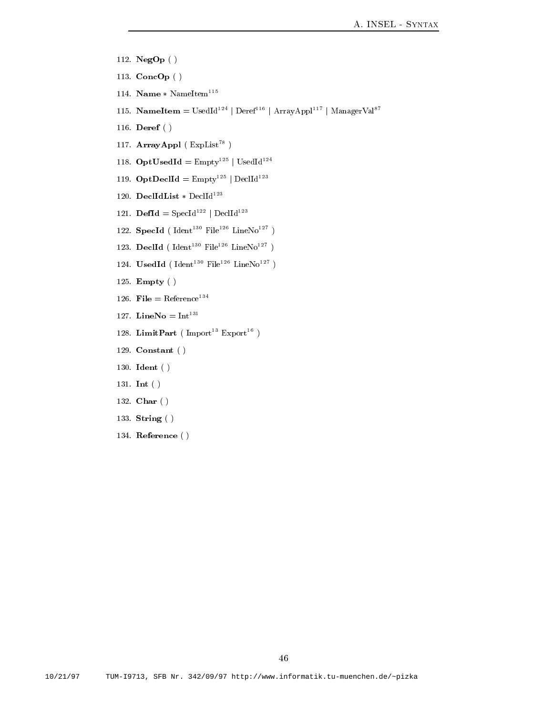- 112. NegOp ()
- 113.  $ConeOp()$
- 114. Name \* NameItem
- 115. **NameItem** = UsedId<sup>124</sup> | Deref<sup>116</sup> | ArrayAppl<sup>117</sup> | ManagerVal<sup>87</sup>
- 116. Deref ()
- 117.  $ArrayAppl$  ( $ExpList^{78}$ )
- $118.$  OptUsedId =  $Empty = |$  UsedId<sup>---</sup>
- 119. **OptDeclId** =  $Empty = |$  DeclId<sup>---</sup>
- 120. DeclIdList  $\ast$  DeclId<sup>123</sup>
- 121. **DefId** =  $\text{Speedd}^{122}$  | DeclId<sup>123</sup>
- $122.$  Specia ( $1$ dent $11$  File $-$  LineNo $-$  )
- 123. Decild ( Ident The Pile LineNo Theory )
- 124. Usedid (Ident File LineNo )
- 125. Empty $( )$
- $_{120}$ . File  $=$  Reference
- $12$ . Lineno =  $10$
- 128. LimitPart (Import Export )
- 129. Constant  $( )$
- 130. Ident $( )$
- 131. Int  $( )$
- 132. Char ()
- 133. String ( )
- er er er er en er en de groupe de la proposition de la proposition de la proposition de la proposition de la p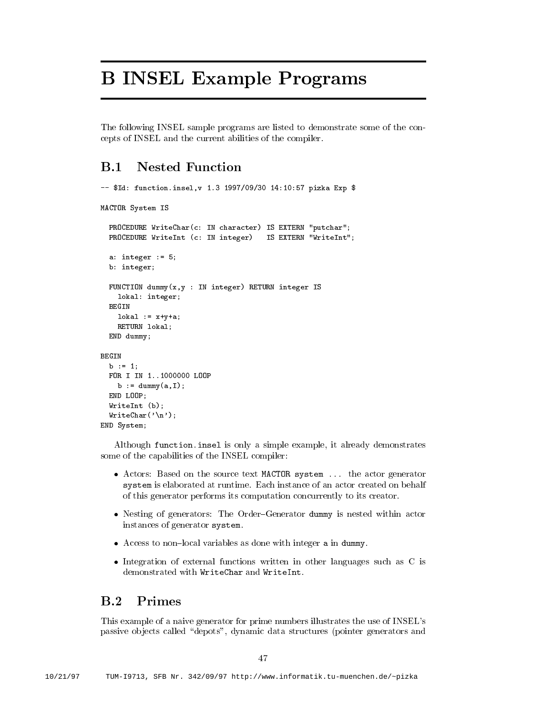# B INSEL Example Programs

The following INSEL sample programs are listed to demonstrate some of the con cepts of INSEL and the current abilities of the compiler

#### $\bf{B}$ .1 **Nested Function**

```
-- $Id: function.insel, v 1.3 1997/09/30 14:10:57 pizka Exp $
MACTOR System IS
   rnie in character is the international putchare in the character in the contracted in the contracted in the co
   processes in the contract of the contract of the contract of the contract of the contract of the contract of t
   a: integer := 5;b: integer;
   FUNCTION dummy-
xy  IN integer RETURN integer IS
      lokal: integer;
   BEGIN
      \text{lokal} := x+y+a;
      RETURN lokal;
  END dummy;
BEGIN
   b := 1;FOR I IN 1..1000000 LOOP
       b  dummy-
aI
   END LOOP;
   was a structured by the structure of the structure of the structure of the structure of the structure of the structure of the structure of the structure of the structure of the structure of the structure of the structure o
   WriteChar-
n
END System
```
Although function. insel is only a simple example, it already demonstrates some of the capabilities of the INSEL compiler

- $\mathcal{A}$  actors Based on the source text matrix is the source  $\mathcal{A}$  shown generator and actor  $\mathcal{A}$ system is elaborated at runtime Each instance of an actor created on behalf of this generator performs its computation concurrently to its creator
- Nesting of generators The OrderGenerator dummy is nested within actor instances of generator system
- Access to nonlocal variables as done with integer a in dummy
- Integration of external functions written in other languages such as  $\mathcal{L}(\mathbf{1}, \mathbf{1}, \mathbf{1})$ demonstrated with WriteChar and WriteInt

#### $B.2$ Primes

This example of a naive generator for prime numbers illustrates the use of INSEL's passive objects called "depots", dynamic data structures (pointer generators and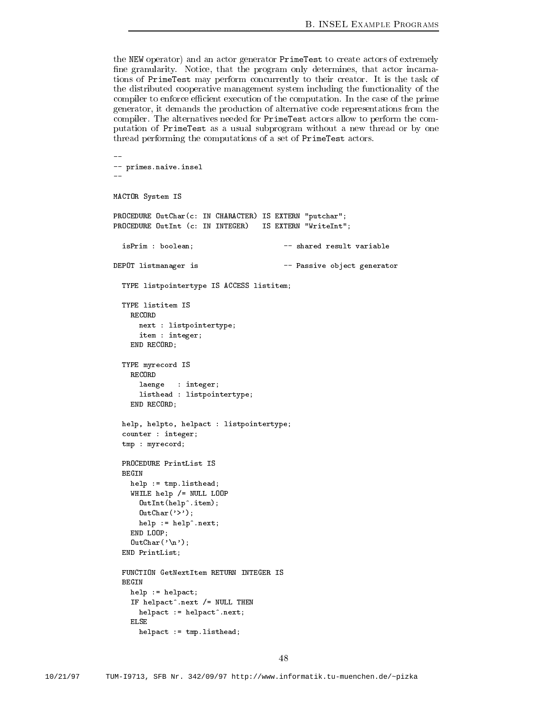the NEW operator) and an actor generator PrimeTest to create actors of extremely fine granularity. Notice, that the program only determines, that actor incarnations of PrimeTest may perform concurrently to their creator It is the task of the distributed cooperative management system including the functionality of the compiler to computer computation in the computation is the computation of the computation is the primeric generator, it demands the production of alternative code representations from the compiler. The alternatives needed for PrimeTest actors allow to perform the computation of PrimeTest as a usual subprogram without a new thread or by one thread performing the computations of a set of PrimeTest actors

```
-- primes.naive.insel
<u>.,</u>
MACTOR System IS
PROCEDURE OutChar-
c IN CHARACTER IS EXTERN putchar
PROCEDURE OutInt -
c IN INTEGER IS EXTERN WriteInt
  isPrim : boolean; shared result variable
DEPOT listmanager is - Passive object generator
 TYPE listpointertype IS ACCESS listitem
 TYPE listitem IS
   RECORD
      next : listpointertype;
      item : integer;
   END RECORD;
 TYPE myrecord IS
      laenge : integer;
      listhead : listpointertype;
   END RECORD;
  help, helpto, helpact : listpointertype;
  counter : integer;
  tmp : myrecord;PROCEDURE PrintList IS
    help := tmp.listhead;WHILE help /= NULL LOOP
      OutInt-
helpitem
      \blacksquarehelp := help^*.next;END LOOP
    nd a contract of the contract of the contract of the contract of the contract of the contract of the contract o
  END PrintList
  FUNCTION GetNextItem RETURN INTEGER IS
   help := helpact;IF helpact^{\circ}.next /= NULL THEN
     helpact := helpact\hat{ }.next;
    ELSE
      helpact := tmpu. listhead;
```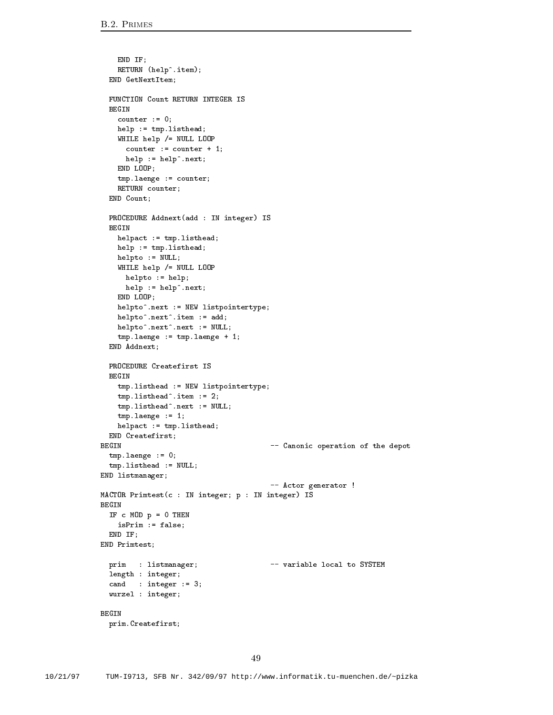```
END IF
    RETURN -
helpitem
 END GetNextItem
 FUNCTION Count RETURN INTEGER IS
  BEGIN
    counter := 0;help := tmp.listhead;WHILE help /= NULL LOOP
     counter := counter +1;
     help := help^{\frown}.next;END LOOP
    tmp.length = counter;RETURN counter;
  END Count;
  PROCEDURE Addnext-
add  IN integer IS
 BEGIN
    helpact := tmp.listhead;help := tmp.listhead;helpto := NULL;WHILE help /= NULL LOOP
     helpto := help;help := help^{\frown}.next;END LOOP;
    helpto^*. next := NEW listpointertype;helpto^*.next^*.item := add;helpto^*.next^*.next := NULL;
    tmp.length = tmp.length = tmp.length = t;END Addnext
 PROCEDURE Createfirst IS
  BEGIN
    tmpulethead := NEW listpointletype;tmp.listhead^-.item := 2;tmp,listhead^* .next := NULL;tmp.length = 1;helpact := tmp.listhead;
 END Createfirst
BEGIN  Canonic operation of the depot
  tmp.length = 0;tmp,listhead := NULL;END listmanager
                                          -- Actor generator !
MACTOR Primtest-
c  IN integer p  IN integer IS
BEGIN
 IF c MOD p = 0 THEN
   isPrim := false;END IF:
  ende en groupe de la poste de la poste de la poste de la poste de la poste de la poste de la poste de la poste 
END Primtest
 prim : listmanager; \overline{\phantom{a}} -- variable local to SYSTEM
 length : integer;
  cand : integer := 3;wurzel : integer;
BEGIN
 prim.Createfirst;
```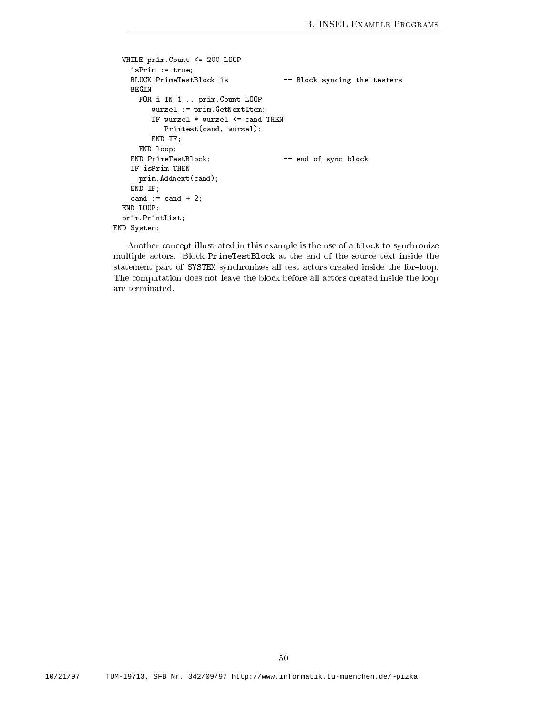```
WHILE primCount \le 200 LOOP
    isPrim := true;BLOCK PrimeTestBlock is -- Block syncing the testers
      FOR i IN 1 .. prim. Count LOOP
          wurzel := prim.GetNextItem;Primtest-
cand wurzel
          END IF
      END loop
    END PrimeTestBlock  end of sync block
    IF isPrim THEN
       prima cando como control de la control de la control de la control de la control de la control de la control d
    END IF
    cand := cand + 2;END LOOP;
  \texttt{prim.PrintList} ;
END System
```
Another concept illustrated in this example is the use of a block to synchronize multiple actors Block PrimeTestBlock at the end of the source text inside the statement part of SYSTEM synchronizes all test actors created inside the for-loop. The computation does not leave the block before all actors created inside the loop are terminated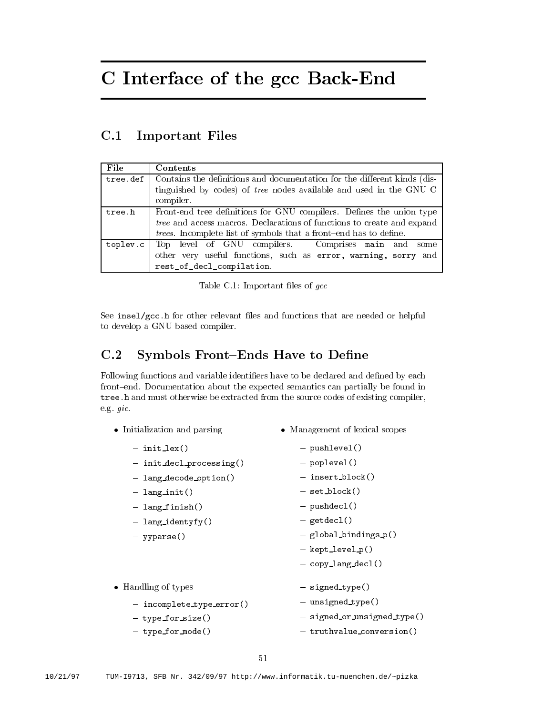# C Interface of the gcc Back-End

#### $C.1$ Important Files

| File     | Contents                                                                      |  |  |
|----------|-------------------------------------------------------------------------------|--|--|
| tree.def | Contains the definitions and documentation for the different kinds (dis-      |  |  |
|          | tinguished by codes) of tree nodes available and used in the GNU C            |  |  |
|          | compiler.                                                                     |  |  |
| tree.h   | Front-end tree definitions for GNU compilers. Defines the union type          |  |  |
|          | <i>tree</i> and access macros. Declarations of functions to create and expand |  |  |
|          | <i>trees.</i> Incomplete list of symbols that a front-end has to define.      |  |  |
| toplev.c | Top level of GNU compilers. Comprises main and<br>some                        |  |  |
|          | other very useful functions, such as error, warning, sorry and                |  |  |
|          | rest_of_decl_compilation.                                                     |  |  |

Table Correct Company is the correct of graduated and state of the correct correct of the correct correct correct correct correct correct correct correct correct correct correct correct correct correct correct correct corr

see insel<u>e and the relevant less and functions that are needed or helpful are needed</u> to develop a GNU based compiler

#### $C.2$ Symbols Front-Ends Have to Define

Following functions and variable identifiers have to be declared and defined by each front-end. Documentation about the expected semantics can partially be found in tree. h and must otherwise be extracted from the source codes of existing compiler, eg gic

| • Initialization and parsing | • Management of lexical scopes |
|------------------------------|--------------------------------|
| $-$ init_lex()               | $-$ pushlevel()                |
| $-$ init decl_processing()   | $-$ poplevel()                 |
| - lang_decode_option()       | $-$ insert_block()             |
| $-$ lang_init()              | $-$ set_block()                |
| - lang_finish()              | $-$ pushdecl()                 |
| $-$ lang_identyfy()          | $-$ getdecl()                  |
| $-$ yyparse()                | $-$ global bindings $p()$      |
|                              | $-$ kept $\text{level}_p()$    |
|                              | $-$ copy_lang_decl()           |
| • Handling of types          | - signed_type()                |
| - incomplete_type_error()    | - unsigned_type()              |
| - type_for_size()            | - signed_or_unsigned_type()    |
| - type_for_mode()            | - truthvalue_conversion()      |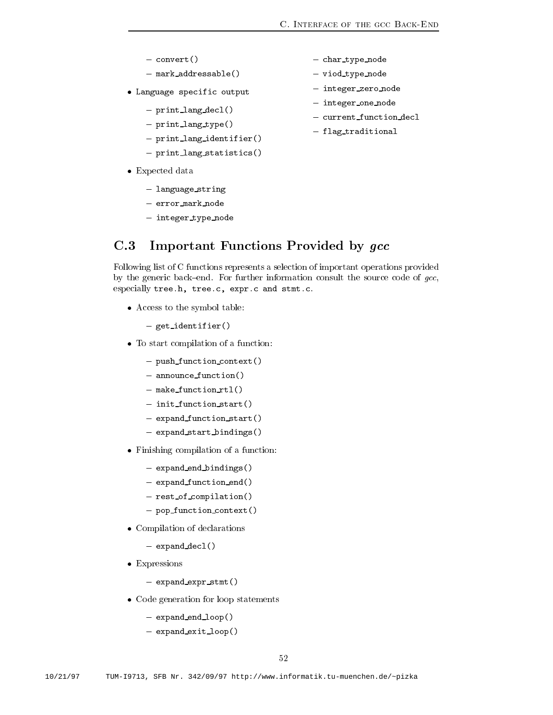- $-$  convert()
- $-$  mark\_addressable()
- Language specific output
	- $-$  print\_lang\_decl()
	- $-$  print\_lang\_type()
	- $-$  print\_lang\_identifier()
	- $-$  print\_lang\_statistics()
- Expected data
	- language\_string
	- error mark node
	- integer\_type\_node
- char\_type\_node
- $-$  viod\_type\_node
- integer\_zero\_node
- integer\_one\_node
- current\_function\_decl
- flag\_traditional

C.3 Important Functions Provided by gcc

Following list of C functions represents a selection of important operations provided by the generic back-end. For further information consult the source code of  $\emph{gcc}$ , especially tree.h, tree.c, expr.c and stmt.c.

access to the symbol table the symbol table

 $-$  get\_identifier()

- To statistical completences of a function of  $\mathcal{L}$ 
	- $-$  push\_function\_context()
	- $-$  announce function()
	- $-$  make function  $rtl()$
	- $-$  init function start()
	- $-$  expand function start()
	- $-$  expand\_start\_bindings()
- Finishing compilation of a function
	- $-$  expand\_end\_bindings()
	- $-$  expand\_function\_end()
	- $-$  rest\_of\_compilation()
	- $-$  pop\_function\_context()
- Complete of declarations of declarations of  $\sim$ 
	- $-$  expand\_decl()
- Expressions and the second contract of the second contract of the second contract of the second contract of the second contract of the second contract of the second contract of the second contract of the second contract of
	- $-$  expand expr  $s$ tmt $()$
- Code generation for loop statements
	- $-$  expand\_end\_loop()
	- $-$  expand\_exit\_loop()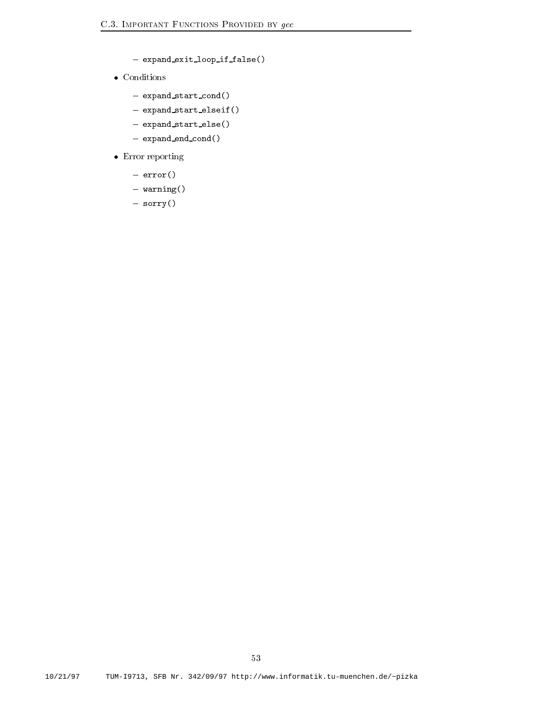- $-$  expand exit loop if false()
- - $-$  expand\_start\_cond()
	- $-$  expand\_start\_elseif()
	- $-$  expand\_start\_else()
	- $-$  expand\_end\_cond()
- Error reporting
	- $-$  error()
	- $-$  warning()
	- sorry()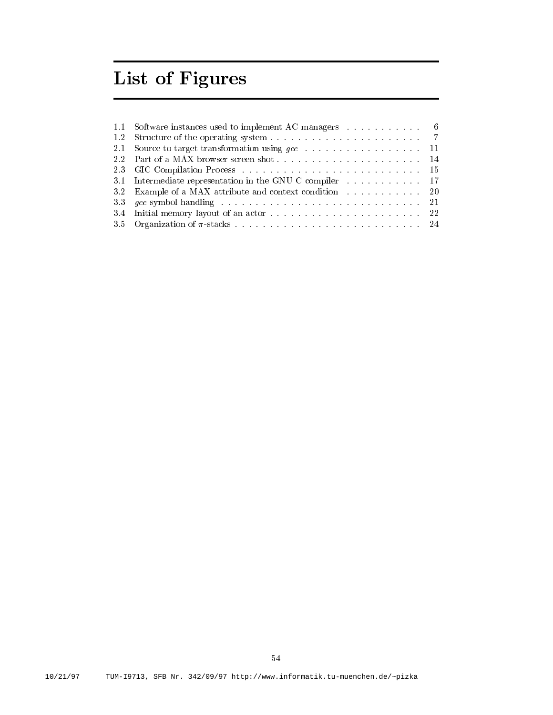# List of Figures

| 1.1 Software instances used to implement AC managers 6   |  |
|----------------------------------------------------------|--|
|                                                          |  |
|                                                          |  |
|                                                          |  |
|                                                          |  |
| 3.1 Intermediate representation in the GNU C compiler 17 |  |
| 3.2 Example of a MAX attribute and context condition 20  |  |
|                                                          |  |
|                                                          |  |
|                                                          |  |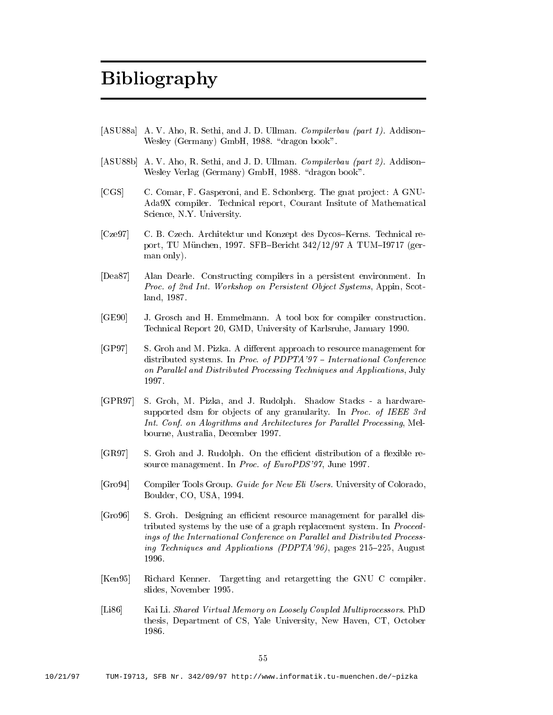# Bibliography

- [ASU88a] A.V. Aho, R. Sethi, and J.D. Ullman. Compilerbau (part 1). Addison- $\mathcal{A}$  dragon books and dragon books are defined by  $\mathcal{A}$
- [ASU88b] A. V. Aho, R. Sethi, and J. D. Ullman. *Compilerbau (part 2)*. Addisonwesley verlag (1989) and the contract of the contract of the contract of the contract of the contract of the contract of the contract of the contract of the contract of the contract of the contract of the contract of the c
- [CGS] C. Comar, F. Gasperoni, and E. Schonberg. The gnat project: A GNU-Ada9X compiler. Technical report, Courant Insitute of Mathematical Science, N.Y. University.
- [Cze97] C. B. Czech. Architektur und Konzept des Dycos-Kerns. Technical report TU M!unchen SFBBericht   A TUMI ger man only).
- Dea 87 Alan Dearle. Constructing compilers in a persistent environment. In Proc. of 2nd Int. Workshop on Persistent Object Systems, Appin, Scotland
- [GE90] J. Grosch and H. Emmelmann. A tool box for compiler construction. Technical Report  GMD University of Karlsruhe January
- [GP97] S. Groh and M. Pizka. A different approach to resource management for distributed systems In Proc of PDPTA International Conference on Parallel and Distributed Processing Techniques and Applications, July
- [GPR97] S. Groh, M. Pizka, and J. Rudolph. Shadow Stacks a hardwaresupported dsm for objects of any granularity. In Proc. of IEEE 3rd Int. Conf. on Alogrithms and Architectures for Parallel Processing, Melbourne Australia December 2007 in de la provincia December 2007 in december 2007 in december 2007 in december 2
- groups are cient distribution of a cient distribution of a cienter of a cienter of a second result of a contract results of a contract of a contract of a contract of a contract of a contract of a contract of a contract of source management in Processes and Processes and Processes and Processes and Processes and Processes and Proces
- [Gro 94] Compiler Tools Group. Guide for New Eli Users. University of Colorado, Boulder CO USA
- Gro S Groh Designing an e-cient resource management for parallel dis tributed systems by the use of a graph replacement system. In Proceedings of the International Conference on Parallel and Distributed Processing the contractions are the contractions of the contractions  $\mathcal{L}^{\text{max}}$  pages  $\mathcal{L}^{\text{max}}$
- [Ken95] Richard Kenner. Targetting and retargetting the GNU C compiler. slides normaliser in the slides of the slides of the slides of the slides of the slides of the slides of the s
- [Li86] Kai Li. Shared Virtual Memory on Loosely Coupled Multiprocessors. PhD thesis, Department of CS, Yale University, New Haven, CT, October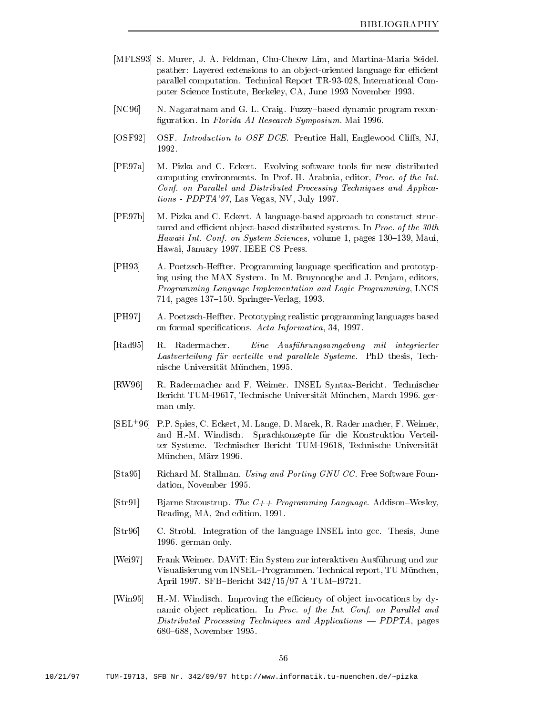- [MFLS93] S. Murer, J. A. Feldman, Chu-Cheow Lim, and Martina-Maria Seidel. psather Layered extensions to an ob jectoriented language for e-cient parallel computation. Technical Report TR-93-028, International Computer Science Institute Berkeley Can Cant Science Ca June 1999 - Provincial Science
- [NC96] N. Nagaratnam and G. L. Craig. Fuzzy-based dynamic program reconguration in Florida AI Research Symposium Main Section
- [OSF92] OSF. *Introduction to OSF DCE*. Prentice Hall, Englewood Cliffs, NJ, 1992.
- [PE97a] M. Pizka and C. Eckert. Evolving software tools for new distributed computing environments. In Prof. H. Arabnia, editor, Proc. of the Int. Conf. on Parallel and Distributed Processing Techniques and Applications - PDP PDPTA PDPTA PRODUCED PRODUCED PRODUCED PRODUCED PRODUCED PRODUCED PRODUCED PRODUCED PRODUCED PRODUCED PRODUCED PRODUCED PRODUCED PRODUCED PRODUCED PRODUCED PRODUCED PRODUCED PRODUCED PRODUCED PRODUCED PRODUCED
- [PE97b] M. Pizka and C. Eckert. A language-based approach to construct structured and e-cient ob jectbased distributed systems In  $\mathcal{L}_{\text{max}}$ Hawaii Int Conf on System Sciences volume pages Maui Hawaii January 2002, and the second control of the second control of the second control of the second control o
- [PH93] A. Poetzsch-Heffter. Programming language specification and prototyping using the MAX System. In M. Bruynooghe and J. Penjam, editors, Programming Language Implementation and Logic Programming, LNCS  $\mathbf{r} = \mathbf{r}$  ,  $\mathbf{r} = \mathbf{r}$  ,  $\mathbf{r} = \mathbf{r}$  ,  $\mathbf{r} = \mathbf{r}$  ,  $\mathbf{r} = \mathbf{r}$  ,  $\mathbf{r} = \mathbf{r}$  ,  $\mathbf{r} = \mathbf{r}$
- [PH97] A. Poetzsch-Heffter. Prototyping realistic programming languages based on formal species Acta Informatications Acta Informatications Acta Informatications Acta Informatications Acta
- Rad R Radermacher Eine Ausfuhrungsumgebung mit integrierter Lastverteilung für verteilte und parallele Systeme. PhD thesis, Technische Universität und Medicine und Universität Universität Universität Universität Universität Universität Un
- [RW96] R. Radermacher and F. Weimer. INSEL Syntax-Bericht. Technischer Bericht TUMI Technische Universit!at M!unchen March ger man only
- SEL PP Spies C Eckert M Lange D Marek R Rader macher F Weimer and H.-M. Windisch. Sprachkonzepte für die Konstruktion Verteilter Systeme Technischer Berichte Technischer Berichten Universität M!unchen M!arz
- [Sta95] Richard M. Stallman. Using and Porting GNU CC. Free Software Foundation and in the November of the November of the November of the November of the November of the November of
- $[Str91]$ Bjarne Stroustrup. The  $C++$  Programming Language. Addison–Wesley, reading and entirely are an extensive of the contract of the contract of the contract of the contract of the c
- [Str96] C. Strobl. Integration of the language INSEL into gcc. Thesis, June german only the contract of the contract of the contract of the contract of the contract of the contract of the
- [Wei 97] Frank Weimer. DAVIT: Ein System zur interaktiven Ausführung und zur Visualisierung von INSEL-Programmen. Technical report, TU München, April SFBBericht  A TUMI
- Win HM Windisch Improving the e-ciency of ob ject invocations by dy namic object replication. In Proc. of the Int. Conf. on Parallel and  $Distributed\ Processing\ Techniques\ and\ Applications\ —\ PDPTA, pages$ november 1986 and 2009 and 2009 and 2009 and 2009 and 2009 and 2009 and 2009 and 2009 and 2009 and 2009 and 20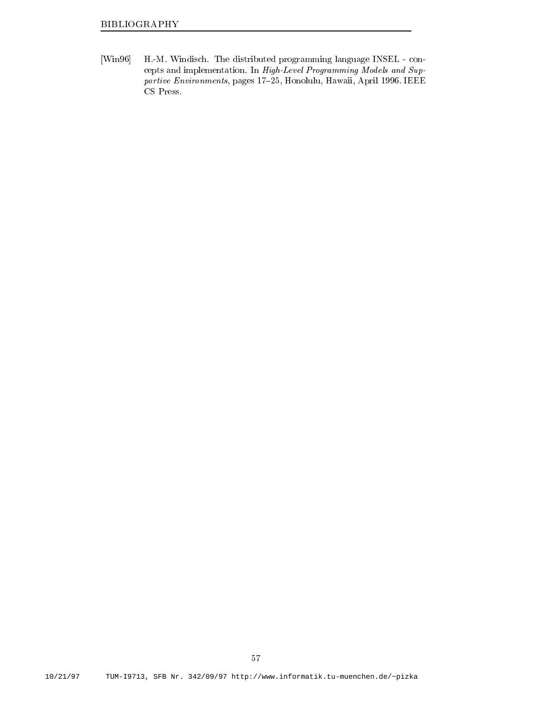[Win96] H.-M. Windisch. The distributed programming language INSEL - concepts and implementation In High-Anton In High-Models and Supportive Environments pages 
 Honolulu Hawaii April IEEE CS Press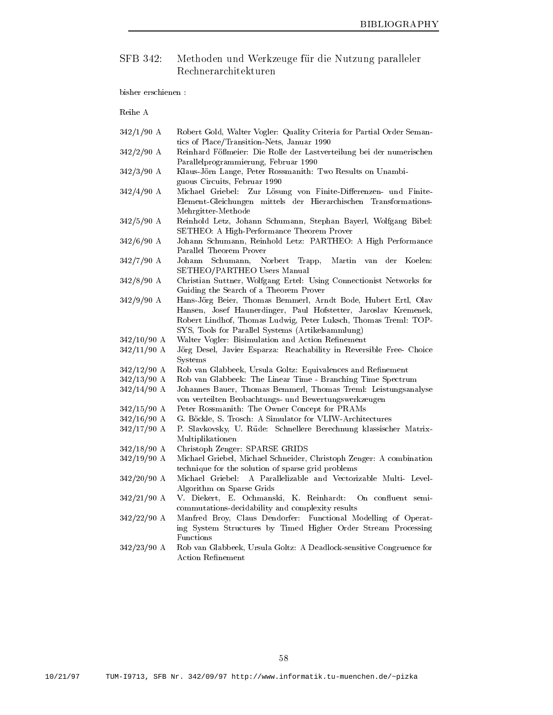### SFB 342: Methoden und Werkzeuge für die Nutzung paralleler

bisher erschienen

| $342/1/90$ A | Robert Gold, Walter Vogler: Quality Criteria for Partial Order Seman- |
|--------------|-----------------------------------------------------------------------|
|              | tics of Place/Transition-Nets, Januar 1990                            |

- $342/2/90$  A Reinhard Fößmeier: Die Rolle der Lastverteilung bei der numerischen Parallelprogrammierung, Februar 1990
- A Klaus-Klaus-Jörn Lange, Peter Rossmanith: Two Results on Unambiguous Circuits, Februar 1990
- $-1$ , volle and finite- von Losung von Finite-Losung von Finite- von Finite-Element-Gleichungen mittels der Hierarchischen Transformations-Mehrgitter-Methode
- $342/5/90$  A Reinhold Letz, Johann Schumann, Stephan Bayerl, Wolfgang Bibel: SETHEO A High-Performance Theorem Prover
- Johann Schumann, Reinhold Letz: PARTHEO: A High Performance  $342/6/90$  A Parallel Theorem Prover
- $342/7/90$  A Johann Schumann, Norbert Trapp, Martin van der Koelen: SETHEO/PARTHEO Users Manual
- $342/8/90$  A Christian Suttner, Wolfgang Ertel: Using Connectionist Networks for Guiding the Search of a Theorem Prover
- A Hans-Hans-Jörg Beier, Thomas Bemmerl, Arndt Bode, Hubert Ertl, Olav Hansen, Josef Haunerdinger, Paul Hofstetter, Jaroslav Kremenek, Robert Lindhof, Thomas Ludwig, Peter Luksch, Thomas Treml: TOP-SYS, Tools for Parallel Systems (Artikelsammlung)
- $342/10/90$  A Walter Vogler: Bisimulation and Action Refinement
- $342/11/90$  A A Jorg Desel Javier Esparza Reachability in Reversible Free- Choice **Systems**  $S<sub>1</sub>$  by  $S<sub>2</sub>$  and  $S<sub>3</sub>$
- $342/12/90$  A A Rob van Glabbeek Ursula Goltz Equivalences and Renement
- 342/13/90 A a rob van Glabbeek Time Species Time - Time - Time - Time - Time Species - Species - Time - Time - Time - Time
- $\sim$   $\sim$   $\sim$   $\sim$ Johannes Bauer, Thomas Bemmerl, Thomas Treml: Leistungsanalyse von verteilten Bewertungs- und Bewertungs- und Bewertungs- und Bewertungswerkzeugen und Bewertungswerkzeugen u
- $342/15/90$  A Peter Rossmanith: The Owner Concept for PRAMs
- $342/16/90$  A a group of the Simulator of Simulator for Simulation of Simulator and Simulator for Simulator Control of Simula
- $342/17/90$  A P. Slavkovsky, U. Rüde: Schnellere Berechnung klassischer Matrix-Multiplikationen Multiplikationen
- $342/18/90$  A Christoph Zenger: SPARSE GRIDS
- 342/19/90 A Michael Griebel, Michael Schneider, Christoph Zenger: A combination technique for the solution of sparse grid problems
- $342/20/90$  A A Michael Griebel A Parallelizable and Vectorizable Multi- Level-Algorithm on Sparse Grids
- a vrij die kommunister Entwurk van die eerste onder die die beste verwerd onder die semicommutations- decided and complexity results and complexity results and complexity results and complexity results and complexity results are all contract of the complexity results and contract of the complexity results and
- $342/22/90$  A Manfred Broy, Claus Dendorfer: Functional Modelling of Operating System Structures by Timed Higher Order Stream Processing Functions
- 342/23/90 A a rob van Glabbeek Ursula Goltz A Deadlock- en de administrative congruence for the construction of the congruence for Action Refinement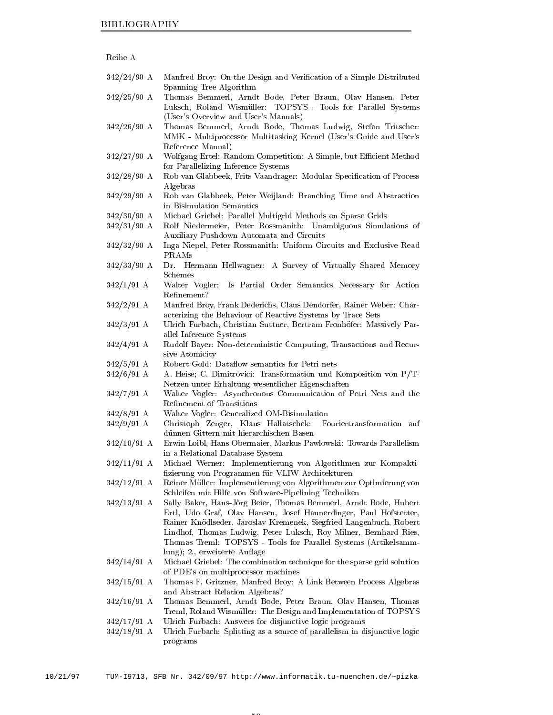| Reihe A |  |
|---------|--|
|         |  |

- Manfred Broy: On the Design and Verification of a Simple Distributed Spanning Tree Algorithm
- 342/25/90 A Thomas Bemmerl, Arndt Bode, Peter Braun, Olav Hansen, Peter Luksch Roland Wismuller TOPSYS - Tools for Parallel Systems (User's Overview and User's Manuals)
- 342/26/90 A Thomas Bemmerl, Arndt Bode, Thomas Ludwig, Stefan Tritscher: media - Multiprocessor Multitasking Affiliae (France and Users Guide and Users Guide Reference Manual
- $342/27/90$  A Wolfgang Ertel: Random Competition: A Simple, but Efficient Method for Parallelizing Inference Systems
- 342/28/90 A Rob van Glabbeek, Frits Vaandrager: Modular Specification of Process Algebras
- $342/29/90$  A Rob van Glabbeek, Peter Weijland: Branching Time and Abstraction in Bisimulation Semantics
- $342/30/90$  A Michael Griebel: Parallel Multigrid Methods on Sparse Grids
- $342/31/90$  A Rolf Niedermeier, Peter Rossmanith: Unambiguous Simulations of Auxiliary Pushdown Automata and Circuits
- 342/32/90 A Inga Niepel, Peter Rossmanith: Uniform Circuits and Exclusive Read PRAMs
- 342/33/90 A Dr. Hermann Hellwagner: A Survey of Virtually Shared Memory Schemes
- $342/1/91$  A Walter Vogler: Is Partial Order Semantics Necessary for Action Refinement?
- $342/2/91$  A Manfred Broy, Frank Dederichs, Claus Dendorfer, Rainer Weber: Characterizing the Behaviour of Reactive Systems by Trace Sets
- 342/3/91 A Ulrich Furbach, Christian Suttner, Bertram Fronhöfer: Massively Parallel Inference Systems
- A Rudolf Bayer Non-deterministic Computing Transactions and Recursive Atomicity
- 342/5/91 A Robert Gold: Dataflow semantics for Petri nets
- $342/6/91$  A A. Heise; C. Dimitrovici: Transformation und Komposition von P/T-Netzen unter Erhaltung wesentlicher Eigenschaften
- $342/7/91$  A Walter Vogler: Asynchronous Communication of Petri Nets and the Refinement of Transitions
- 342/8/91 A A Walter Vogler Generalized OM-Bisimulation
- 342/9/91 A Christoph Zenger, Klaus Hallatschek: Fouriertransformation auf dunnen Gittern mit hierarchischen Basen
- $342/10/91$  A Erwin Loibl, Hans Obermaier, Markus Pawlowski: Towards Parallelism in a Relational Database System
- $342/11/91$  A A Michael Werner Implementierung von Algorithmen zur Kompaktizierung von Programmen fur VLIW-Architekturen
- $342/12/91$  A Reiner Müller: Implementierung von Algorithmen zur Optimierung von schleifen mit Hilfe von Software- in Spellining Techniken
- 342/13/91 A  $\mathcal{L}_{\mathcal{A}}$  beier thomas Bode Hubert Bode Hubert Bode Hubert Bode Hubert Bode Hubert Bode Hubert Bode Hubert Bode Hubert Bode Hubert Bode Hubert Bode Hubert Bode Hubert Bode Hubert Bode Hubert Bode Hubert Bode Hubert B Ertl, Udo Graf, Olav Hansen, Josef Haunerdinger, Paul Hofstetter, Rainer Knödlseder, Jaroslav Kremenek, Siegfried Langenbuch, Robert Lindhof, Thomas Ludwig, Peter Luksch, Roy Milner, Bernhard Ries, Thomas Treml TOPSYS - Tools for Parallel Systems Artikelsammlung); 2., erweiterte Auflage
- Michael Griebel: The combination technique for the sparse grid solution of PDE's on multiprocessor machines
- $342/15/91$  A Thomas F. Gritzner, Manfred Broy: A Link Between Process Algebras and Abstract Relation Algebras
- $342/16/91$  A Thomas Bemmerl, Arndt Bode, Peter Braun, Olav Hansen, Thomas Treml, Roland Wismüller: The Design and Implementation of TOPSYS
- 342/17/91 A Ulrich Furbach: Answers for disjunctive logic programs
- 342/18/91 A Ulrich Furbach: Splitting as a source of parallelism in disjunctive logic programs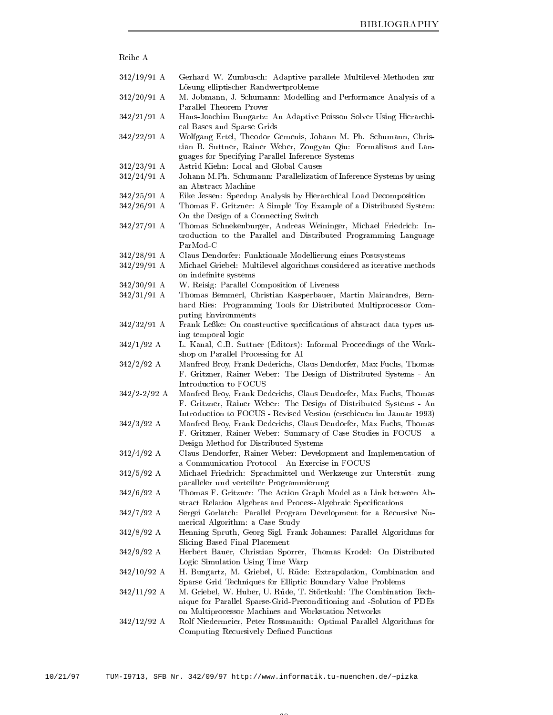| Reihe A                        |                                                                                                                                                                                                                                                      |
|--------------------------------|------------------------------------------------------------------------------------------------------------------------------------------------------------------------------------------------------------------------------------------------------|
| $342/19/91$ A                  | Gerhard W. Zumbusch: Adaptive parallele Multilevel-Methoden zur<br>Lösung elliptischer Randwertprobleme                                                                                                                                              |
| $342/20/91$ A                  | M. Jobmann, J. Schumann: Modelling and Performance Analysis of a<br>Parallel Theorem Prover                                                                                                                                                          |
| $342/21/91$ A                  | Hans-Joachim Bungartz: An Adaptive Poisson Solver Using Hierarchi-<br>cal Bases and Sparse Grids                                                                                                                                                     |
| $342/22/91$ A                  | Wolfgang Ertel, Theodor Gemenis, Johann M. Ph. Schumann, Chris-<br>tian B. Suttner, Rainer Weber, Zongyan Qiu: Formalisms and Lan-<br>guages for Specifying Parallel Inference Systems                                                               |
| $342/23/91$ A<br>$342/24/91$ A | Astrid Kiehn: Local and Global Causes<br>Johann M.Ph. Schumann: Parallelization of Inference Systems by using                                                                                                                                        |
|                                | an Abstract Machine                                                                                                                                                                                                                                  |
| $342/25/91$ A<br>$342/26/91$ A | Eike Jessen: Speedup Analysis by Hierarchical Load Decomposition<br>Thomas F. Gritzner: A Simple Toy Example of a Distributed System:                                                                                                                |
|                                | On the Design of a Connecting Switch                                                                                                                                                                                                                 |
| $342/27/91$ A                  | Thomas Schnekenburger, Andreas Weininger, Michael Friedrich: In-<br>troduction to the Parallel and Distributed Programming Language<br>ParMod-C                                                                                                      |
| $342/28/91$ A                  | Claus Dendorfer: Funktionale Modellierung eines Postsystems                                                                                                                                                                                          |
| $342/29/91$ A                  | Michael Griebel: Multilevel algorithms considered as iterative methods<br>on indefinite systems                                                                                                                                                      |
| $342/30/91$ A                  | W. Reisig: Parallel Composition of Liveness                                                                                                                                                                                                          |
| $342/31/91$ A                  | Thomas Bemmerl, Christian Kasperbauer, Martin Mairandres, Bern-                                                                                                                                                                                      |
|                                | hard Ries: Programming Tools for Distributed Multiprocessor Com-<br>puting Environments                                                                                                                                                              |
| $342/32/91$ A                  | Frank Leßke: On constructive specifications of abstract data types us-<br>ing temporal logic                                                                                                                                                         |
| $342/1/92$ A                   | L. Kanal, C.B. Suttner (Editors): Informal Proceedings of the Work-<br>shop on Parallel Processing for AI                                                                                                                                            |
| $342/2/92$ A                   | Manfred Broy, Frank Dederichs, Claus Dendorfer, Max Fuchs, Thomas<br>F. Gritzner, Rainer Weber: The Design of Distributed Systems - An                                                                                                               |
| $342/2 - 2/92$ A               | Introduction to FOCUS<br>Manfred Broy, Frank Dederichs, Claus Dendorfer, Max Fuchs, Thomas<br>F. Gritzner, Rainer Weber: The Design of Distributed Systems - An                                                                                      |
| $342/3/92$ A                   | Introduction to FOCUS - Revised Version (erschienen im Januar 1993)<br>Manfred Broy, Frank Dederichs, Claus Dendorfer, Max Fuchs, Thomas<br>F. Gritzner, Rainer Weber: Summary of Case Studies in FOCUS - a<br>Design Method for Distributed Systems |
| $342/4/92$ A                   | Claus Dendorfer, Rainer Weber: Development and Implementation of<br>a Communication Protocol - An Exercise in FOCUS                                                                                                                                  |
| $342/5/92$ A                   | Michael Friedrich: Sprachmittel und Werkzeuge zur Unterstüt- zung<br>paralleler und verteilter Programmierung                                                                                                                                        |
| $342/6/92$ A                   | Thomas F. Gritzner: The Action Graph Model as a Link between Ab-<br>stract Relation Algebras and Process-Algebraic Specifications                                                                                                                    |
| $342/7/92$ A                   | Sergei Gorlatch: Parallel Program Development for a Recursive Nu-<br>merical Algorithm: a Case Study                                                                                                                                                 |
| $342/8/92$ A                   | Henning Spruth, Georg Sigl, Frank Johannes: Parallel Algorithms for<br>Slicing Based Final Placement                                                                                                                                                 |
| $342/9/92$ A                   | Herbert Bauer, Christian Sporrer, Thomas Krodel: On Distributed<br>Logic Simulation Using Time Warp                                                                                                                                                  |
| $342/10/92$ A                  | H. Bungartz, M. Griebel, U. Rüde: Extrapolation, Combination and<br>Sparse Grid Techniques for Elliptic Boundary Value Problems                                                                                                                      |
| $342/11/92$ A                  | M. Griebel, W. Huber, U. Rüde, T. Störtkuhl: The Combination Tech-<br>nique for Parallel Sparse-Grid-Preconditioning and -Solution of PDEs                                                                                                           |
| $342/12/92$ A                  | on Multiprocessor Machines and Workstation Networks<br>Rolf Niedermeier, Peter Rossmanith: Optimal Parallel Algorithms for<br>Computing Recursively Defined Functions                                                                                |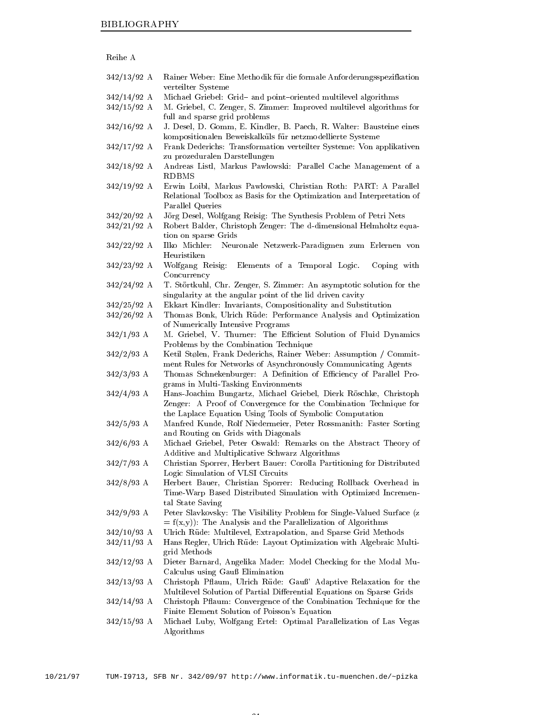| Reihe |  |
|-------|--|

| $342/13/92$ A | Rainer Weber: Eine Methodik für die formale Anforderungsspezifkation                                                             |
|---------------|----------------------------------------------------------------------------------------------------------------------------------|
| $342/14/92$ A | verteilter Systeme<br>Michael Griebel: Grid- and point-oriented multilevel algorithms                                            |
| $342/15/92$ A | M. Griebel, C. Zenger, S. Zimmer: Improved multilevel algorithms for                                                             |
|               | full and sparse grid problems                                                                                                    |
| $342/16/92$ A | J. Desel, D. Gomm, E. Kindler, B. Paech, R. Walter: Bausteine eines                                                              |
|               | kompositionalen Beweiskalküls für netzmodellierte Systeme                                                                        |
| $342/17/92$ A | Frank Dederichs: Transformation verteilter Systeme: Von applikativen                                                             |
|               | zu prozeduralen Darstellungen                                                                                                    |
| $342/18/92$ A | Andreas Listl, Markus Pawlowski: Parallel Cache Management of a<br><b>RDBMS</b>                                                  |
| $342/19/92$ A | Erwin Loibl, Markus Pawlowski, Christian Roth: PART: A Parallel                                                                  |
|               | Relational Toolbox as Basis for the Optimization and Interpretation of                                                           |
|               | Parallel Queries                                                                                                                 |
| $342/20/92$ A | Jörg Desel, Wolfgang Reisig: The Synthesis Problem of Petri Nets                                                                 |
| $342/21/92$ A | Robert Balder, Christoph Zenger: The d-dimensional Helmholtz equa-                                                               |
|               | tion on sparse Grids                                                                                                             |
| $342/22/92$ A | Ilko Michler:<br>Neuronale Netzwerk-Paradigmen zum Erlernen von<br>Heuristiken                                                   |
| $342/23/92$ A | Wolfgang Reisig:<br>Coping with<br>Elements of a Temporal Logic.                                                                 |
|               | Concurrency                                                                                                                      |
| $342/24/92$ A | T. Störtkuhl, Chr. Zenger, S. Zimmer: An asymptotic solution for the                                                             |
| $342/25/92$ A | singularity at the angular point of the lid driven cavity                                                                        |
| $342/26/92$ A | Ekkart Kindler: Invariants, Compositionality and Substitution<br>Thomas Bonk, Ulrich Rüde: Performance Analysis and Optimization |
|               | of Numerically Intensive Programs                                                                                                |
| $342/1/93$ A  | M. Griebel, V. Thurner: The Efficient Solution of Fluid Dynamics                                                                 |
|               | Problems by the Combination Technique                                                                                            |
| $342/2/93$ A  | Ketil Stølen, Frank Dederichs, Rainer Weber: Assumption / Commit-                                                                |
|               | ment Rules for Networks of Asynchronously Communicating Agents                                                                   |
| $342/3/93$ A  | Thomas Schnekenburger: A Definition of Efficiency of Parallel Pro-                                                               |
|               | grams in Multi-Tasking Environments                                                                                              |
| $342/4/93$ A  | Hans-Joachim Bungartz, Michael Griebel, Dierk Röschke, Christoph                                                                 |
|               | Zenger: A Proof of Convergence for the Combination Technique for                                                                 |
|               | the Laplace Equation Using Tools of Symbolic Computation                                                                         |
| $342/5/93$ A  | Manfred Kunde, Rolf Niedermeier, Peter Rossmanith: Faster Sorting                                                                |
|               | and Routing on Grids with Diagonals                                                                                              |
| $342/6/93$ A  | Michael Griebel, Peter Oswald: Remarks on the Abstract Theory of<br>Additive and Multiplicative Schwarz Algorithms               |
| $342/7/93$ A  | Christian Sporrer, Herbert Bauer: Corolla Partitioning for Distributed                                                           |
|               | Logic Simulation of VLSI Circuits                                                                                                |
| $342/8/93$ A  | Herbert Bauer, Christian Sporrer: Reducing Rollback Overhead in                                                                  |
|               | Time-Warp Based Distributed Simulation with Optimized Incremen-                                                                  |
|               | tal State Saving                                                                                                                 |
| $342/9/93$ A  | Peter Slavkovsky: The Visibility Problem for Single-Valued Surface (z                                                            |
|               | $= f(x,y)$ : The Analysis and the Parallelization of Algorithms                                                                  |
| $342/10/93$ A | Ulrich Rüde: Multilevel, Extrapolation, and Sparse Grid Methods                                                                  |
| $342/11/93$ A | Hans Regler, Ulrich Rüde: Layout Optimization with Algebraic Multi-                                                              |
|               | grid Methods                                                                                                                     |
| $342/12/93$ A | Dieter Barnard, Angelika Mader: Model Checking for the Modal Mu-                                                                 |
|               | Calculus using Gauß Elimination                                                                                                  |
| $342/13/93$ A | Christoph Pflaum, Ulrich Rüde: Gauß' Adaptive Relaxation for the                                                                 |
|               | Multilevel Solution of Partial Differential Equations on Sparse Grids                                                            |
| $342/14/93$ A | Christoph Pflaum: Convergence of the Combination Technique for the<br>Finite Element Solution of Poisson's Equation              |
|               | 342/15/93 A Michael Luby Wolfgang Ertel Optimal Parallelization of Las Vegas                                                     |

  A Michael Luby Wolfgang Ertel Optimal Parallelization of Las Vegas Algorithms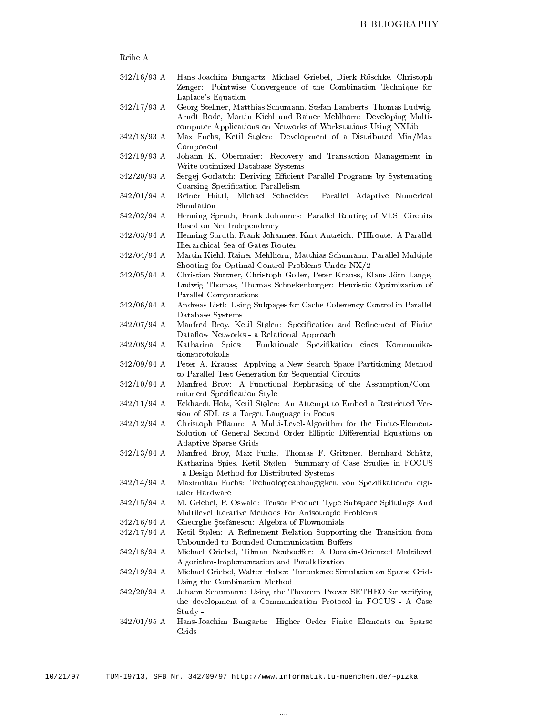| Reihe A       |                                                                                                                                                                                                                              |
|---------------|------------------------------------------------------------------------------------------------------------------------------------------------------------------------------------------------------------------------------|
| $342/16/93$ A | Hans-Joachim Bungartz, Michael Griebel, Dierk Röschke, Christoph<br>Zenger: Pointwise Convergence of the Combination Technique for                                                                                           |
| $342/17/93$ A | Laplace's Equation<br>Georg Stellner, Matthias Schumann, Stefan Lamberts, Thomas Ludwig,<br>Arndt Bode, Martin Kiehl und Rainer Mehlhorn: Developing Multi-<br>computer Applications on Networks of Workstations Using NXLib |
| $342/18/93$ A | Max Fuchs, Ketil Stølen: Development of a Distributed Min/Max<br>Component                                                                                                                                                   |
| $342/19/93$ A | Johann K. Obermaier: Recovery and Transaction Management in<br>Write-optimized Database Systems                                                                                                                              |
| $342/20/93$ A | Sergej Gorlatch: Deriving Efficient Parallel Programs by Systemating<br>Coarsing Specification Parallelism                                                                                                                   |
| $342/01/94$ A | Reiner Hüttl, Michael Schneider:<br>Parallel Adaptive Numerical<br>Simulation                                                                                                                                                |
| $342/02/94$ A | Henning Spruth, Frank Johannes: Parallel Routing of VLSI Circuits<br>Based on Net Independency                                                                                                                               |
| $342/03/94$ A | Henning Spruth, Frank Johannes, Kurt Antreich: PHIroute: A Parallel<br>Hierarchical Sea-of-Gates Router                                                                                                                      |
| $342/04/94$ A | Martin Kiehl, Rainer Mehlhorn, Matthias Schumann: Parallel Multiple<br>Shooting for Optimal Control Problems Under NX/2                                                                                                      |
| $342/05/94$ A | Christian Suttner, Christoph Goller, Peter Krauss, Klaus-Jörn Lange,<br>Ludwig Thomas, Thomas Schnekenburger: Heuristic Optimization of<br>Parallel Computations                                                             |
| $342/06/94$ A | Andreas Listl: Using Subpages for Cache Coherency Control in Parallel<br>Database Systems                                                                                                                                    |
| $342/07/94$ A | Manfred Broy, Ketil Stølen: Specification and Refinement of Finite<br>Dataflow Networks - a Relational Approach                                                                                                              |
| $342/08/94$ A | Funktionale Spezifikation eines Kommunika-<br>Katharina Spies:<br>tionsprotokolls                                                                                                                                            |
| $342/09/94$ A | Peter A. Krauss: Applying a New Search Space Partitioning Method<br>to Parallel Test Generation for Sequential Circuits                                                                                                      |
| $342/10/94$ A | Manfred Broy: A Functional Rephrasing of the Assumption/Com-<br>mitment Specification Style                                                                                                                                  |
| $342/11/94$ A | Eckhardt Holz, Ketil Stølen: An Attempt to Embed a Restricted Ver-<br>sion of SDL as a Target Language in Focus                                                                                                              |
| $342/12/94$ A | Christoph Pflaum: A Multi-Level-Algorithm for the Finite-Element-<br>Solution of General Second Order Elliptic Differential Equations on<br><b>Adaptive Sparse Grids</b>                                                     |
| $342/13/94$ A | Manfred Broy, Max Fuchs, Thomas F. Gritzner, Bernhard Schätz,<br>Katharina Spies, Ketil Stølen: Summary of Case Studies in FOCUS<br>- a Design Method for Distributed Systems                                                |
| $342/14/94$ A | Maximilian Fuchs: Technologieabhängigkeit von Spezifikationen digi-<br>taler Hardware                                                                                                                                        |
| $342/15/94$ A | M. Griebel, P. Oswald: Tensor Product Type Subspace Splittings And<br>Multilevel Iterative Methods For Anisotropic Problems                                                                                                  |
| $342/16/94$ A | Gheorghe Stefănescu: Algebra of Flownomials                                                                                                                                                                                  |
| $342/17/94$ A | Ketil Stølen: A Refinement Relation Supporting the Transition from<br>Unbounded to Bounded Communication Buffers                                                                                                             |
| $342/18/94$ A | Michael Griebel, Tilman Neuhoeffer: A Domain-Oriented Multilevel<br>Algorithm-Implementation and Parallelization                                                                                                             |
| $342/19/94$ A | Michael Griebel, Walter Huber: Turbulence Simulation on Sparse Grids<br>Using the Combination Method                                                                                                                         |
| $342/20/94$ A | Johann Schumann: Using the Theorem Prover SETHEO for verifying<br>the development of a Communication Protocol in FOCUS - A Case<br>Study -                                                                                   |
| $342/01/95$ A | Hans-Joachim Bungartz: Higher Order Finite Elements on Sparse<br>Grids                                                                                                                                                       |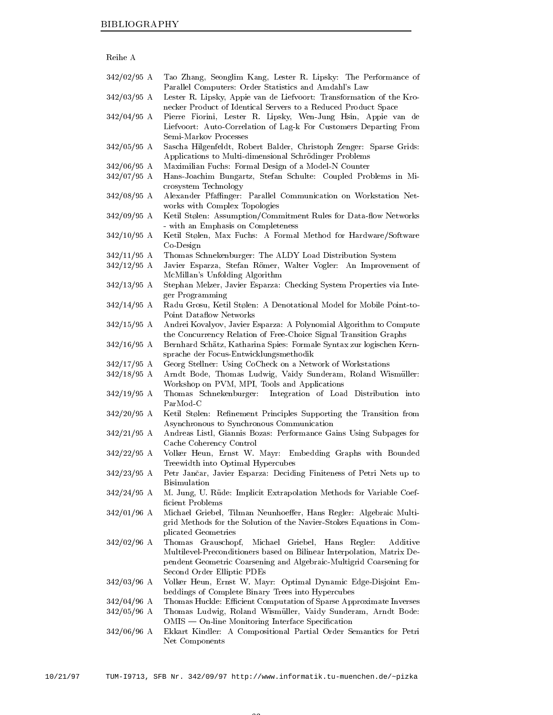| Reihe A                        |                                                                                                                                                                                                                                                |
|--------------------------------|------------------------------------------------------------------------------------------------------------------------------------------------------------------------------------------------------------------------------------------------|
| $342/02/95$ A                  | Tao Zhang, Seonglim Kang, Lester R. Lipsky: The Performance of<br>Parallel Computers: Order Statistics and Amdahl's Law                                                                                                                        |
| $342/03/95$ A                  | Lester R. Lipsky, Appie van de Liefvoort: Transformation of the Kro-<br>necker Product of Identical Servers to a Reduced Product Space                                                                                                         |
| $342/04/95$ A                  | Pierre Fiorini, Lester R. Lipsky, Wen-Jung Hsin, Appie van de<br>Liefvoort: Auto-Correlation of Lag-k For Customers Departing From<br>Semi-Markov Processes                                                                                    |
| $342/05/95$ A                  | Sascha Hilgenfeldt, Robert Balder, Christoph Zenger: Sparse Grids:<br>Applications to Multi-dimensional Schrödinger Problems                                                                                                                   |
| $342/06/95$ A<br>$342/07/95$ A | Maximilian Fuchs: Formal Design of a Model-N Counter<br>Hans-Joachim Bungartz, Stefan Schulte: Coupled Problems in Mi-<br>crosystem Technology                                                                                                 |
| $342/08/95$ A                  | Alexander Pfaffinger: Parallel Communication on Workstation Net-<br>works with Complex Topologies                                                                                                                                              |
| $342/09/95$ A                  | Ketil Stølen: Assumption/Commitment Rules for Data-flow Networks<br>- with an Emphasis on Completeness                                                                                                                                         |
| $342/10/95$ A                  | Ketil Stølen, Max Fuchs: A Formal Method for Hardware/Software<br>Co Design                                                                                                                                                                    |
| $342/11/95$ A                  | Thomas Schnekenburger: The ALDY Load Distribution System                                                                                                                                                                                       |
| $342/12/95$ A                  | Javier Esparza, Stefan Römer, Walter Vogler: An Improvement of<br>McMillan's Unfolding Algorithm                                                                                                                                               |
| $342/13/95$ A                  | Stephan Melzer, Javier Esparza: Checking System Properties via Inte-<br>ger Programming                                                                                                                                                        |
| $342/14/95$ A                  | Radu Grosu, Ketil Stølen: A Denotational Model for Mobile Point-to-<br>Point Dataflow Networks                                                                                                                                                 |
| $342/15/95$ A                  | Andrei Kovalyov, Javier Esparza: A Polynomial Algorithm to Compute<br>the Concurrency Relation of Free-Choice Signal Transition Graphs                                                                                                         |
| $342/16/95$ A                  | Bernhard Schätz, Katharina Spies: Formale Syntax zur logischen Kern-<br>sprache der Focus-Entwicklungsmethodik                                                                                                                                 |
| $342/17/95$ A                  | Georg Stellner: Using CoCheck on a Network of Workstations                                                                                                                                                                                     |
| $342/18/95$ A                  | Arndt Bode, Thomas Ludwig, Vaidy Sunderam, Roland Wismüller:                                                                                                                                                                                   |
| $342/19/95$ A                  | Workshop on PVM, MPI, Tools and Applications<br>Thomas Schnekenburger:<br>Integration of Load Distribution into<br>ParMod-C                                                                                                                    |
| $342/20/95$ A                  | Ketil Stølen: Refinement Principles Supporting the Transition from<br>Asynchronous to Synchronous Communication                                                                                                                                |
| $342/21/95$ A                  | Andreas Listl, Giannis Bozas: Performance Gains Using Subpages for<br>Cache Coherency Control                                                                                                                                                  |
| $342/22/95$ A                  | Volker Heun, Ernst W. Mayr: Embedding Graphs with Bounded<br>Treewidth into Optimal Hypercubes                                                                                                                                                 |
| $342/23/95$ A                  | Petr Jančar, Javier Esparza: Deciding Finiteness of Petri Nets up to<br><b>Bisimulation</b>                                                                                                                                                    |
| $342/24/95$ A                  | M. Jung, U. Rüde: Implicit Extrapolation Methods for Variable Coef-<br>ficient Problems                                                                                                                                                        |
| $342/01/96$ A                  | Michael Griebel, Tilman Neunhoeffer, Hans Regler: Algebraic Multi-<br>grid Methods for the Solution of the Navier-Stokes Equations in Com-<br>plicated Geometries                                                                              |
| $342/02/96$ A                  | Thomas Grauschopf,<br>Michael Griebel, Hans Regler:<br>Additive<br>Multilevel-Preconditioners based on Bilinear Interpolation, Matrix De-<br>pendent Geometric Coarsening and Algebraic-Multigrid Coarsening for<br>Second Order Elliptic PDEs |
| $342/03/96$ A                  | Volker Heun, Ernst W. Mayr: Optimal Dynamic Edge-Disjoint Em-<br>beddings of Complete Binary Trees into Hypercubes                                                                                                                             |
| $342/04/96$ A                  | Thomas Huckle: Efficient Computation of Sparse Approximate Inverses                                                                                                                                                                            |
| $342/05/96$ A                  | Thomas Ludwig, Roland Wismüller, Vaidy Sunderam, Arndt Bode:<br>OMIS — On-line Monitoring Interface Specification                                                                                                                              |
| 342/06/96 A                    | Ekkart Kindler: A Compositional Partial Order Semantics for Petri<br>Net Components                                                                                                                                                            |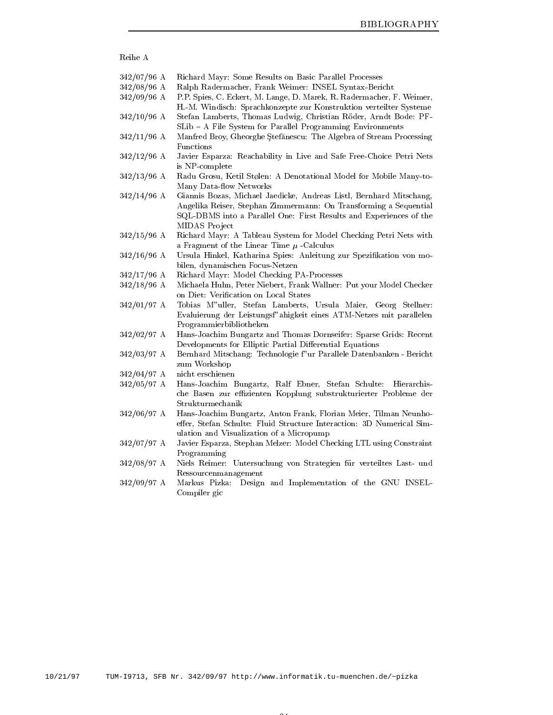| Reihe A       |                                                                       |
|---------------|-----------------------------------------------------------------------|
| $342/07/96$ A | Richard Mayr: Some Results on Basic Parallel Processes                |
| $342/08/96$ A | Ralph Radermacher, Frank Weimer: INSEL Syntax-Bericht                 |
| $342/09/96$ A | P.P. Spies, C. Eckert, M. Lange, D. Marek, R. Radermacher, F. Weimer, |
|               | H.-M. Windisch: Sprachkonzepte zur Konstruktion verteilter Systeme    |
| $342/10/96$ A | Stefan Lamberts, Thomas Ludwig, Christian Röder, Arndt Bode: PF-      |
|               | SLib - A File System for Parallel Programming Environments            |
| $342/11/96$ A | Manfred Broy, Gheorghe Stefănescu: The Algebra of Stream Processing   |
|               | Functions                                                             |
| $342/12/96$ A | Javier Esparza: Reachability in Live and Safe Free-Choice Petri Nets  |
|               | is NP-complete                                                        |
| $342/13/96$ A | Radu Grosu, Ketil Stølen: A Denotational Model for Mobile Many-to-    |
|               | Many Data-flow Networks                                               |
| $342/14/96$ A | Giannis Bozas, Michael Jaedicke, Andreas Listl, Bernhard Mitschang,   |
|               | Angelika Reiser, Stephan Zimmermann: On Transforming a Sequential     |
|               | SQL-DBMS into a Parallel One: First Results and Experiences of the    |
|               | MIDAS Project                                                         |
| $342/15/96$ A | Richard Mayr: A Tableau System for Model Checking Petri Nets with     |
|               | a Fragment of the Linear Time $\mu$ -Calculus                         |
| $342/16/96$ A | Ursula Hinkel, Katharina Spies: Anleitung zur Spezifikation von mo-   |
|               | bilen, dynamischen Focus-Netzen                                       |
| $342/17/96$ A | Richard Mayr: Model Checking PA-Processes                             |
| $342/18/96$ A | Michaela Huhn, Peter Niebert, Frank Wallner: Put your Model Checker   |
|               | on Diet: Verification on Local States                                 |
| $342/01/97$ A | Tobias M"uller, Stefan Lamberts, Ursula Maier, Georg Stellner:        |
|               | Evaluierung der Leistungsf" ahigkeit eines ATM-Netzes mit parallelen  |
|               | Programmierbibliotheken                                               |
| $342/02/97$ A | Hans-Joachim Bungartz and Thomas Dornseifer: Sparse Grids: Recent     |
|               | Developments for Elliptic Partial Differential Equations              |
| $342/03/97$ A | Bernhard Mitschang: Technologie f" ur Parallele Datenbanken - Bericht |
|               | zum Workshop                                                          |
| $342/04/97$ A | nicht erschienen                                                      |
| $342/05/97$ A | Hans-Joachim Bungartz, Ralf Ebner, Stefan Schulte: Hierarchis-        |
|               | che Basen zur effizienten Kopplung substrukturierter Probleme der     |
|               | Strukturmechanik                                                      |
| 342/06/97 A   | Hans-Joachim Bungartz, Anton Frank, Florian Meier, Tilman Neunho-     |
|               | effer, Stefan Schulte: Fluid Structure Interaction: 3D Numerical Sim- |
|               | ulation and Visualization of a Micropump                              |
| 342/07/97 A   | Javier Esparza, Stephan Melzer: Model Checking LTL using Constraint   |
|               | Programming                                                           |
| 342/08/97 A   | Niels Reimer: Untersuchung von Strategien für verteiltes Last- und    |
|               | Ressourcenmanagement                                                  |
| 342/09/97 A   | Design and Implementation of the GNU INSEL-<br>Markus Pizka:          |
|               | Compiler gic                                                          |
|               |                                                                       |
|               |                                                                       |
|               |                                                                       |
|               |                                                                       |
|               |                                                                       |
|               |                                                                       |